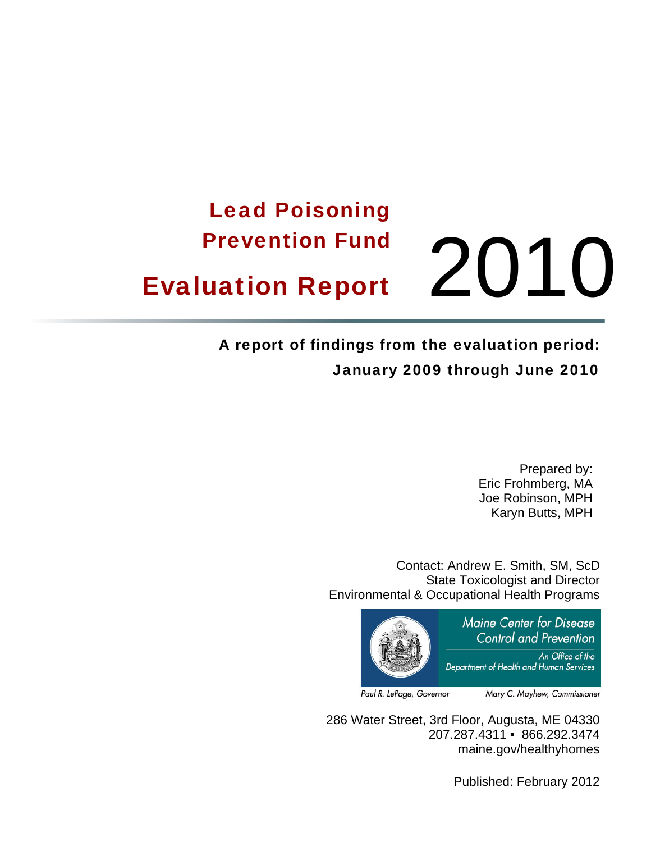# Lead Poisoning Prevention Fund **Evaluation Report** 2010

### A report of findings from the evaluation period: January 2009 through June 2010

Prepared by: Eric Frohmberg, MA Joe Robinson, MPH Karyn Butts, MPH

Contact: Andrew E. Smith, SM, ScD State Toxicologist and Director Environmental & Occupational Health Programs



Paul R. LePage, Governor

Mary C. Mayhew, Commissioner

286 Water Street, 3rd Floor, Augusta, ME 04330 207.287.4311 • 866.292.3474 maine.gov/healthyhomes

Published: February 2012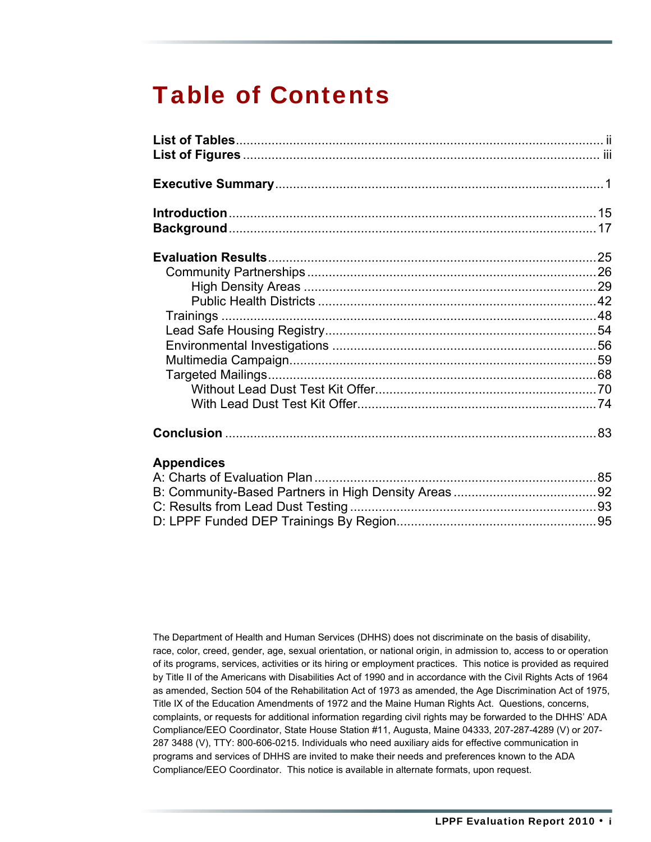## Table of Contents

#### **[Appendices](#page-89-0)**

The Department of Health and Human Services (DHHS) does not discriminate on the basis of disability, race, color, creed, gender, age, sexual orientation, or national origin, in admission to, access to or operation of its programs, services, activities or its hiring or employment practices. This notice is provided as required by Title II of the Americans with Disabilities Act of 1990 and in accordance with the Civil Rights Acts of 1964 as amended, Section 504 of the Rehabilitation Act of 1973 as amended, the Age Discrimination Act of 1975, Title IX of the Education Amendments of 1972 and the Maine Human Rights Act. Questions, concerns, complaints, or requests for additional information regarding civil rights may be forwarded to the DHHS' ADA Compliance/EEO Coordinator, State House Station #11, Augusta, Maine 04333, 207-287-4289 (V) or 207- 287 3488 (V), TTY: 800-606-0215. Individuals who need auxiliary aids for effective communication in programs and services of DHHS are invited to make their needs and preferences known to the ADA Compliance/EEO Coordinator. This notice is available in alternate formats, upon request.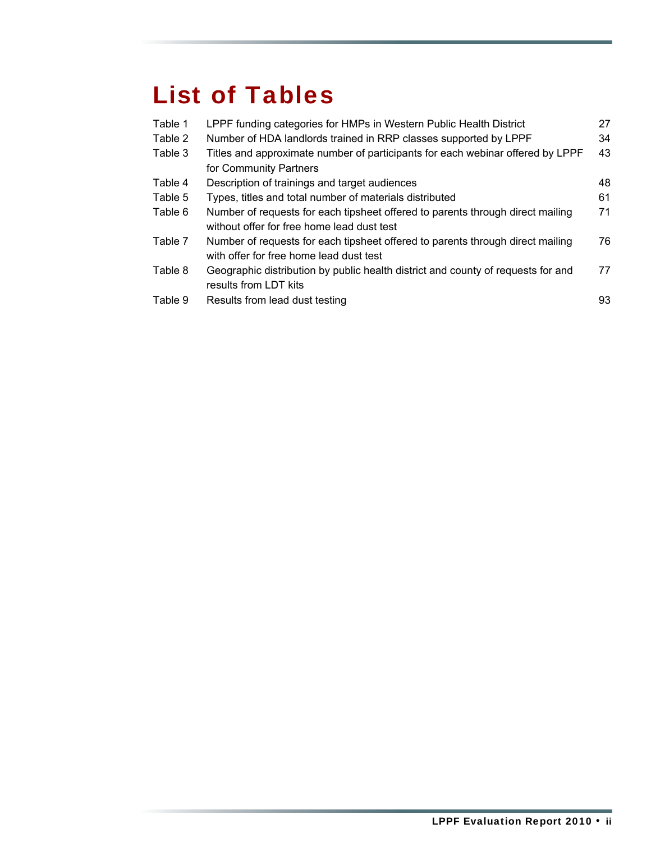## <span id="page-2-0"></span>List of Tables

| Table 1 | LPPF funding categories for HMPs in Western Public Health District               | 27  |
|---------|----------------------------------------------------------------------------------|-----|
| Table 2 | Number of HDA landlords trained in RRP classes supported by LPPF                 | 34  |
| Table 3 | Titles and approximate number of participants for each webinar offered by LPPF   | 43  |
|         | for Community Partners                                                           |     |
| Table 4 | Description of trainings and target audiences                                    | 48. |
| Table 5 | Types, titles and total number of materials distributed                          | 61  |
| Table 6 | Number of requests for each tipsheet offered to parents through direct mailing   | 71  |
|         | without offer for free home lead dust test                                       |     |
| Table 7 | Number of requests for each tipsheet offered to parents through direct mailing   | 76  |
|         | with offer for free home lead dust test                                          |     |
| Table 8 | Geographic distribution by public health district and county of requests for and | 77  |
|         | results from LDT kits                                                            |     |
| Table 9 | Results from lead dust testing                                                   | 93  |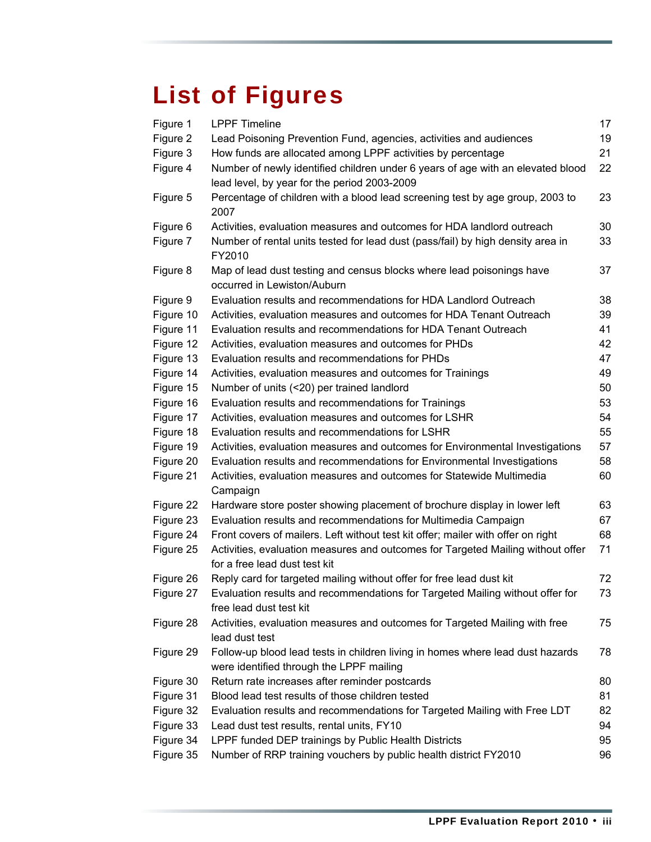## <span id="page-3-0"></span>List of Figures

| Figure 1  | <b>LPPF Timeline</b>                                                                                                       | 17 |
|-----------|----------------------------------------------------------------------------------------------------------------------------|----|
| Figure 2  | Lead Poisoning Prevention Fund, agencies, activities and audiences                                                         | 19 |
| Figure 3  | How funds are allocated among LPPF activities by percentage                                                                | 21 |
| Figure 4  | Number of newly identified children under 6 years of age with an elevated blood                                            | 22 |
|           | lead level, by year for the period 2003-2009                                                                               |    |
| Figure 5  | Percentage of children with a blood lead screening test by age group, 2003 to<br>2007                                      | 23 |
| Figure 6  | Activities, evaluation measures and outcomes for HDA landlord outreach                                                     | 30 |
| Figure 7  | Number of rental units tested for lead dust (pass/fail) by high density area in<br>FY2010                                  | 33 |
| Figure 8  | Map of lead dust testing and census blocks where lead poisonings have<br>occurred in Lewiston/Auburn                       | 37 |
| Figure 9  | Evaluation results and recommendations for HDA Landlord Outreach                                                           | 38 |
| Figure 10 | Activities, evaluation measures and outcomes for HDA Tenant Outreach                                                       | 39 |
| Figure 11 | Evaluation results and recommendations for HDA Tenant Outreach                                                             | 41 |
| Figure 12 | Activities, evaluation measures and outcomes for PHDs                                                                      | 42 |
| Figure 13 | Evaluation results and recommendations for PHDs                                                                            | 47 |
| Figure 14 | Activities, evaluation measures and outcomes for Trainings                                                                 | 49 |
| Figure 15 | Number of units (<20) per trained landlord                                                                                 | 50 |
| Figure 16 | Evaluation results and recommendations for Trainings                                                                       | 53 |
| Figure 17 | Activities, evaluation measures and outcomes for LSHR                                                                      | 54 |
| Figure 18 | Evaluation results and recommendations for LSHR                                                                            | 55 |
| Figure 19 | Activities, evaluation measures and outcomes for Environmental Investigations                                              | 57 |
| Figure 20 | Evaluation results and recommendations for Environmental Investigations                                                    | 58 |
| Figure 21 | Activities, evaluation measures and outcomes for Statewide Multimedia<br>Campaign                                          | 60 |
| Figure 22 | Hardware store poster showing placement of brochure display in lower left                                                  | 63 |
| Figure 23 | Evaluation results and recommendations for Multimedia Campaign                                                             | 67 |
| Figure 24 | Front covers of mailers. Left without test kit offer; mailer with offer on right                                           | 68 |
| Figure 25 | Activities, evaluation measures and outcomes for Targeted Mailing without offer<br>for a free lead dust test kit           | 71 |
| Figure 26 | Reply card for targeted mailing without offer for free lead dust kit                                                       | 72 |
| Figure 27 | Evaluation results and recommendations for Targeted Mailing without offer for<br>free lead dust test kit                   | 73 |
| Figure 28 | Activities, evaluation measures and outcomes for Targeted Mailing with free<br>lead dust test                              | 75 |
| Figure 29 | Follow-up blood lead tests in children living in homes where lead dust hazards<br>were identified through the LPPF mailing | 78 |
| Figure 30 | Return rate increases after reminder postcards                                                                             | 80 |
| Figure 31 | Blood lead test results of those children tested                                                                           | 81 |
| Figure 32 | Evaluation results and recommendations for Targeted Mailing with Free LDT                                                  | 82 |
| Figure 33 | Lead dust test results, rental units, FY10                                                                                 | 94 |
| Figure 34 | LPPF funded DEP trainings by Public Health Districts                                                                       | 95 |
| Figure 35 | Number of RRP training vouchers by public health district FY2010                                                           | 96 |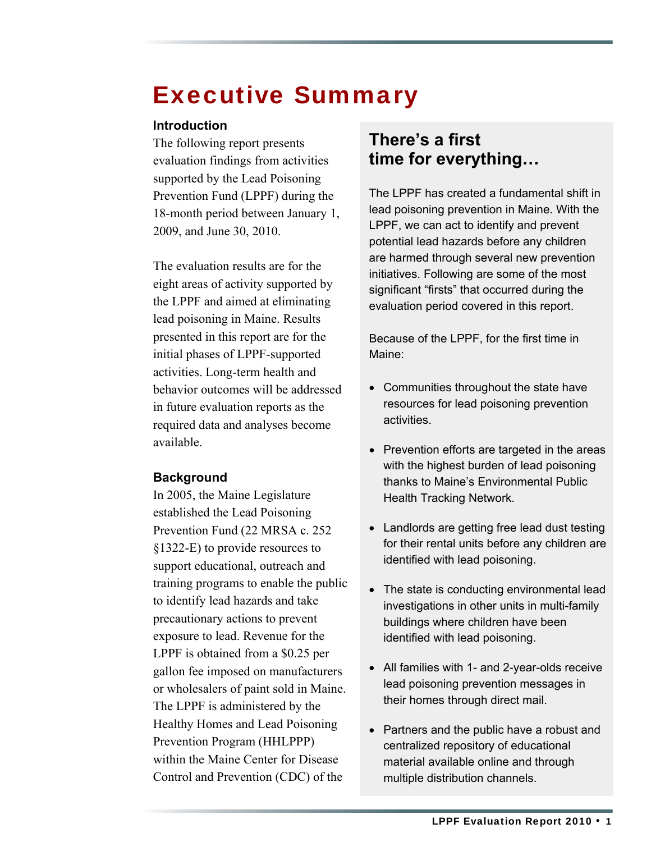## <span id="page-5-0"></span>Executive Summary

#### **Introduction**

The following report presents evaluation findings from activities supported by the Lead Poisoning Prevention Fund (LPPF) during the 18-month period between January 1, 2009, and June 30, 2010.

The evaluation results are for the eight areas of activity supported by the LPPF and aimed at eliminating lead poisoning in Maine. Results presented in this report are for the initial phases of LPPF-supported activities. Long-term health and behavior outcomes will be addressed in future evaluation reports as the required data and analyses become available.

#### **Background**

In 2005, the Maine Legislature established the Lead Poisoning Prevention Fund (22 MRSA c. 252 §1322-E) to provide resources to support educational, outreach and training programs to enable the public to identify lead hazards and take precautionary actions to prevent exposure to lead. Revenue for the LPPF is obtained from a \$0.25 per gallon fee imposed on manufacturers or wholesalers of paint sold in Maine. The LPPF is administered by the Healthy Homes and Lead Poisoning Prevention Program (HHLPPP) within the Maine Center for Disease Control and Prevention (CDC) of the

### **There's a first time for everything…**

The LPPF has created a fundamental shift in lead poisoning prevention in Maine. With the LPPF, we can act to identify and prevent potential lead hazards before any children are harmed through several new prevention initiatives. Following are some of the most significant "firsts" that occurred during the evaluation period covered in this report.

Because of the LPPF, for the first time in Maine:

- Communities throughout the state have resources for lead poisoning prevention activities.
- Prevention efforts are targeted in the areas with the highest burden of lead poisoning thanks to Maine's Environmental Public Health Tracking Network.
- Landlords are getting free lead dust testing for their rental units before any children are identified with lead poisoning.
- The state is conducting environmental lead investigations in other units in multi-family buildings where children have been identified with lead poisoning.
- All families with 1- and 2-year-olds receive lead poisoning prevention messages in their homes through direct mail.
- Partners and the public have a robust and centralized repository of educational material available online and through multiple distribution channels.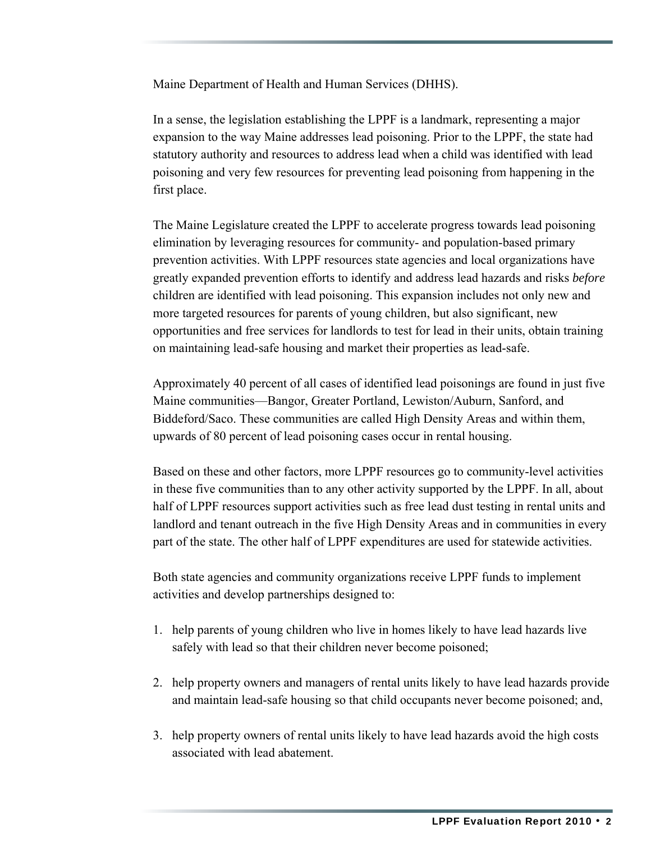Maine Department of Health and Human Services (DHHS).

In a sense, the legislation establishing the LPPF is a landmark, representing a major expansion to the way Maine addresses lead poisoning. Prior to the LPPF, the state had statutory authority and resources to address lead when a child was identified with lead poisoning and very few resources for preventing lead poisoning from happening in the first place.

The Maine Legislature created the LPPF to accelerate progress towards lead poisoning elimination by leveraging resources for community- and population-based primary prevention activities. With LPPF resources state agencies and local organizations have greatly expanded prevention efforts to identify and address lead hazards and risks *before* children are identified with lead poisoning. This expansion includes not only new and more targeted resources for parents of young children, but also significant, new opportunities and free services for landlords to test for lead in their units, obtain training on maintaining lead-safe housing and market their properties as lead-safe.

Approximately 40 percent of all cases of identified lead poisonings are found in just five Maine communities—Bangor, Greater Portland, Lewiston/Auburn, Sanford, and Biddeford/Saco. These communities are called High Density Areas and within them, upwards of 80 percent of lead poisoning cases occur in rental housing.

Based on these and other factors, more LPPF resources go to community-level activities in these five communities than to any other activity supported by the LPPF. In all, about half of LPPF resources support activities such as free lead dust testing in rental units and landlord and tenant outreach in the five High Density Areas and in communities in every part of the state. The other half of LPPF expenditures are used for statewide activities.

Both state agencies and community organizations receive LPPF funds to implement activities and develop partnerships designed to:

- 1. help parents of young children who live in homes likely to have lead hazards live safely with lead so that their children never become poisoned;
- 2. help property owners and managers of rental units likely to have lead hazards provide and maintain lead-safe housing so that child occupants never become poisoned; and,
- 3. help property owners of rental units likely to have lead hazards avoid the high costs associated with lead abatement.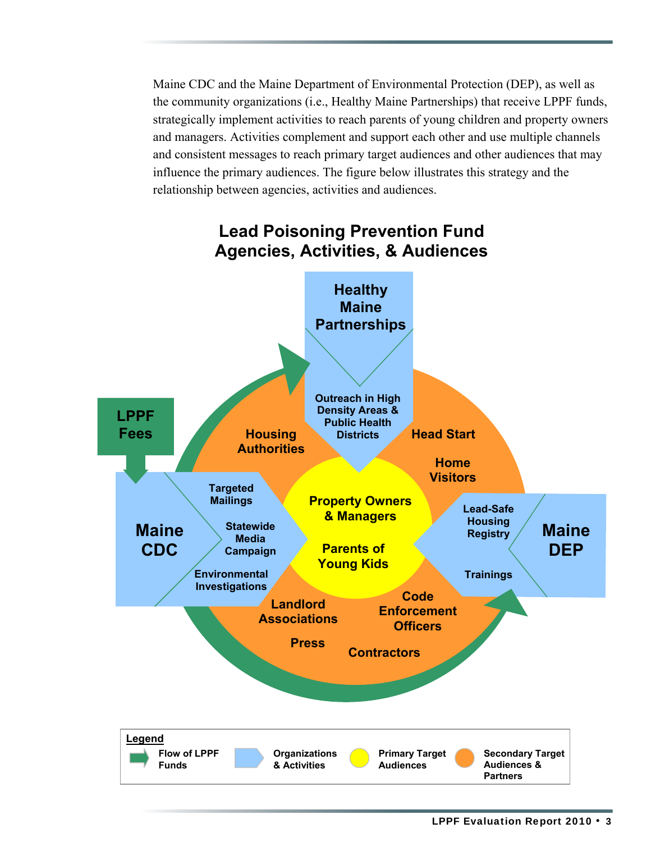Maine CDC and the Maine Department of Environmental Protection (DEP), as well as the community organizations (i.e., Healthy Maine Partnerships) that receive LPPF funds, strategically implement activities to reach parents of young children and property owners and managers. Activities complement and support each other and use multiple channels and consistent messages to reach primary target audiences and other audiences that may influence the primary audiences. The figure below illustrates this strategy and the relationship between agencies, activities and audiences.



### **Lead Poisoning Prevention Fund Agencies, Activities, & Audiences**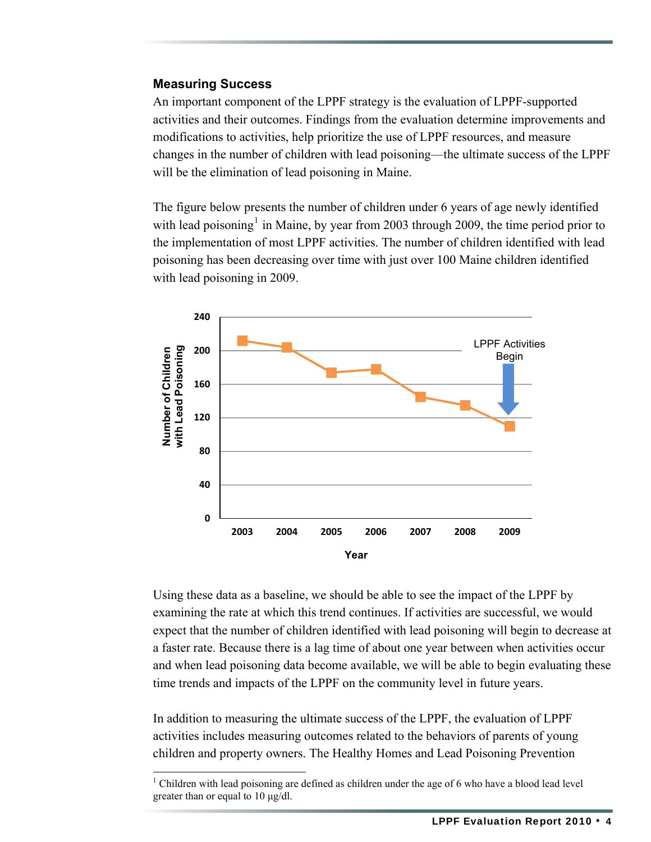#### **Measuring Success**

An important component of the LPPF strategy is the evaluation of LPPF-supported activities and their outcomes. Findings from the evaluation determine improvements and modifications to activities, help prioritize the use of LPPF resources, and measure changes in the number of children with lead poisoning—the ultimate success of the LPPF will be the elimination of lead poisoning in Maine.

The figure below presents the number of children under 6 years of age newly identified with lead poisoning<sup>[1](#page-8-0)</sup> in Maine, by year from 2003 through 2009, the time period prior to the implementation of most LPPF activities. The number of children identified with lead poisoning has been decreasing over time with just over 100 Maine children identified with lead poisoning in 2009.



Using these data as a baseline, we should be able to see the impact of the LPPF by examining the rate at which this trend continues. If activities are successful, we would expect that the number of children identified with lead poisoning will begin to decrease at a faster rate. Because there is a lag time of about one year between when activities occur and when lead poisoning data become available, we will be able to begin evaluating these time trends and impacts of the LPPF on the community level in future years.

In addition to measuring the ultimate success of the LPPF, the evaluation of LPPF activities includes measuring outcomes related to the behaviors of parents of young children and property owners. The Healthy Homes and Lead Poisoning Prevention

<span id="page-8-0"></span><sup>1</sup> Children with lead poisoning are defined as children under the age of 6 who have a blood lead level greater than or equal to 10 μg/dl.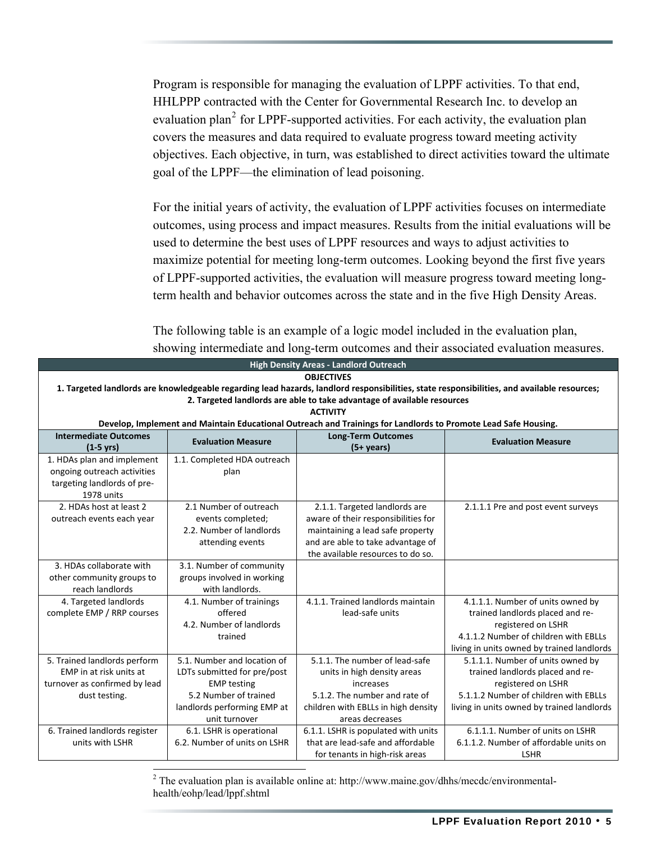Program is responsible for managing the evaluation of LPPF activities. To that end, HHLPPP contracted with the Center for Governmental Research Inc. to develop an evaluation plan<sup>[2](#page-9-0)</sup> for LPPF-supported activities. For each activity, the evaluation plan covers the measures and data required to evaluate progress toward meeting activity objectives. Each objective, in turn, was established to direct activities toward the ultimate goal of the LPPF—the elimination of lead poisoning.

For the initial years of activity, the evaluation of LPPF activities focuses on intermediate outcomes, using process and impact measures. Results from the initial evaluations will be used to determine the best uses of LPPF resources and ways to adjust activities to maximize potential for meeting long-term outcomes. Looking beyond the first five years of LPPF-supported activities, the evaluation will measure progress toward meeting longterm health and behavior outcomes across the state and in the five High Density Areas.

The following table is an example of a logic model included in the evaluation plan, showing intermediate and long-term outcomes and their associated evaluation measures.

| <b>High Density Areas - Landlord Outreach</b>                                                                                               |                                                                                                                |                                     |                                            |  |  |  |  |
|---------------------------------------------------------------------------------------------------------------------------------------------|----------------------------------------------------------------------------------------------------------------|-------------------------------------|--------------------------------------------|--|--|--|--|
|                                                                                                                                             | <b>OBJECTIVES</b>                                                                                              |                                     |                                            |  |  |  |  |
| 1. Targeted landlords are knowledgeable regarding lead hazards, landlord responsibilities, state responsibilities, and available resources; |                                                                                                                |                                     |                                            |  |  |  |  |
| 2. Targeted landlords are able to take advantage of available resources                                                                     |                                                                                                                |                                     |                                            |  |  |  |  |
| <b>ACTIVITY</b>                                                                                                                             |                                                                                                                |                                     |                                            |  |  |  |  |
|                                                                                                                                             | Develop, Implement and Maintain Educational Outreach and Trainings for Landlords to Promote Lead Safe Housing. |                                     |                                            |  |  |  |  |
| <b>Intermediate Outcomes</b>                                                                                                                | <b>Evaluation Measure</b>                                                                                      | <b>Long-Term Outcomes</b>           | <b>Evaluation Measure</b>                  |  |  |  |  |
| $(1-5 \text{ yrs})$                                                                                                                         |                                                                                                                | $(5+ \text{ years})$                |                                            |  |  |  |  |
| 1. HDAs plan and implement                                                                                                                  | 1.1. Completed HDA outreach                                                                                    |                                     |                                            |  |  |  |  |
| ongoing outreach activities                                                                                                                 | plan                                                                                                           |                                     |                                            |  |  |  |  |
| targeting landlords of pre-                                                                                                                 |                                                                                                                |                                     |                                            |  |  |  |  |
| 1978 units                                                                                                                                  |                                                                                                                |                                     |                                            |  |  |  |  |
| 2. HDAs host at least 2                                                                                                                     | 2.1 Number of outreach                                                                                         | 2.1.1. Targeted landlords are       | 2.1.1.1 Pre and post event surveys         |  |  |  |  |
| outreach events each year                                                                                                                   | events completed;                                                                                              | aware of their responsibilities for |                                            |  |  |  |  |
|                                                                                                                                             | 2.2. Number of landlords                                                                                       | maintaining a lead safe property    |                                            |  |  |  |  |
|                                                                                                                                             | attending events                                                                                               | and are able to take advantage of   |                                            |  |  |  |  |
|                                                                                                                                             |                                                                                                                | the available resources to do so.   |                                            |  |  |  |  |
| 3. HDAs collaborate with                                                                                                                    | 3.1. Number of community                                                                                       |                                     |                                            |  |  |  |  |
| other community groups to                                                                                                                   | groups involved in working                                                                                     |                                     |                                            |  |  |  |  |
| reach landlords                                                                                                                             | with landlords.                                                                                                |                                     |                                            |  |  |  |  |
| 4. Targeted landlords                                                                                                                       | 4.1. Number of trainings                                                                                       | 4.1.1. Trained landlords maintain   | 4.1.1.1. Number of units owned by          |  |  |  |  |
| complete EMP / RRP courses                                                                                                                  | offered                                                                                                        | lead-safe units                     | trained landlords placed and re-           |  |  |  |  |
|                                                                                                                                             | 4.2. Number of landlords                                                                                       |                                     | registered on LSHR                         |  |  |  |  |
|                                                                                                                                             | trained                                                                                                        |                                     | 4.1.1.2 Number of children with EBLLs      |  |  |  |  |
|                                                                                                                                             |                                                                                                                |                                     | living in units owned by trained landlords |  |  |  |  |
| 5. Trained landlords perform                                                                                                                | 5.1. Number and location of                                                                                    | 5.1.1. The number of lead-safe      | 5.1.1.1. Number of units owned by          |  |  |  |  |
| EMP in at risk units at                                                                                                                     | LDTs submitted for pre/post                                                                                    | units in high density areas         | trained landlords placed and re-           |  |  |  |  |
| turnover as confirmed by lead                                                                                                               | <b>EMP testing</b>                                                                                             | increases                           | registered on LSHR                         |  |  |  |  |
| dust testing.                                                                                                                               | 5.2 Number of trained                                                                                          | 5.1.2. The number and rate of       | 5.1.1.2 Number of children with EBLLs      |  |  |  |  |
|                                                                                                                                             | landlords performing EMP at                                                                                    | children with EBLLs in high density | living in units owned by trained landlords |  |  |  |  |
|                                                                                                                                             | unit turnover                                                                                                  | areas decreases                     |                                            |  |  |  |  |
| 6. Trained landlords register                                                                                                               | 6.1. LSHR is operational                                                                                       | 6.1.1. LSHR is populated with units | 6.1.1.1. Number of units on LSHR           |  |  |  |  |
| units with LSHR                                                                                                                             | 6.2. Number of units on LSHR                                                                                   | that are lead-safe and affordable   | 6.1.1.2. Number of affordable units on     |  |  |  |  |
|                                                                                                                                             |                                                                                                                | for tenants in high-risk areas      | <b>LSHR</b>                                |  |  |  |  |

<span id="page-9-0"></span><sup>2</sup> The evaluation plan is available online at: http://www.maine.gov/dhhs/mecdc/environmentalhealth/eohp/lead/lppf.shtml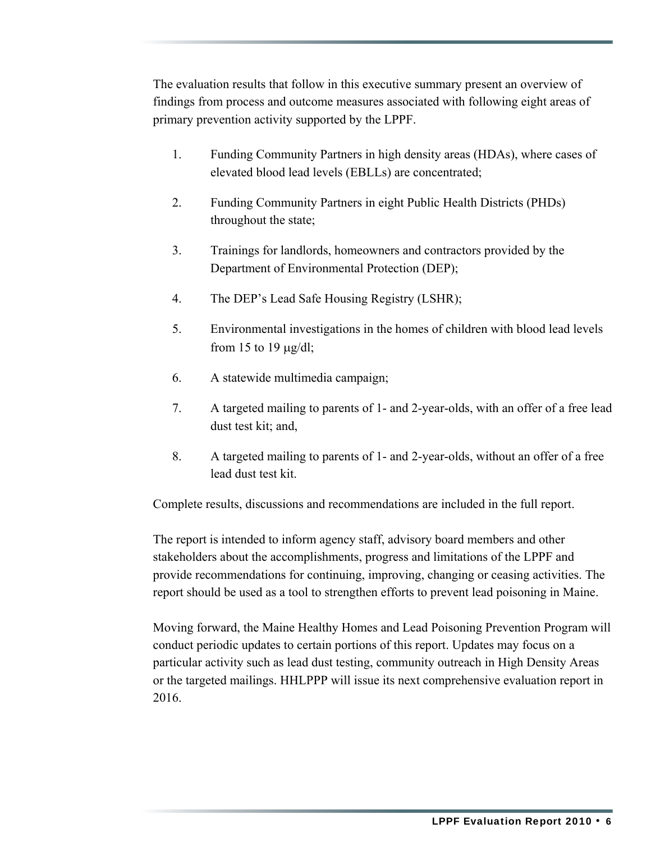The evaluation results that follow in this executive summary present an overview of findings from process and outcome measures associated with following eight areas of primary prevention activity supported by the LPPF.

- 1. Funding Community Partners in high density areas (HDAs), where cases of elevated blood lead levels (EBLLs) are concentrated;
- 2. Funding Community Partners in eight Public Health Districts (PHDs) throughout the state;
- 3. Trainings for landlords, homeowners and contractors provided by the Department of Environmental Protection (DEP);
- 4. The DEP's Lead Safe Housing Registry (LSHR);
- 5. Environmental investigations in the homes of children with blood lead levels from 15 to 19  $\mu$ g/dl;
- 6. A statewide multimedia campaign;
- 7. A targeted mailing to parents of 1- and 2-year-olds, with an offer of a free lead dust test kit; and,
- 8. A targeted mailing to parents of 1- and 2-year-olds, without an offer of a free lead dust test kit.

Complete results, discussions and recommendations are included in the full report.

The report is intended to inform agency staff, advisory board members and other stakeholders about the accomplishments, progress and limitations of the LPPF and provide recommendations for continuing, improving, changing or ceasing activities. The report should be used as a tool to strengthen efforts to prevent lead poisoning in Maine.

Moving forward, the Maine Healthy Homes and Lead Poisoning Prevention Program will conduct periodic updates to certain portions of this report. Updates may focus on a particular activity such as lead dust testing, community outreach in High Density Areas or the targeted mailings. HHLPPP will issue its next comprehensive evaluation report in 2016.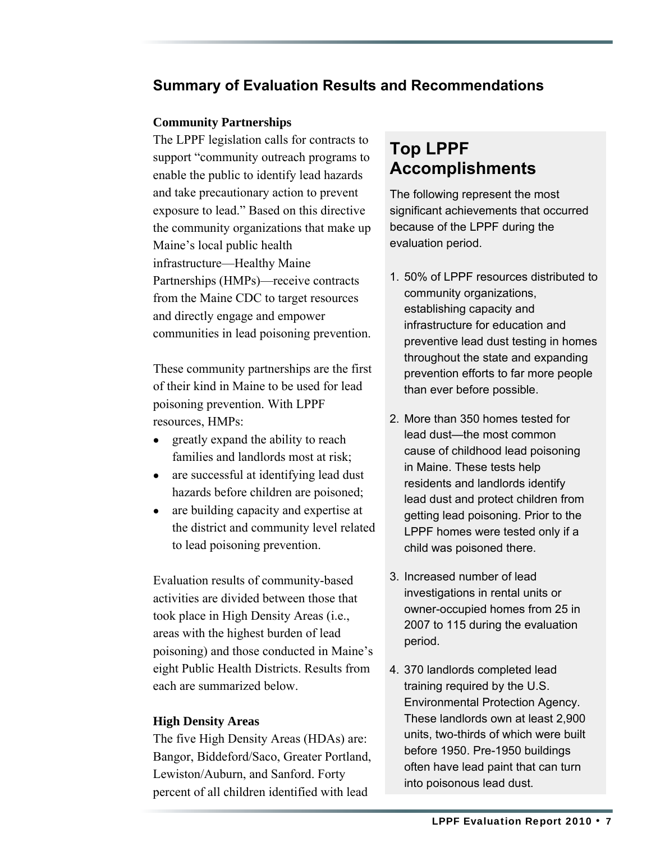#### **Summary of Evaluation Results and Recommendations**

#### **Community Partnerships**

The LPPF legislation calls for contracts to support "community outreach programs to enable the public to identify lead hazards and take precautionary action to prevent exposure to lead." Based on this directive the community organizations that make up Maine's local public health infrastructure—Healthy Maine Partnerships (HMPs)—receive contracts from the Maine CDC to target resources and directly engage and empower communities in lead poisoning prevention.

These community partnerships are the first of their kind in Maine to be used for lead poisoning prevention. With LPPF resources, HMPs:

- greatly expand the ability to reach families and landlords most at risk;
- are successful at identifying lead dust hazards before children are poisoned;
- are building capacity and expertise at the district and community level related to lead poisoning prevention.

Evaluation results of community-based activities are divided between those that took place in High Density Areas (i.e., areas with the highest burden of lead poisoning) and those conducted in Maine's eight Public Health Districts. Results from each are summarized below.

#### **High Density Areas**

The five High Density Areas (HDAs) are: Bangor, Biddeford/Saco, Greater Portland, Lewiston/Auburn, and Sanford. Forty percent of all children identified with lead

### **Top LPPF Accomplishments**

The following represent the most significant achievements that occurred because of the LPPF during the evaluation period.

- 1. 50% of LPPF resources distributed to community organizations, establishing capacity and infrastructure for education and preventive lead dust testing in homes throughout the state and expanding prevention efforts to far more people than ever before possible.
- 2. More than 350 homes tested for lead dust—the most common cause of childhood lead poisoning in Maine. These tests help residents and landlords identify lead dust and protect children from getting lead poisoning. Prior to the LPPF homes were tested only if a child was poisoned there.
- 3. Increased number of lead investigations in rental units or owner-occupied homes from 25 in 2007 to 115 during the evaluation period.
- 4. 370 landlords completed lead training required by the U.S. Environmental Protection Agency. These landlords own at least 2,900 units, two-thirds of which were built before 1950. Pre-1950 buildings often have lead paint that can turn into poisonous lead dust.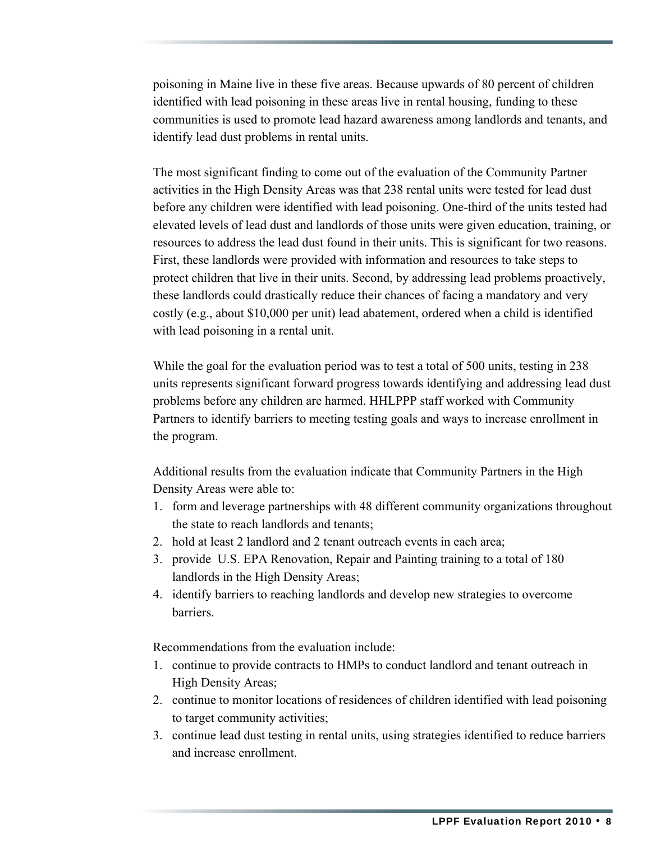poisoning in Maine live in these five areas. Because upwards of 80 percent of children identified with lead poisoning in these areas live in rental housing, funding to these communities is used to promote lead hazard awareness among landlords and tenants, and identify lead dust problems in rental units.

The most significant finding to come out of the evaluation of the Community Partner activities in the High Density Areas was that 238 rental units were tested for lead dust before any children were identified with lead poisoning. One-third of the units tested had elevated levels of lead dust and landlords of those units were given education, training, or resources to address the lead dust found in their units. This is significant for two reasons. First, these landlords were provided with information and resources to take steps to protect children that live in their units. Second, by addressing lead problems proactively, these landlords could drastically reduce their chances of facing a mandatory and very costly (e.g., about \$10,000 per unit) lead abatement, ordered when a child is identified with lead poisoning in a rental unit.

While the goal for the evaluation period was to test a total of 500 units, testing in 238 units represents significant forward progress towards identifying and addressing lead dust problems before any children are harmed. HHLPPP staff worked with Community Partners to identify barriers to meeting testing goals and ways to increase enrollment in the program.

Additional results from the evaluation indicate that Community Partners in the High Density Areas were able to:

- 1. form and leverage partnerships with 48 different community organizations throughout the state to reach landlords and tenants;
- 2. hold at least 2 landlord and 2 tenant outreach events in each area;
- 3. provide U.S. EPA Renovation, Repair and Painting training to a total of 180 landlords in the High Density Areas;
- 4. identify barriers to reaching landlords and develop new strategies to overcome barriers.

Recommendations from the evaluation include:

- 1. continue to provide contracts to HMPs to conduct landlord and tenant outreach in High Density Areas;
- 2. continue to monitor locations of residences of children identified with lead poisoning to target community activities;
- 3. continue lead dust testing in rental units, using strategies identified to reduce barriers and increase enrollment.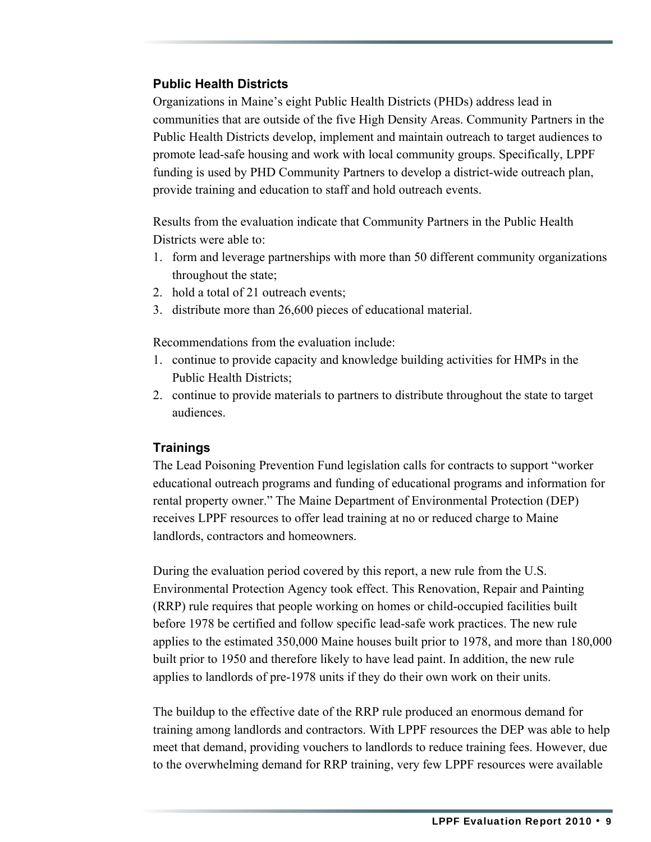#### **Public Health Districts**

Organizations in Maine's eight Public Health Districts (PHDs) address lead in communities that are outside of the five High Density Areas. Community Partners in the Public Health Districts develop, implement and maintain outreach to target audiences to promote lead-safe housing and work with local community groups. Specifically, LPPF funding is used by PHD Community Partners to develop a district-wide outreach plan, provide training and education to staff and hold outreach events.

Results from the evaluation indicate that Community Partners in the Public Health Districts were able to:

- 1. form and leverage partnerships with more than 50 different community organizations throughout the state;
- 2. hold a total of 21 outreach events;
- 3. distribute more than 26,600 pieces of educational material.

Recommendations from the evaluation include:

- 1. continue to provide capacity and knowledge building activities for HMPs in the Public Health Districts;
- 2. continue to provide materials to partners to distribute throughout the state to target audiences.

#### **Trainings**

The Lead Poisoning Prevention Fund legislation calls for contracts to support "worker educational outreach programs and funding of educational programs and information for rental property owner." The Maine Department of Environmental Protection (DEP) receives LPPF resources to offer lead training at no or reduced charge to Maine landlords, contractors and homeowners.

During the evaluation period covered by this report, a new rule from the U.S. Environmental Protection Agency took effect. This Renovation, Repair and Painting (RRP) rule requires that people working on homes or child-occupied facilities built before 1978 be certified and follow specific lead-safe work practices. The new rule applies to the estimated 350,000 Maine houses built prior to 1978, and more than 180,000 built prior to 1950 and therefore likely to have lead paint. In addition, the new rule applies to landlords of pre-1978 units if they do their own work on their units.

The buildup to the effective date of the RRP rule produced an enormous demand for training among landlords and contractors. With LPPF resources the DEP was able to help meet that demand, providing vouchers to landlords to reduce training fees. However, due to the overwhelming demand for RRP training, very few LPPF resources were available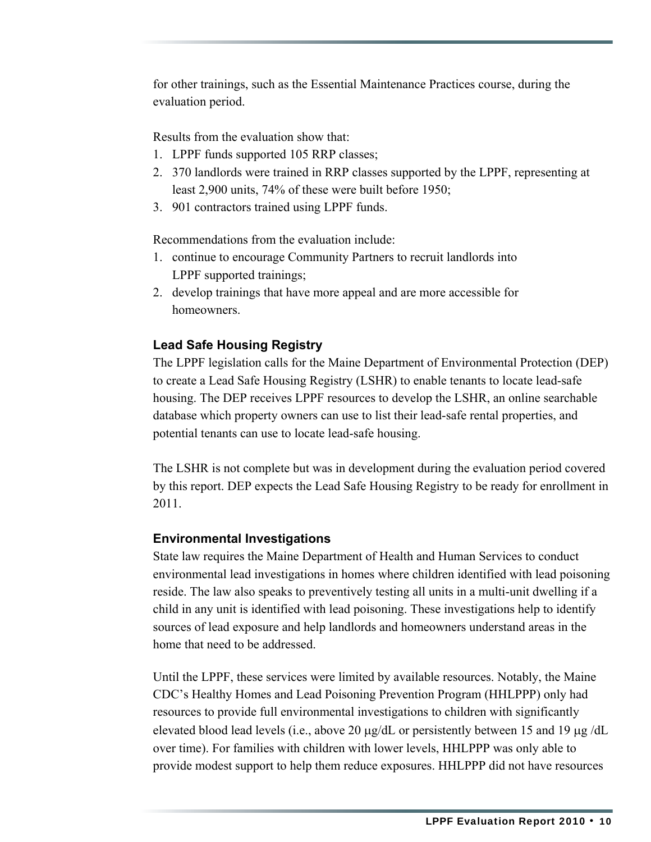for other trainings, such as the Essential Maintenance Practices course, during the evaluation period.

Results from the evaluation show that:

- 1. LPPF funds supported 105 RRP classes;
- 2. 370 landlords were trained in RRP classes supported by the LPPF, representing at least 2,900 units, 74% of these were built before 1950;
- 3. 901 contractors trained using LPPF funds.

Recommendations from the evaluation include:

- 1. continue to encourage Community Partners to recruit landlords into LPPF supported trainings;
- 2. develop trainings that have more appeal and are more accessible for homeowners.

#### **Lead Safe Housing Registry**

The LPPF legislation calls for the Maine Department of Environmental Protection (DEP) to create a Lead Safe Housing Registry (LSHR) to enable tenants to locate lead-safe housing. The DEP receives LPPF resources to develop the LSHR, an online searchable database which property owners can use to list their lead-safe rental properties, and potential tenants can use to locate lead-safe housing.

The LSHR is not complete but was in development during the evaluation period covered by this report. DEP expects the Lead Safe Housing Registry to be ready for enrollment in 2011.

#### **Environmental Investigations**

State law requires the Maine Department of Health and Human Services to conduct environmental lead investigations in homes where children identified with lead poisoning reside. The law also speaks to preventively testing all units in a multi-unit dwelling if a child in any unit is identified with lead poisoning. These investigations help to identify sources of lead exposure and help landlords and homeowners understand areas in the home that need to be addressed.

Until the LPPF, these services were limited by available resources. Notably, the Maine CDC's Healthy Homes and Lead Poisoning Prevention Program (HHLPPP) only had resources to provide full environmental investigations to children with significantly elevated blood lead levels (i.e., above 20 μg/dL or persistently between 15 and 19 μg /dL over time). For families with children with lower levels, HHLPPP was only able to provide modest support to help them reduce exposures. HHLPPP did not have resources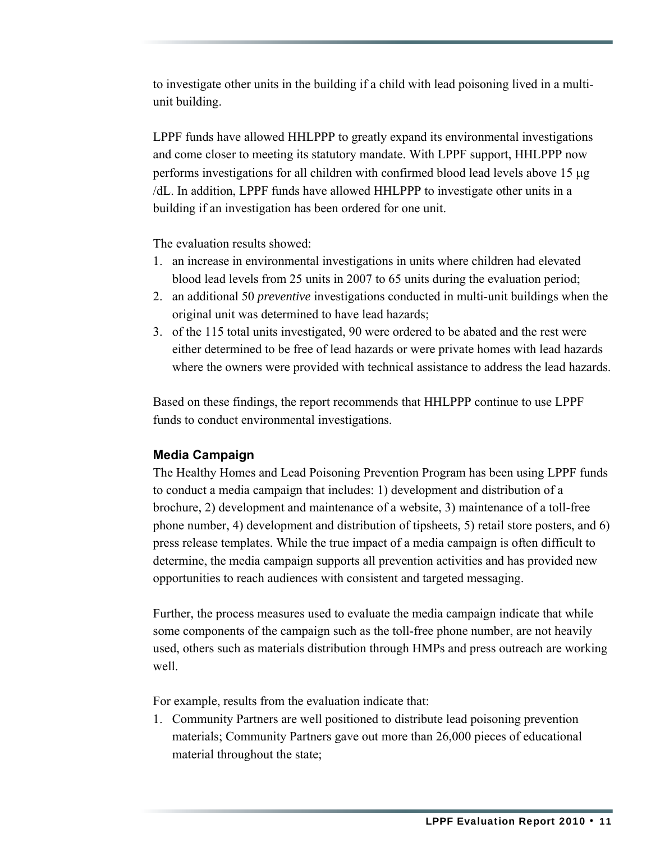to investigate other units in the building if a child with lead poisoning lived in a multiunit building.

LPPF funds have allowed HHLPPP to greatly expand its environmental investigations and come closer to meeting its statutory mandate. With LPPF support, HHLPPP now performs investigations for all children with confirmed blood lead levels above 15 μg /dL. In addition, LPPF funds have allowed HHLPPP to investigate other units in a building if an investigation has been ordered for one unit.

The evaluation results showed:

- 1. an increase in environmental investigations in units where children had elevated blood lead levels from 25 units in 2007 to 65 units during the evaluation period;
- 2. an additional 50 *preventive* investigations conducted in multi-unit buildings when the original unit was determined to have lead hazards;
- 3. of the 115 total units investigated, 90 were ordered to be abated and the rest were either determined to be free of lead hazards or were private homes with lead hazards where the owners were provided with technical assistance to address the lead hazards.

Based on these findings, the report recommends that HHLPPP continue to use LPPF funds to conduct environmental investigations.

#### **Media Campaign**

The Healthy Homes and Lead Poisoning Prevention Program has been using LPPF funds to conduct a media campaign that includes: 1) development and distribution of a brochure, 2) development and maintenance of a website, 3) maintenance of a toll-free phone number, 4) development and distribution of tipsheets, 5) retail store posters, and 6) press release templates. While the true impact of a media campaign is often difficult to determine, the media campaign supports all prevention activities and has provided new opportunities to reach audiences with consistent and targeted messaging.

Further, the process measures used to evaluate the media campaign indicate that while some components of the campaign such as the toll-free phone number, are not heavily used, others such as materials distribution through HMPs and press outreach are working well.

For example, results from the evaluation indicate that:

1. Community Partners are well positioned to distribute lead poisoning prevention materials; Community Partners gave out more than 26,000 pieces of educational material throughout the state;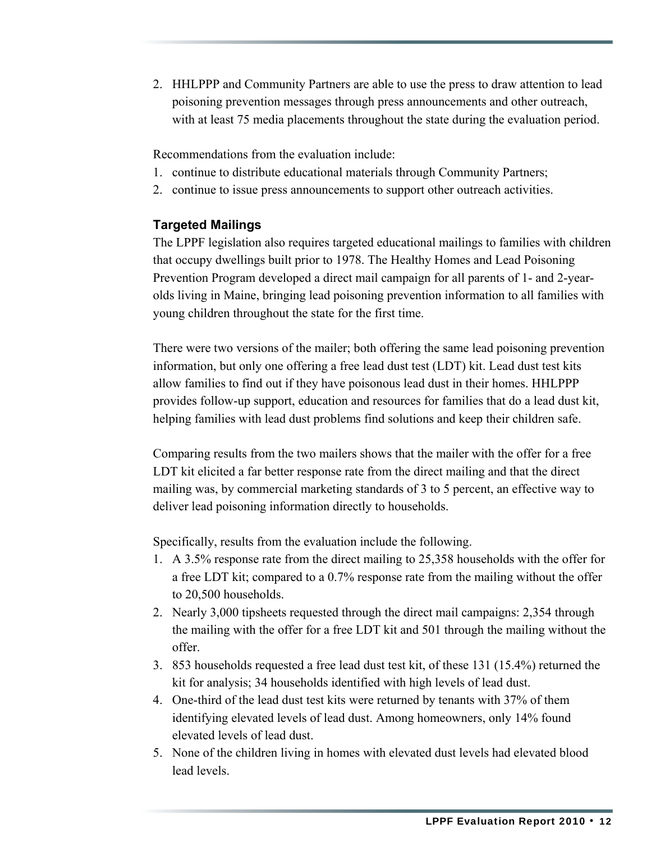2. HHLPPP and Community Partners are able to use the press to draw attention to lead poisoning prevention messages through press announcements and other outreach, with at least 75 media placements throughout the state during the evaluation period.

Recommendations from the evaluation include:

- 1. continue to distribute educational materials through Community Partners;
- 2. continue to issue press announcements to support other outreach activities.

#### **Targeted Mailings**

The LPPF legislation also requires targeted educational mailings to families with children that occupy dwellings built prior to 1978. The Healthy Homes and Lead Poisoning Prevention Program developed a direct mail campaign for all parents of 1- and 2-yearolds living in Maine, bringing lead poisoning prevention information to all families with young children throughout the state for the first time.

There were two versions of the mailer; both offering the same lead poisoning prevention information, but only one offering a free lead dust test (LDT) kit. Lead dust test kits allow families to find out if they have poisonous lead dust in their homes. HHLPPP provides follow-up support, education and resources for families that do a lead dust kit, helping families with lead dust problems find solutions and keep their children safe.

Comparing results from the two mailers shows that the mailer with the offer for a free LDT kit elicited a far better response rate from the direct mailing and that the direct mailing was, by commercial marketing standards of 3 to 5 percent, an effective way to deliver lead poisoning information directly to households.

Specifically, results from the evaluation include the following.

- 1. A 3.5% response rate from the direct mailing to 25,358 households with the offer for a free LDT kit; compared to a 0.7% response rate from the mailing without the offer to 20,500 households.
- 2. Nearly 3,000 tipsheets requested through the direct mail campaigns: 2,354 through the mailing with the offer for a free LDT kit and 501 through the mailing without the offer.
- 3. 853 households requested a free lead dust test kit, of these 131 (15.4%) returned the kit for analysis; 34 households identified with high levels of lead dust.
- 4. One-third of the lead dust test kits were returned by tenants with 37% of them identifying elevated levels of lead dust. Among homeowners, only 14% found elevated levels of lead dust.
- 5. None of the children living in homes with elevated dust levels had elevated blood lead levels.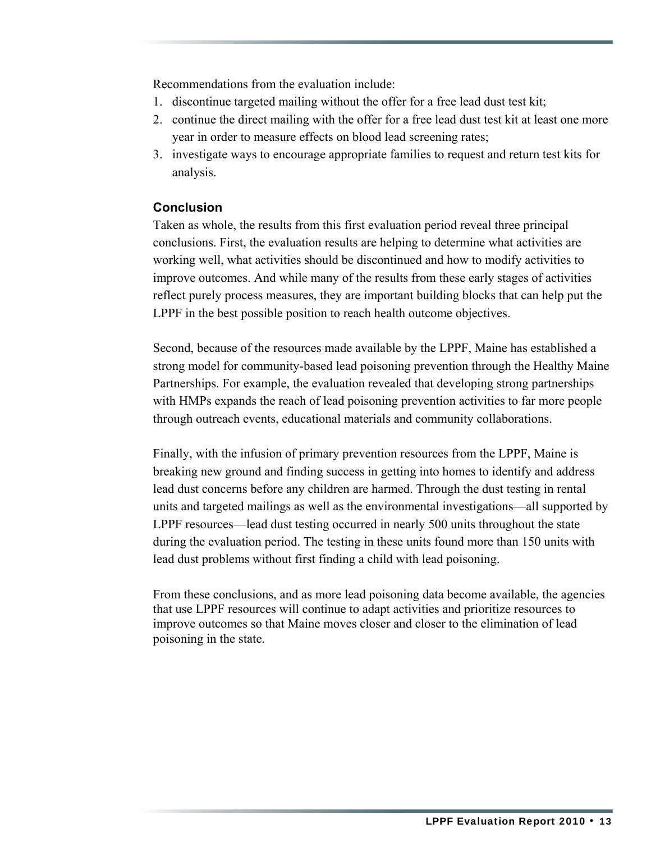Recommendations from the evaluation include:

- 1. discontinue targeted mailing without the offer for a free lead dust test kit;
- 2. continue the direct mailing with the offer for a free lead dust test kit at least one more year in order to measure effects on blood lead screening rates;
- 3. investigate ways to encourage appropriate families to request and return test kits for analysis.

#### **Conclusion**

Taken as whole, the results from this first evaluation period reveal three principal conclusions. First, the evaluation results are helping to determine what activities are working well, what activities should be discontinued and how to modify activities to improve outcomes. And while many of the results from these early stages of activities reflect purely process measures, they are important building blocks that can help put the LPPF in the best possible position to reach health outcome objectives.

Second, because of the resources made available by the LPPF, Maine has established a strong model for community-based lead poisoning prevention through the Healthy Maine Partnerships. For example, the evaluation revealed that developing strong partnerships with HMPs expands the reach of lead poisoning prevention activities to far more people through outreach events, educational materials and community collaborations.

Finally, with the infusion of primary prevention resources from the LPPF, Maine is breaking new ground and finding success in getting into homes to identify and address lead dust concerns before any children are harmed. Through the dust testing in rental units and targeted mailings as well as the environmental investigations—all supported by LPPF resources—lead dust testing occurred in nearly 500 units throughout the state during the evaluation period. The testing in these units found more than 150 units with lead dust problems without first finding a child with lead poisoning.

From these conclusions, and as more lead poisoning data become available, the agencies that use LPPF resources will continue to adapt activities and prioritize resources to improve outcomes so that Maine moves closer and closer to the elimination of lead poisoning in the state.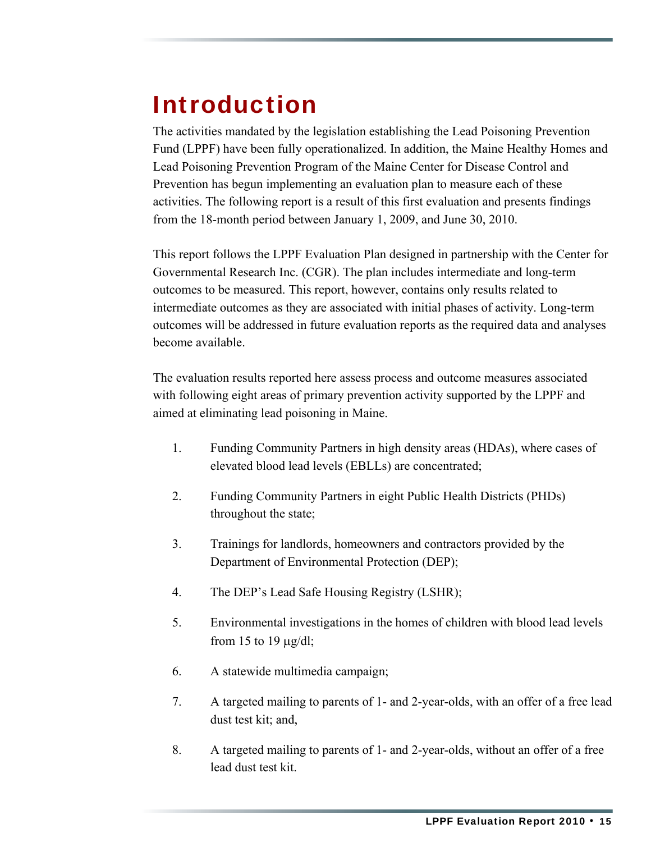## <span id="page-19-0"></span>Introduction

The activities mandated by the legislation establishing the Lead Poisoning Prevention Fund (LPPF) have been fully operationalized. In addition, the Maine Healthy Homes and Lead Poisoning Prevention Program of the Maine Center for Disease Control and Prevention has begun implementing an evaluation plan to measure each of these activities. The following report is a result of this first evaluation and presents findings from the 18-month period between January 1, 2009, and June 30, 2010.

This report follows the LPPF Evaluation Plan designed in partnership with the Center for Governmental Research Inc. (CGR). The plan includes intermediate and long-term outcomes to be measured. This report, however, contains only results related to intermediate outcomes as they are associated with initial phases of activity. Long-term outcomes will be addressed in future evaluation reports as the required data and analyses become available.

The evaluation results reported here assess process and outcome measures associated with following eight areas of primary prevention activity supported by the LPPF and aimed at eliminating lead poisoning in Maine.

- 1. Funding Community Partners in high density areas (HDAs), where cases of elevated blood lead levels (EBLLs) are concentrated;
- 2. Funding Community Partners in eight Public Health Districts (PHDs) throughout the state;
- 3. Trainings for landlords, homeowners and contractors provided by the Department of Environmental Protection (DEP);
- 4. The DEP's Lead Safe Housing Registry (LSHR);
- 5. Environmental investigations in the homes of children with blood lead levels from 15 to 19 μg/dl;
- 6. A statewide multimedia campaign;
- 7. A targeted mailing to parents of 1- and 2-year-olds, with an offer of a free lead dust test kit; and,
- 8. A targeted mailing to parents of 1- and 2-year-olds, without an offer of a free lead dust test kit.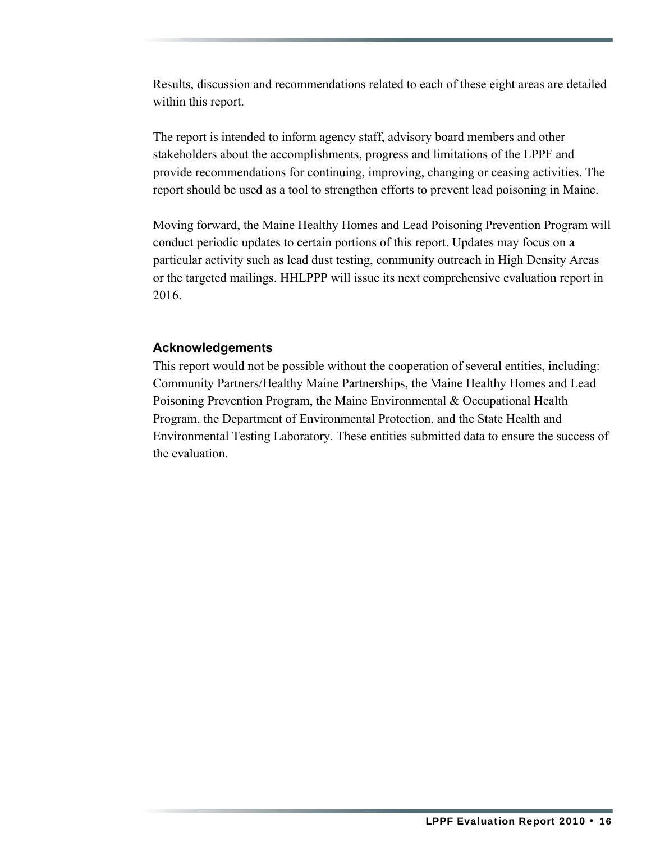Results, discussion and recommendations related to each of these eight areas are detailed within this report.

The report is intended to inform agency staff, advisory board members and other stakeholders about the accomplishments, progress and limitations of the LPPF and provide recommendations for continuing, improving, changing or ceasing activities. The report should be used as a tool to strengthen efforts to prevent lead poisoning in Maine.

Moving forward, the Maine Healthy Homes and Lead Poisoning Prevention Program will conduct periodic updates to certain portions of this report. Updates may focus on a particular activity such as lead dust testing, community outreach in High Density Areas or the targeted mailings. HHLPPP will issue its next comprehensive evaluation report in 2016.

#### **Acknowledgements**

This report would not be possible without the cooperation of several entities, including: Community Partners/Healthy Maine Partnerships, the Maine Healthy Homes and Lead Poisoning Prevention Program, the Maine Environmental & Occupational Health Program, the Department of Environmental Protection, and the State Health and Environmental Testing Laboratory. These entities submitted data to ensure the success of the evaluation.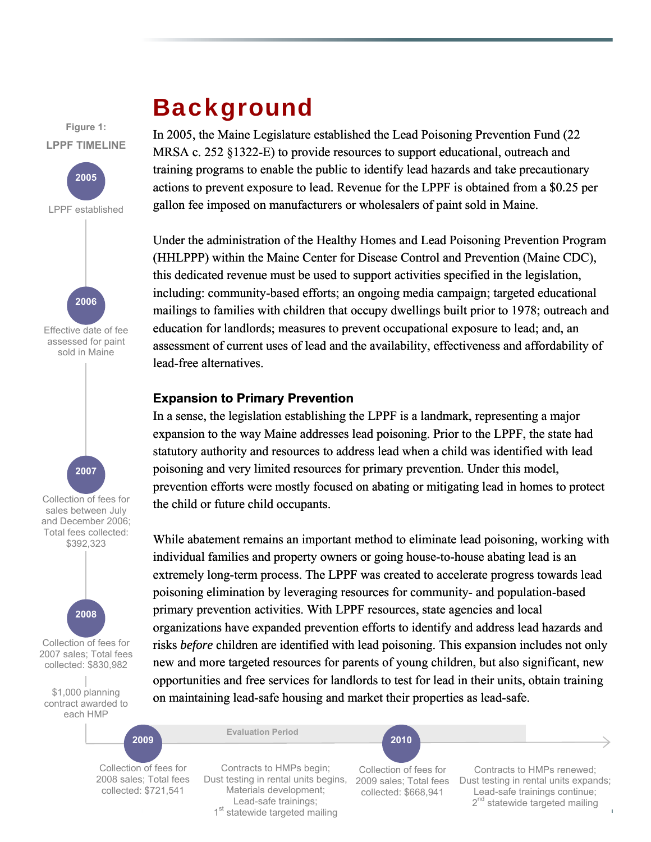### Background

<span id="page-21-0"></span>**Figure 1:** In 2005, the Maine Legislature established the Lead Poisoning Prevention Fund (22 MRSA c. 252 §1322-E) to provide resources to support educational, outreach and training programs to enable the public to identify lead hazards and take precautionary actions to prevent exposure to lead. Revenue for the LPPF is obtained from a \$0.25 per gallon fee imposed on manufacturers or wholesalers of paint sold in Maine.

> Under the administration of the Healthy Homes and Lead Poisoning Prevention Program (HHLPPP) within the Maine Center for Disease Control and Prevention (Maine CDC), this dedicated revenue must be used to support activities specified in the legislation, including: community-based efforts; an ongoing media campaign; targeted educational mailings to families with children that occupy dwellings built prior to 1978; outreach and education for landlords; measures to prevent occupational exposure to lead; and, an assessment of current uses of lead and the availability, effectiveness and affordability of lead-free alternatives.

#### **Expansion to Primary Prevention**

In a sense, the legislation establishing the LPPF is a landmark, representing a major expansion to the way Maine addresses lead poisoning. Prior to the LPPF, the state had statutory authority and resources to address lead when a child was identified with lead poisoning and very limited resources for primary prevention. Under this model, prevention efforts were mostly focused on abating or mitigating lead in homes to protect the child or future child occupants.

While abatement remains an important method to eliminate lead poisoning, working with individual families and property owners or going house-to-house abating lead is an extremely long-term process. The LPPF was created to accelerate progress towards lead poisoning elimination by leveraging resources for community- and population-based primary prevention activities. With LPPF resources, state agencies and local organizations have expanded prevention efforts to identify and address lead hazards and risks *before* children are identified with lead poisoning. This expansion includes not only new and more targeted resources for parents of young children, but also significant, new opportunities and free services for landlords to test for lead in their units, obtain training on maintaining lead-safe housing and market their properties as lead-safe.

Collection of fees for 2008 sales; Total fees collected: \$721,541

Dust testing in rental units begins, 2009 sales; Total fees Contracts to HMPs begin; Materials development; Lead-safe trainings; 1<sup>st</sup> statewide targeted mailing

**Evaluation Period** 

Collection of fees for collected: \$668,941

Contracts to HMPs renewed; Dust testing in rental units expands; Lead-safe trainings continue; 2<sup>nd</sup> statewide targeted mailing

 $\rightarrow$ 

Collection of fees for sales between July and December 2006; Total fees collected: \$392,323 Effective date of fee assessed for paint sold in Maine **2007 2006** 

**LPPF TIMELINE** 

**2005** 

LPPF established



Collection of fees for 2007 sales; Total fees collected: \$830,982

\$1,000 planning contract awarded to each HMP

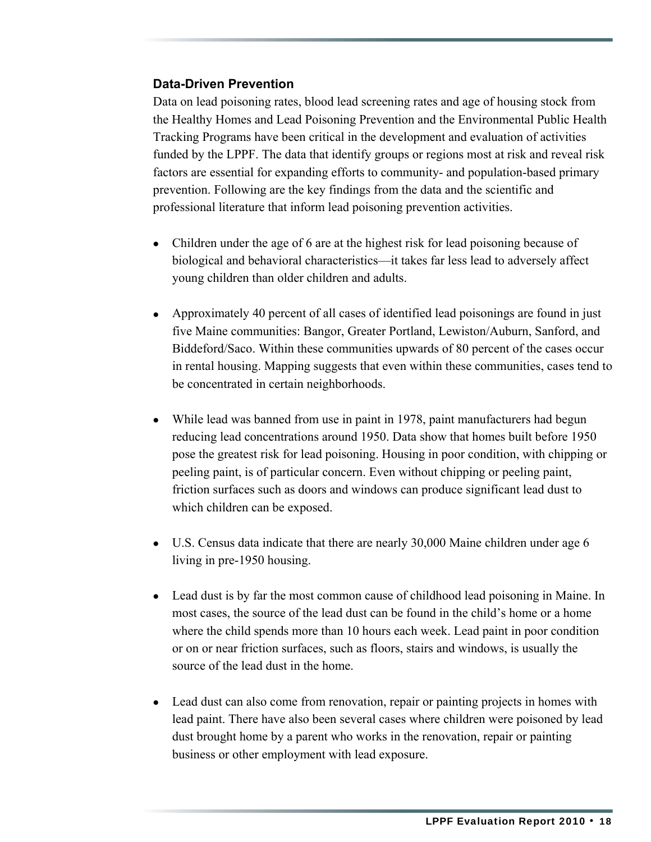#### **Data-Driven Prevention**

Data on lead poisoning rates, blood lead screening rates and age of housing stock from the Healthy Homes and Lead Poisoning Prevention and the Environmental Public Health Tracking Programs have been critical in the development and evaluation of activities funded by the LPPF. The data that identify groups or regions most at risk and reveal risk factors are essential for expanding efforts to community- and population-based primary prevention. Following are the key findings from the data and the scientific and professional literature that inform lead poisoning prevention activities.

- Children under the age of 6 are at the highest risk for lead poisoning because of biological and behavioral characteristics—it takes far less lead to adversely affect young children than older children and adults.
- Approximately 40 percent of all cases of identified lead poisonings are found in just five Maine communities: Bangor, Greater Portland, Lewiston/Auburn, Sanford, and Biddeford/Saco. Within these communities upwards of 80 percent of the cases occur in rental housing. Mapping suggests that even within these communities, cases tend to be concentrated in certain neighborhoods.
- While lead was banned from use in paint in 1978, paint manufacturers had begun reducing lead concentrations around 1950. Data show that homes built before 1950 pose the greatest risk for lead poisoning. Housing in poor condition, with chipping or peeling paint, is of particular concern. Even without chipping or peeling paint, friction surfaces such as doors and windows can produce significant lead dust to which children can be exposed.
- U.S. Census data indicate that there are nearly 30,000 Maine children under age 6 living in pre-1950 housing.
- Lead dust is by far the most common cause of childhood lead poisoning in Maine. In most cases, the source of the lead dust can be found in the child's home or a home where the child spends more than 10 hours each week. Lead paint in poor condition or on or near friction surfaces, such as floors, stairs and windows, is usually the source of the lead dust in the home.
- Lead dust can also come from renovation, repair or painting projects in homes with lead paint. There have also been several cases where children were poisoned by lead dust brought home by a parent who works in the renovation, repair or painting business or other employment with lead exposure.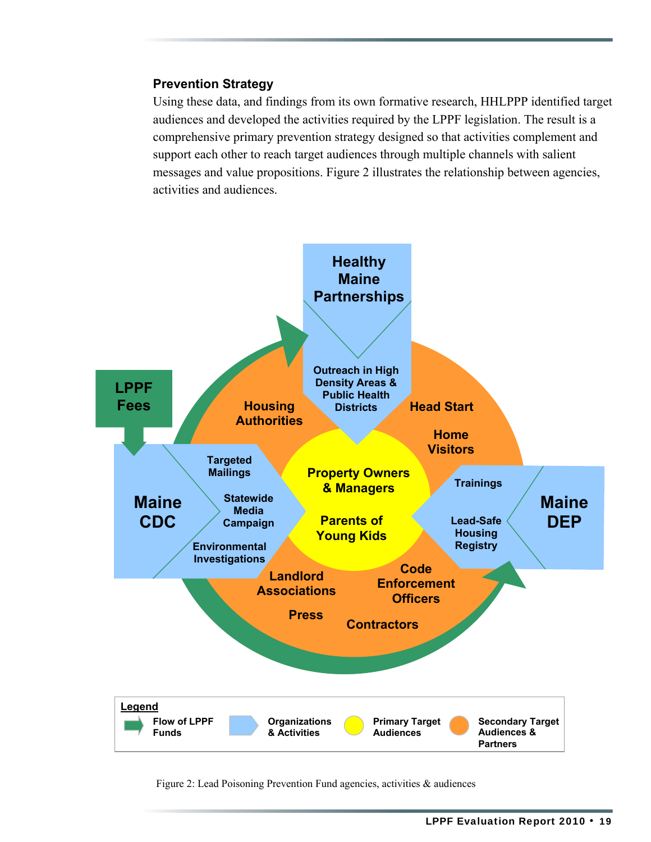#### **Prevention Strategy**

Using these data, and findings from its own formative research, HHLPPP identified target audiences and developed the activities required by the LPPF legislation. The result is a comprehensive primary prevention strategy designed so that activities complement and support each other to reach target audiences through multiple channels with salient messages and value propositions. Figure 2 illustrates the relationship between agencies, activities and audiences.



Figure 2: Lead Poisoning Prevention Fund agencies, activities & audiences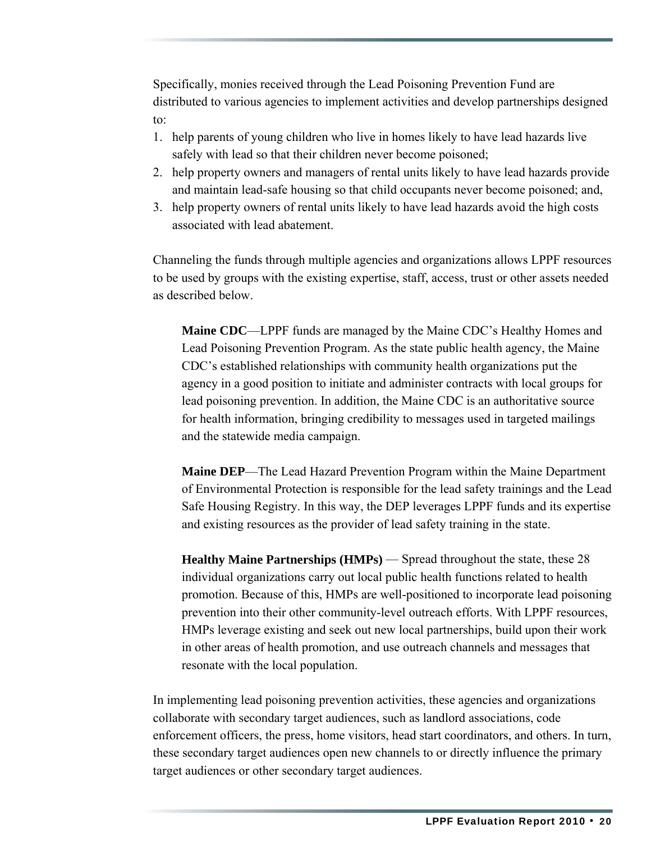Specifically, monies received through the Lead Poisoning Prevention Fund are distributed to various agencies to implement activities and develop partnerships designed to:

- 1. help parents of young children who live in homes likely to have lead hazards live safely with lead so that their children never become poisoned;
- 2. help property owners and managers of rental units likely to have lead hazards provide and maintain lead-safe housing so that child occupants never become poisoned; and,
- 3. help property owners of rental units likely to have lead hazards avoid the high costs associated with lead abatement.

Channeling the funds through multiple agencies and organizations allows LPPF resources to be used by groups with the existing expertise, staff, access, trust or other assets needed as described below.

**Maine CDC**—LPPF funds are managed by the Maine CDC's Healthy Homes and Lead Poisoning Prevention Program. As the state public health agency, the Maine CDC's established relationships with community health organizations put the agency in a good position to initiate and administer contracts with local groups for lead poisoning prevention. In addition, the Maine CDC is an authoritative source for health information, bringing credibility to messages used in targeted mailings and the statewide media campaign.

**Maine DEP**—The Lead Hazard Prevention Program within the Maine Department of Environmental Protection is responsible for the lead safety trainings and the Lead Safe Housing Registry. In this way, the DEP leverages LPPF funds and its expertise and existing resources as the provider of lead safety training in the state.

**Healthy Maine Partnerships (HMPs)** — Spread throughout the state, these 28 individual organizations carry out local public health functions related to health promotion. Because of this, HMPs are well-positioned to incorporate lead poisoning prevention into their other community-level outreach efforts. With LPPF resources, HMPs leverage existing and seek out new local partnerships, build upon their work in other areas of health promotion, and use outreach channels and messages that resonate with the local population.

In implementing lead poisoning prevention activities, these agencies and organizations collaborate with secondary target audiences, such as landlord associations, code enforcement officers, the press, home visitors, head start coordinators, and others. In turn, these secondary target audiences open new channels to or directly influence the primary target audiences or other secondary target audiences.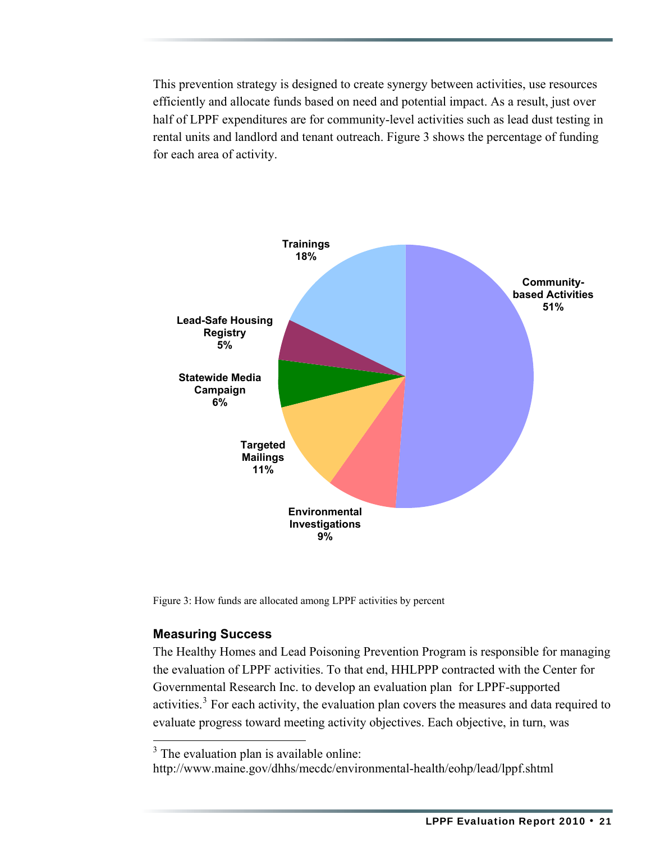This prevention strategy is designed to create synergy between activities, use resources efficiently and allocate funds based on need and potential impact. As a result, just over half of LPPF expenditures are for community-level activities such as lead dust testing in rental units and landlord and tenant outreach. Figure 3 shows the percentage of funding for each area of activity.



Figure 3: How funds are allocated among LPPF activities by percent

#### **Measuring Success**

The Healthy Homes and Lead Poisoning Prevention Program is responsible for managing the evaluation of LPPF activities. To that end, HHLPPP contracted with the Center for Governmental Research Inc. to develop an evaluation plan for LPPF-supported activities.<sup>[3](#page-25-0)</sup> For each activity, the evaluation plan covers the measures and data required to evaluate progress toward meeting activity objectives. Each objective, in turn, was

<span id="page-25-0"></span>http://www.maine.gov/dhhs/mecdc/environmental-health/eohp/lead/lppf.shtml

 $3$  The evaluation plan is available online: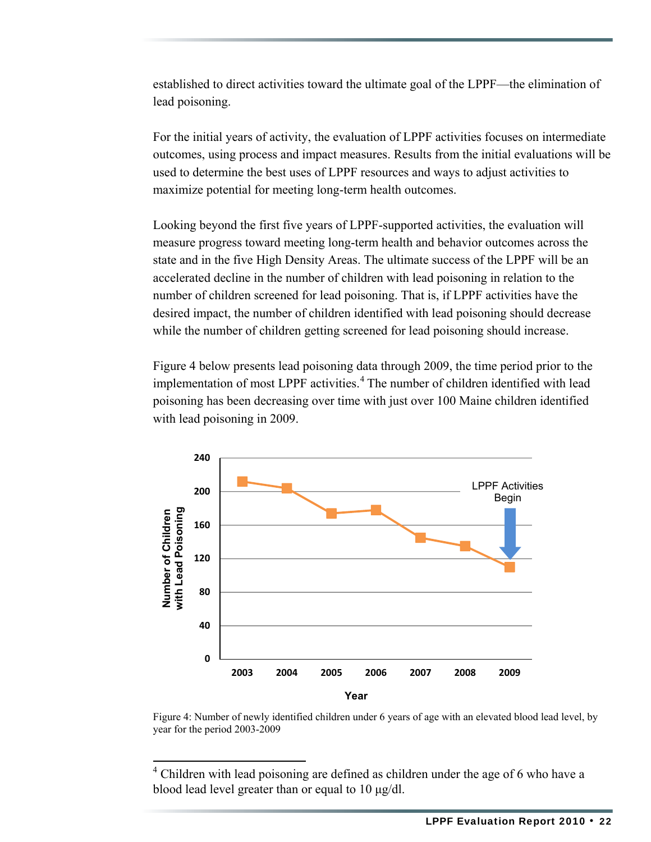established to direct activities toward the ultimate goal of the LPPF—the elimination of lead poisoning.

For the initial years of activity, the evaluation of LPPF activities focuses on intermediate outcomes, using process and impact measures. Results from the initial evaluations will be used to determine the best uses of LPPF resources and ways to adjust activities to maximize potential for meeting long-term health outcomes.

Looking beyond the first five years of LPPF-supported activities, the evaluation will measure progress toward meeting long-term health and behavior outcomes across the state and in the five High Density Areas. The ultimate success of the LPPF will be an accelerated decline in the number of children with lead poisoning in relation to the number of children screened for lead poisoning. That is, if LPPF activities have the desired impact, the number of children identified with lead poisoning should decrease while the number of children getting screened for lead poisoning should increase.

Figure 4 below presents lead poisoning data through 2009, the time period prior to the implementation of most LPPF activities.<sup>[4](#page-26-0)</sup> The number of children identified with lead poisoning has been decreasing over time with just over 100 Maine children identified with lead poisoning in 2009.



Figure 4: Number of newly identified children under 6 years of age with an elevated blood lead level, by year for the period 2003-2009

<span id="page-26-0"></span><sup>4</sup> Children with lead poisoning are defined as children under the age of 6 who have a blood lead level greater than or equal to 10 μg/dl.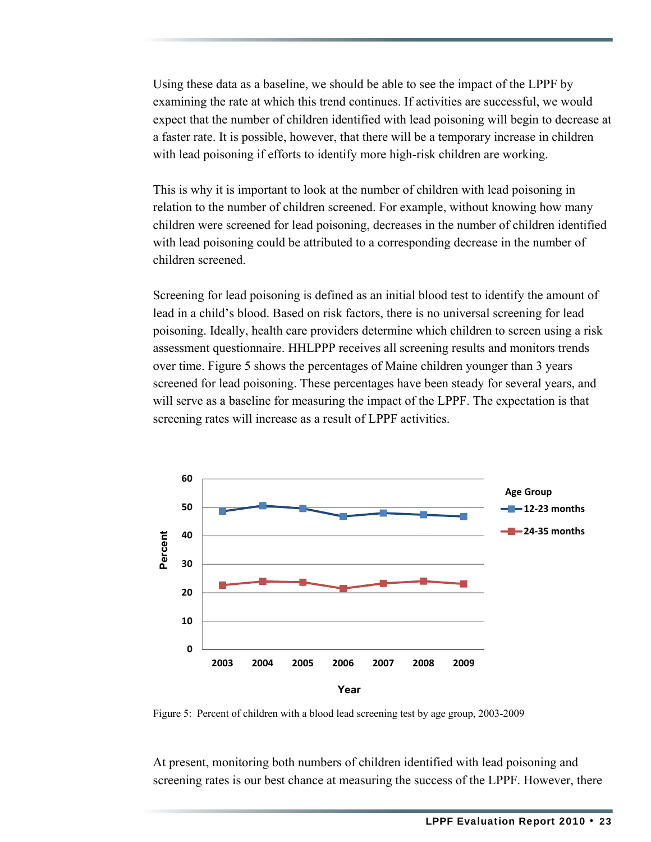Using these data as a baseline, we should be able to see the impact of the LPPF by examining the rate at which this trend continues. If activities are successful, we would expect that the number of children identified with lead poisoning will begin to decrease at a faster rate. It is possible, however, that there will be a temporary increase in children with lead poisoning if efforts to identify more high-risk children are working.

This is why it is important to look at the number of children with lead poisoning in relation to the number of children screened. For example, without knowing how many children were screened for lead poisoning, decreases in the number of children identified with lead poisoning could be attributed to a corresponding decrease in the number of children screened.

Screening for lead poisoning is defined as an initial blood test to identify the amount of lead in a child's blood. Based on risk factors, there is no universal screening for lead poisoning. Ideally, health care providers determine which children to screen using a risk assessment questionnaire. HHLPPP receives all screening results and monitors trends over time. Figure 5 shows the percentages of Maine children younger than 3 years screened for lead poisoning. These percentages have been steady for several years, and will serve as a baseline for measuring the impact of the LPPF. The expectation is that screening rates will increase as a result of LPPF activities.



Figure 5: Percent of children with a blood lead screening test by age group, 2003-2009

At present, monitoring both numbers of children identified with lead poisoning and screening rates is our best chance at measuring the success of the LPPF. However, there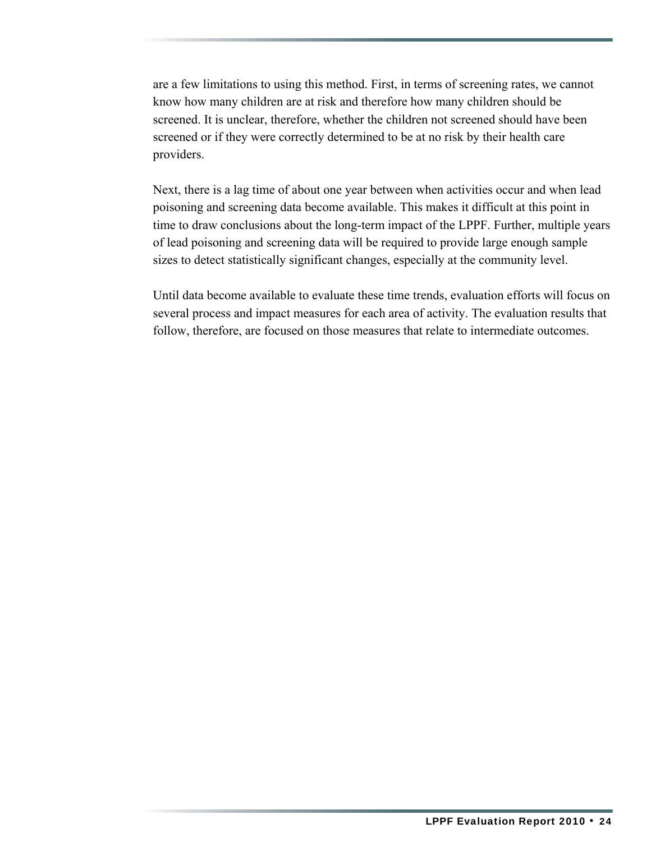are a few limitations to using this method. First, in terms of screening rates, we cannot know how many children are at risk and therefore how many children should be screened. It is unclear, therefore, whether the children not screened should have been screened or if they were correctly determined to be at no risk by their health care providers.

Next, there is a lag time of about one year between when activities occur and when lead poisoning and screening data become available. This makes it difficult at this point in time to draw conclusions about the long-term impact of the LPPF. Further, multiple years of lead poisoning and screening data will be required to provide large enough sample sizes to detect statistically significant changes, especially at the community level.

Until data become available to evaluate these time trends, evaluation efforts will focus on several process and impact measures for each area of activity. The evaluation results that follow, therefore, are focused on those measures that relate to intermediate outcomes.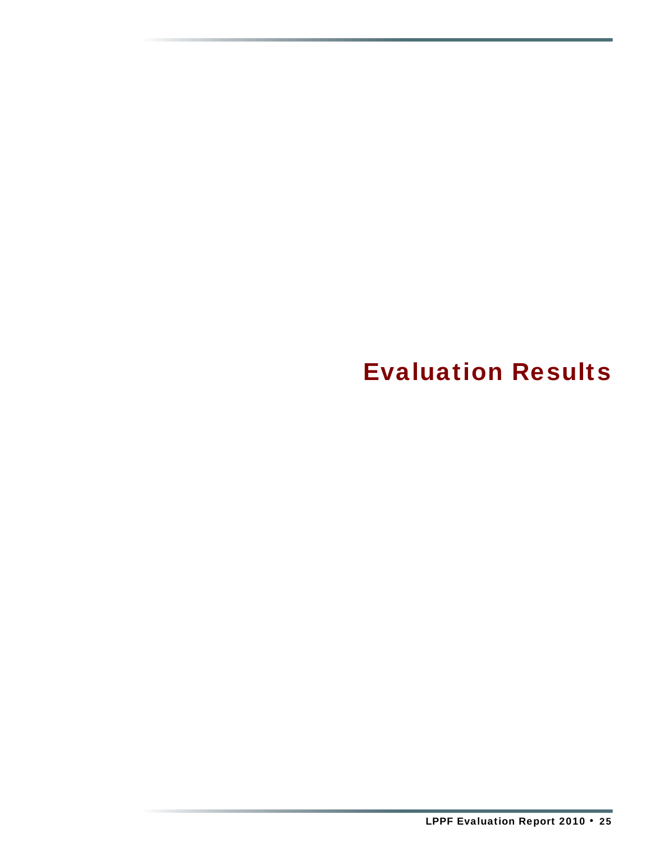<span id="page-29-0"></span>Evaluation Results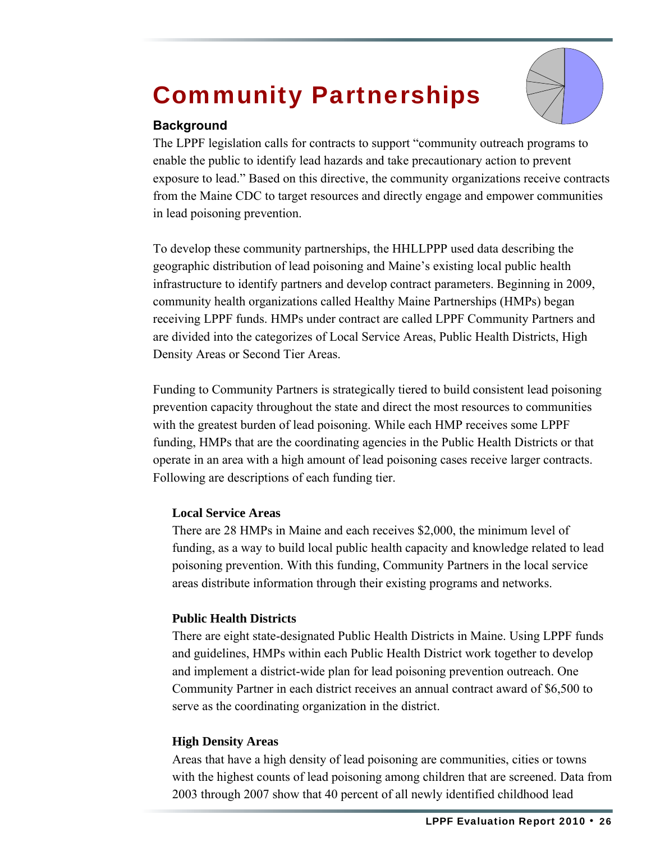## <span id="page-30-0"></span>Community Partnerships



#### **Background**

The LPPF legislation calls for contracts to support "community outreach programs to enable the public to identify lead hazards and take precautionary action to prevent exposure to lead." Based on this directive, the community organizations receive contracts from the Maine CDC to target resources and directly engage and empower communities in lead poisoning prevention.

To develop these community partnerships, the HHLLPPP used data describing the geographic distribution of lead poisoning and Maine's existing local public health infrastructure to identify partners and develop contract parameters. Beginning in 2009, community health organizations called Healthy Maine Partnerships (HMPs) began receiving LPPF funds. HMPs under contract are called LPPF Community Partners and are divided into the categorizes of Local Service Areas, Public Health Districts, High Density Areas or Second Tier Areas.

Funding to Community Partners is strategically tiered to build consistent lead poisoning prevention capacity throughout the state and direct the most resources to communities with the greatest burden of lead poisoning. While each HMP receives some LPPF funding, HMPs that are the coordinating agencies in the Public Health Districts or that operate in an area with a high amount of lead poisoning cases receive larger contracts. Following are descriptions of each funding tier.

#### **Local Service Areas**

There are 28 HMPs in Maine and each receives \$2,000, the minimum level of funding, as a way to build local public health capacity and knowledge related to lead poisoning prevention. With this funding, Community Partners in the local service areas distribute information through their existing programs and networks.

#### **Public Health Districts**

There are eight state-designated Public Health Districts in Maine. Using LPPF funds and guidelines, HMPs within each Public Health District work together to develop and implement a district-wide plan for lead poisoning prevention outreach. One Community Partner in each district receives an annual contract award of \$6,500 to serve as the coordinating organization in the district.

#### **High Density Areas**

Areas that have a high density of lead poisoning are communities, cities or towns with the highest counts of lead poisoning among children that are screened. Data from 2003 through 2007 show that 40 percent of all newly identified childhood lead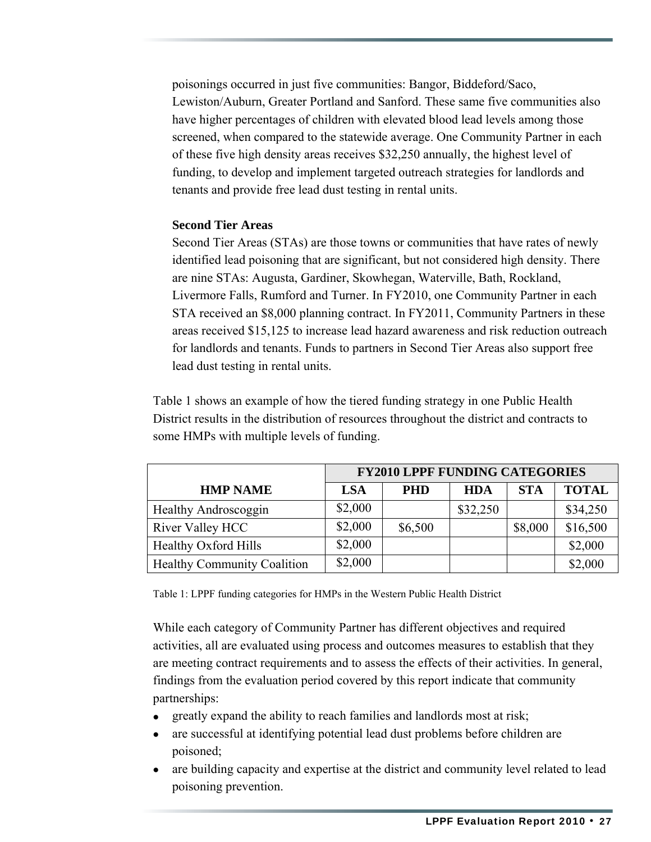poisonings occurred in just five communities: Bangor, Biddeford/Saco, Lewiston/Auburn, Greater Portland and Sanford. These same five communities also have higher percentages of children with elevated blood lead levels among those screened, when compared to the statewide average. One Community Partner in each of these five high density areas receives \$32,250 annually, the highest level of funding, to develop and implement targeted outreach strategies for landlords and tenants and provide free lead dust testing in rental units.

#### **Second Tier Areas**

Second Tier Areas (STAs) are those towns or communities that have rates of newly identified lead poisoning that are significant, but not considered high density. There are nine STAs: Augusta, Gardiner, Skowhegan, Waterville, Bath, Rockland, Livermore Falls, Rumford and Turner. In FY2010, one Community Partner in each STA received an \$8,000 planning contract. In FY2011, Community Partners in these areas received \$15,125 to increase lead hazard awareness and risk reduction outreach for landlords and tenants. Funds to partners in Second Tier Areas also support free lead dust testing in rental units.

Table 1 shows an example of how the tiered funding strategy in one Public Health District results in the distribution of resources throughout the district and contracts to some HMPs with multiple levels of funding.

|                                    | <b>FY2010 LPPF FUNDING CATEGORIES</b> |            |            |            |              |
|------------------------------------|---------------------------------------|------------|------------|------------|--------------|
| <b>HMP NAME</b>                    | LSA                                   | <b>PHD</b> | <b>HDA</b> | <b>STA</b> | <b>TOTAL</b> |
| Healthy Androscoggin               | \$2,000                               |            | \$32,250   |            | \$34,250     |
| River Valley HCC                   | \$2,000                               | \$6,500    |            | \$8,000    | \$16,500     |
| <b>Healthy Oxford Hills</b>        | \$2,000                               |            |            |            | \$2,000      |
| <b>Healthy Community Coalition</b> | \$2,000                               |            |            |            | \$2,000      |

Table 1: LPPF funding categories for HMPs in the Western Public Health District

While each category of Community Partner has different objectives and required activities, all are evaluated using process and outcomes measures to establish that they are meeting contract requirements and to assess the effects of their activities. In general, findings from the evaluation period covered by this report indicate that community partnerships:

- greatly expand the ability to reach families and landlords most at risk;
- are successful at identifying potential lead dust problems before children are poisoned;
- are building capacity and expertise at the district and community level related to lead poisoning prevention.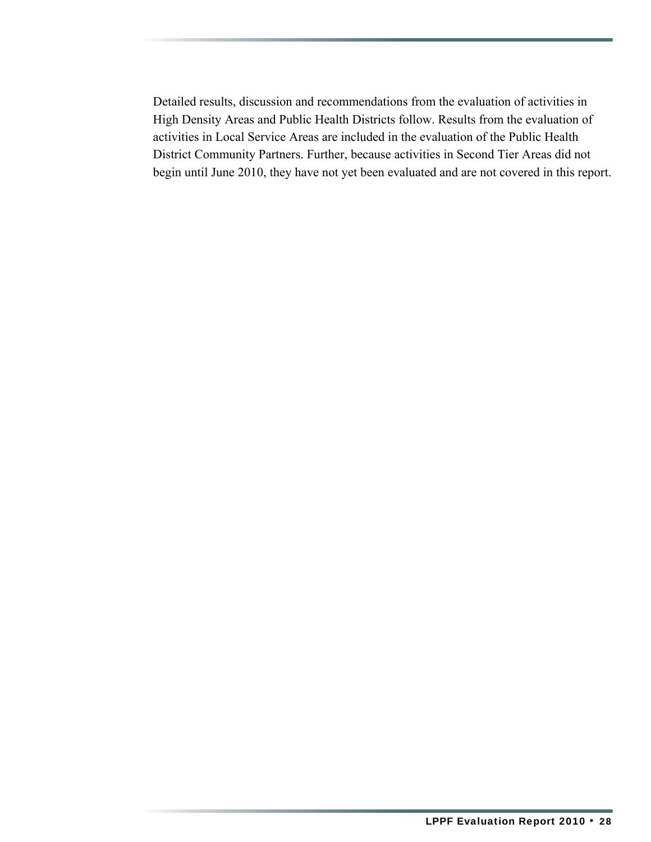Detailed results, discussion and recommendations from the evaluation of activities in High Density Areas and Public Health Districts follow. Results from the evaluation of activities in Local Service Areas are included in the evaluation of the Public Health District Community Partners. Further, because activities in Second Tier Areas did not begin until June 2010, they have not yet been evaluated and are not covered in this report.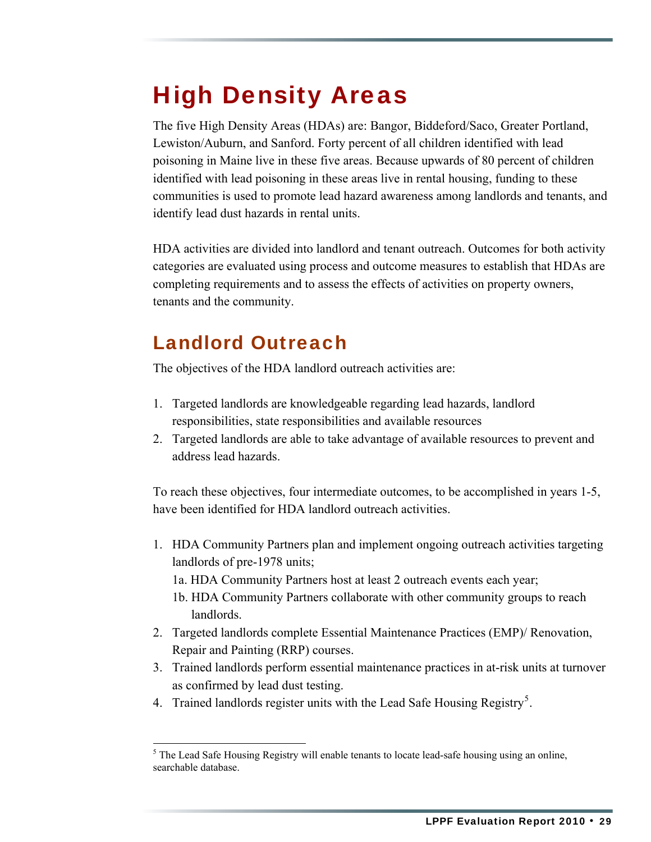## <span id="page-33-0"></span>High Density Areas

The five High Density Areas (HDAs) are: Bangor, Biddeford/Saco, Greater Portland, Lewiston/Auburn, and Sanford. Forty percent of all children identified with lead poisoning in Maine live in these five areas. Because upwards of 80 percent of children identified with lead poisoning in these areas live in rental housing, funding to these communities is used to promote lead hazard awareness among landlords and tenants, and identify lead dust hazards in rental units.

HDA activities are divided into landlord and tenant outreach. Outcomes for both activity categories are evaluated using process and outcome measures to establish that HDAs are completing requirements and to assess the effects of activities on property owners, tenants and the community.

### Landlord Outreach

The objectives of the HDA landlord outreach activities are:

- 1. Targeted landlords are knowledgeable regarding lead hazards, landlord responsibilities, state responsibilities and available resources
- 2. Targeted landlords are able to take advantage of available resources to prevent and address lead hazards.

To reach these objectives, four intermediate outcomes, to be accomplished in years 1-5, have been identified for HDA landlord outreach activities.

- 1. HDA Community Partners plan and implement ongoing outreach activities targeting landlords of pre-1978 units;
	- 1a. HDA Community Partners host at least 2 outreach events each year;
	- 1b. HDA Community Partners collaborate with other community groups to reach landlords.
- 2. Targeted landlords complete Essential Maintenance Practices (EMP)/ Renovation, Repair and Painting (RRP) courses.
- 3. Trained landlords perform essential maintenance practices in at-risk units at turnover as confirmed by lead dust testing.
- 4. Trained landlords register units with the Lead Safe Housing Registry<sup>[5](#page-33-1)</sup>.

<span id="page-33-1"></span> $<sup>5</sup>$  The Lead Safe Housing Registry will enable tenants to locate lead-safe housing using an online,</sup> searchable database.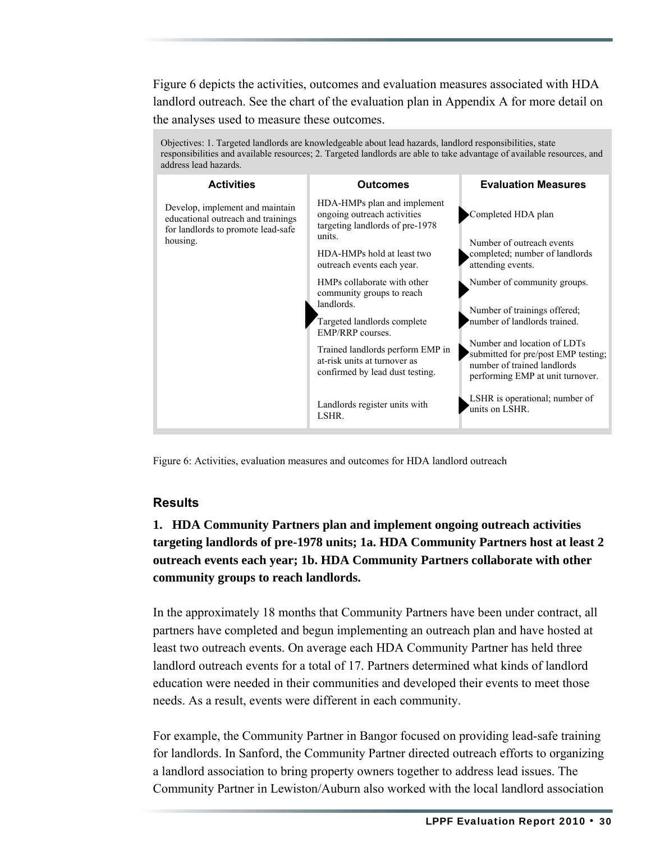Figure 6 depicts the activities, outcomes and evaluation measures associated with HDA landlord outreach. See the chart of the evaluation plan in Appendix A for more detail on the analyses used to measure these outcomes.



Figure 6: Activities, evaluation measures and outcomes for HDA landlord outreach

#### **Results**

**1. HDA Community Partners plan and implement ongoing outreach activities targeting landlords of pre-1978 units; 1a. HDA Community Partners host at least 2 outreach events each year; 1b. HDA Community Partners collaborate with other community groups to reach landlords.** 

In the approximately 18 months that Community Partners have been under contract, all partners have completed and begun implementing an outreach plan and have hosted at least two outreach events. On average each HDA Community Partner has held three landlord outreach events for a total of 17. Partners determined what kinds of landlord education were needed in their communities and developed their events to meet those needs. As a result, events were different in each community.

For example, the Community Partner in Bangor focused on providing lead-safe training for landlords. In Sanford, the Community Partner directed outreach efforts to organizing a landlord association to bring property owners together to address lead issues. The Community Partner in Lewiston/Auburn also worked with the local landlord association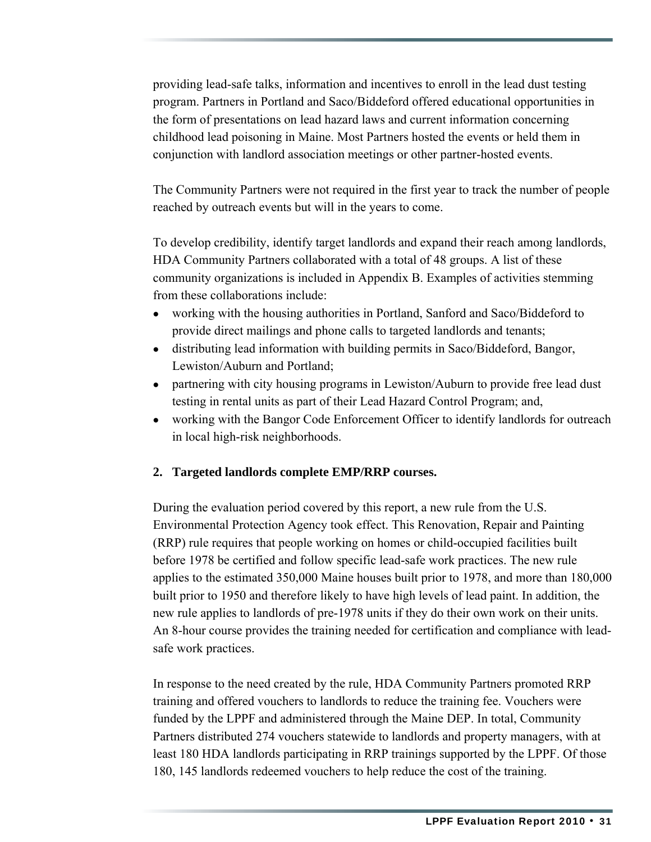providing lead-safe talks, information and incentives to enroll in the lead dust testing program. Partners in Portland and Saco/Biddeford offered educational opportunities in the form of presentations on lead hazard laws and current information concerning childhood lead poisoning in Maine. Most Partners hosted the events or held them in conjunction with landlord association meetings or other partner-hosted events.

The Community Partners were not required in the first year to track the number of people reached by outreach events but will in the years to come.

To develop credibility, identify target landlords and expand their reach among landlords, HDA Community Partners collaborated with a total of 48 groups. A list of these community organizations is included in Appendix B. Examples of activities stemming from these collaborations include:

- working with the housing authorities in Portland, Sanford and Saco/Biddeford to provide direct mailings and phone calls to targeted landlords and tenants;
- distributing lead information with building permits in Saco/Biddeford, Bangor, Lewiston/Auburn and Portland;
- partnering with city housing programs in Lewiston/Auburn to provide free lead dust testing in rental units as part of their Lead Hazard Control Program; and,
- working with the Bangor Code Enforcement Officer to identify landlords for outreach in local high-risk neighborhoods.

#### **2. Targeted landlords complete EMP/RRP courses.**

During the evaluation period covered by this report, a new rule from the U.S. Environmental Protection Agency took effect. This Renovation, Repair and Painting (RRP) rule requires that people working on homes or child-occupied facilities built before 1978 be certified and follow specific lead-safe work practices. The new rule applies to the estimated 350,000 Maine houses built prior to 1978, and more than 180,000 built prior to 1950 and therefore likely to have high levels of lead paint. In addition, the new rule applies to landlords of pre-1978 units if they do their own work on their units. An 8-hour course provides the training needed for certification and compliance with leadsafe work practices.

In response to the need created by the rule, HDA Community Partners promoted RRP training and offered vouchers to landlords to reduce the training fee. Vouchers were funded by the LPPF and administered through the Maine DEP. In total, Community Partners distributed 274 vouchers statewide to landlords and property managers, with at least 180 HDA landlords participating in RRP trainings supported by the LPPF. Of those 180, 145 landlords redeemed vouchers to help reduce the cost of the training.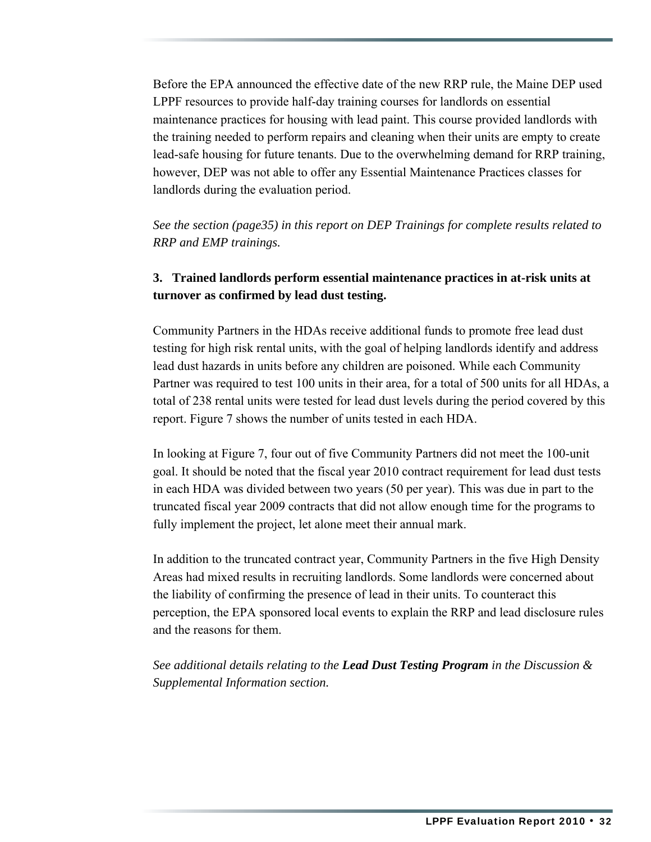Before the EPA announced the effective date of the new RRP rule, the Maine DEP used LPPF resources to provide half-day training courses for landlords on essential maintenance practices for housing with lead paint. This course provided landlords with the training needed to perform repairs and cleaning when their units are empty to create lead-safe housing for future tenants. Due to the overwhelming demand for RRP training, however, DEP was not able to offer any Essential Maintenance Practices classes for landlords during the evaluation period.

*See the section (page35) in this report on DEP Trainings for complete results related to RRP and EMP trainings.* 

#### **3. Trained landlords perform essential maintenance practices in at-risk units at turnover as confirmed by lead dust testing.**

Community Partners in the HDAs receive additional funds to promote free lead dust testing for high risk rental units, with the goal of helping landlords identify and address lead dust hazards in units before any children are poisoned. While each Community Partner was required to test 100 units in their area, for a total of 500 units for all HDAs, a total of 238 rental units were tested for lead dust levels during the period covered by this report. Figure 7 shows the number of units tested in each HDA.

In looking at Figure 7, four out of five Community Partners did not meet the 100-unit goal. It should be noted that the fiscal year 2010 contract requirement for lead dust tests in each HDA was divided between two years (50 per year). This was due in part to the truncated fiscal year 2009 contracts that did not allow enough time for the programs to fully implement the project, let alone meet their annual mark.

In addition to the truncated contract year, Community Partners in the five High Density Areas had mixed results in recruiting landlords. Some landlords were concerned about the liability of confirming the presence of lead in their units. To counteract this perception, the EPA sponsored local events to explain the RRP and lead disclosure rules and the reasons for them.

*See additional details relating to the Lead Dust Testing Program in the Discussion & Supplemental Information section.*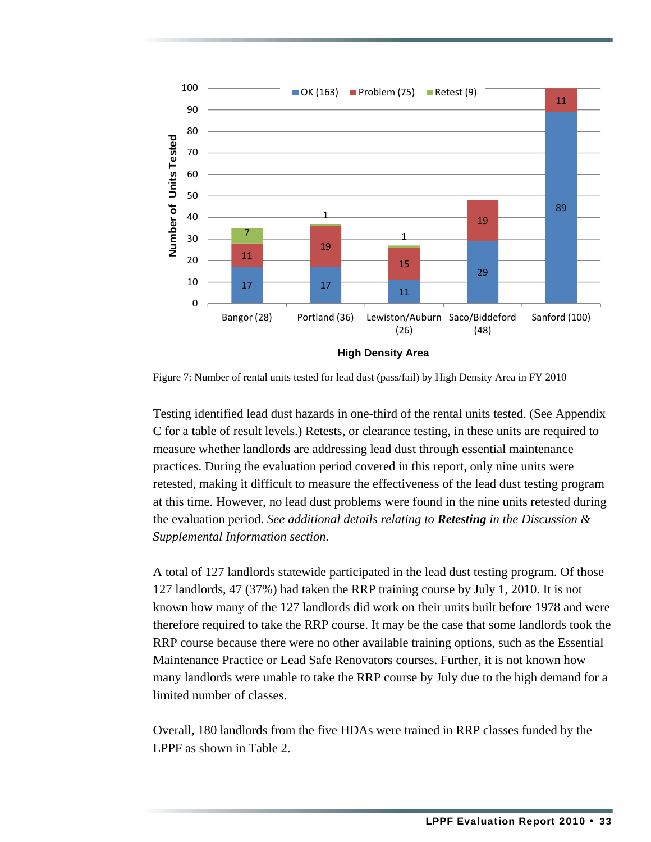

Figure 7: Number of rental units tested for lead dust (pass/fail) by High Density Area in FY 2010

Testing identified lead dust hazards in one-third of the rental units tested. (See Appendix C for a table of result levels.) Retests, or clearance testing, in these units are required to measure whether landlords are addressing lead dust through essential maintenance practices. During the evaluation period covered in this report, only nine units were retested, making it difficult to measure the effectiveness of the lead dust testing program at this time. However, no lead dust problems were found in the nine units retested during the evaluation period. *See additional details relating to Retesting in the Discussion & Supplemental Information section.*

A total of 127 landlords statewide participated in the lead dust testing program. Of those 127 landlords, 47 (37%) had taken the RRP training course by July 1, 2010. It is not known how many of the 127 landlords did work on their units built before 1978 and were therefore required to take the RRP course. It may be the case that some landlords took the RRP course because there were no other available training options, such as the Essential Maintenance Practice or Lead Safe Renovators courses. Further, it is not known how many landlords were unable to take the RRP course by July due to the high demand for a limited number of classes.

Overall, 180 landlords from the five HDAs were trained in RRP classes funded by the LPPF as shown in Table 2.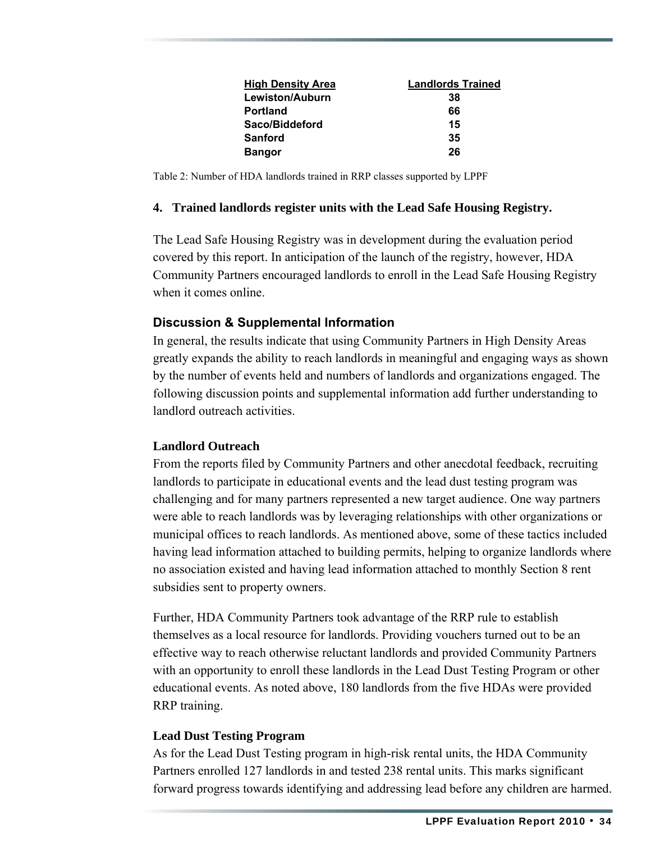| <b>High Density Area</b> | <b>Landlords Trained</b> |
|--------------------------|--------------------------|
| Lewiston/Auburn          | 38                       |
| <b>Portland</b>          | 66                       |
| Saco/Biddeford           | 15                       |
| <b>Sanford</b>           | 35                       |
| <b>Bangor</b>            | 26                       |

Table 2: Number of HDA landlords trained in RRP classes supported by LPPF

#### **4. Trained landlords register units with the Lead Safe Housing Registry.**

The Lead Safe Housing Registry was in development during the evaluation period covered by this report. In anticipation of the launch of the registry, however, HDA Community Partners encouraged landlords to enroll in the Lead Safe Housing Registry when it comes online.

#### **Discussion & Supplemental Information**

In general, the results indicate that using Community Partners in High Density Areas greatly expands the ability to reach landlords in meaningful and engaging ways as shown by the number of events held and numbers of landlords and organizations engaged. The following discussion points and supplemental information add further understanding to landlord outreach activities.

#### **Landlord Outreach**

From the reports filed by Community Partners and other anecdotal feedback, recruiting landlords to participate in educational events and the lead dust testing program was challenging and for many partners represented a new target audience. One way partners were able to reach landlords was by leveraging relationships with other organizations or municipal offices to reach landlords. As mentioned above, some of these tactics included having lead information attached to building permits, helping to organize landlords where no association existed and having lead information attached to monthly Section 8 rent subsidies sent to property owners.

Further, HDA Community Partners took advantage of the RRP rule to establish themselves as a local resource for landlords. Providing vouchers turned out to be an effective way to reach otherwise reluctant landlords and provided Community Partners with an opportunity to enroll these landlords in the Lead Dust Testing Program or other educational events. As noted above, 180 landlords from the five HDAs were provided RRP training.

#### **Lead Dust Testing Program**

As for the Lead Dust Testing program in high-risk rental units, the HDA Community Partners enrolled 127 landlords in and tested 238 rental units. This marks significant forward progress towards identifying and addressing lead before any children are harmed.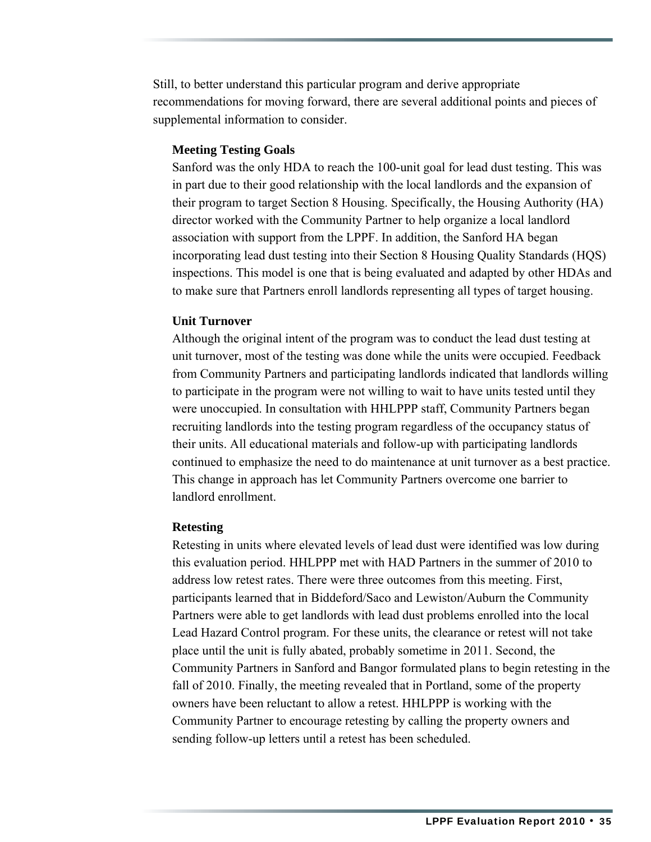Still, to better understand this particular program and derive appropriate recommendations for moving forward, there are several additional points and pieces of supplemental information to consider.

#### **Meeting Testing Goals**

Sanford was the only HDA to reach the 100-unit goal for lead dust testing. This was in part due to their good relationship with the local landlords and the expansion of their program to target Section 8 Housing. Specifically, the Housing Authority (HA) director worked with the Community Partner to help organize a local landlord association with support from the LPPF. In addition, the Sanford HA began incorporating lead dust testing into their Section 8 Housing Quality Standards (HQS) inspections. This model is one that is being evaluated and adapted by other HDAs and to make sure that Partners enroll landlords representing all types of target housing.

#### **Unit Turnover**

Although the original intent of the program was to conduct the lead dust testing at unit turnover, most of the testing was done while the units were occupied. Feedback from Community Partners and participating landlords indicated that landlords willing to participate in the program were not willing to wait to have units tested until they were unoccupied. In consultation with HHLPPP staff, Community Partners began recruiting landlords into the testing program regardless of the occupancy status of their units. All educational materials and follow-up with participating landlords continued to emphasize the need to do maintenance at unit turnover as a best practice. This change in approach has let Community Partners overcome one barrier to landlord enrollment.

#### **Retesting**

Retesting in units where elevated levels of lead dust were identified was low during this evaluation period. HHLPPP met with HAD Partners in the summer of 2010 to address low retest rates. There were three outcomes from this meeting. First, participants learned that in Biddeford/Saco and Lewiston/Auburn the Community Partners were able to get landlords with lead dust problems enrolled into the local Lead Hazard Control program. For these units, the clearance or retest will not take place until the unit is fully abated, probably sometime in 2011. Second, the Community Partners in Sanford and Bangor formulated plans to begin retesting in the fall of 2010. Finally, the meeting revealed that in Portland, some of the property owners have been reluctant to allow a retest. HHLPPP is working with the Community Partner to encourage retesting by calling the property owners and sending follow-up letters until a retest has been scheduled.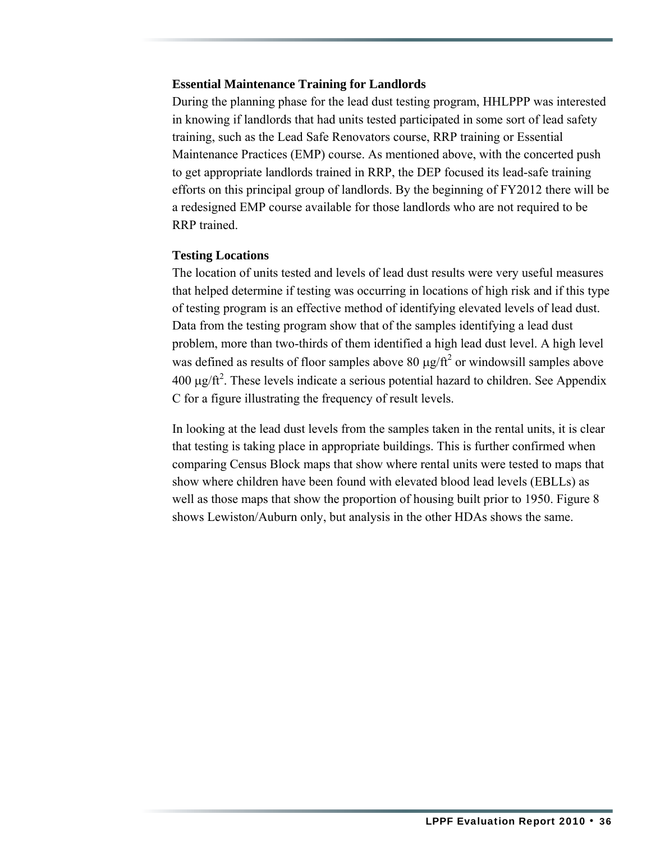#### **Essential Maintenance Training for Landlords**

During the planning phase for the lead dust testing program, HHLPPP was interested in knowing if landlords that had units tested participated in some sort of lead safety training, such as the Lead Safe Renovators course, RRP training or Essential Maintenance Practices (EMP) course. As mentioned above, with the concerted push to get appropriate landlords trained in RRP, the DEP focused its lead-safe training efforts on this principal group of landlords. By the beginning of FY2012 there will be a redesigned EMP course available for those landlords who are not required to be RRP trained.

#### **Testing Locations**

The location of units tested and levels of lead dust results were very useful measures that helped determine if testing was occurring in locations of high risk and if this type of testing program is an effective method of identifying elevated levels of lead dust. Data from the testing program show that of the samples identifying a lead dust problem, more than two-thirds of them identified a high lead dust level. A high level was defined as results of floor samples above 80  $\mu$ g/ft<sup>2</sup> or windowsill samples above  $400 \mu g / \text{ft}^2$ . These levels indicate a serious potential hazard to children. See Appendix C for a figure illustrating the frequency of result levels.

In looking at the lead dust levels from the samples taken in the rental units, it is clear that testing is taking place in appropriate buildings. This is further confirmed when comparing Census Block maps that show where rental units were tested to maps that show where children have been found with elevated blood lead levels (EBLLs) as well as those maps that show the proportion of housing built prior to 1950. Figure 8 shows Lewiston/Auburn only, but analysis in the other HDAs shows the same.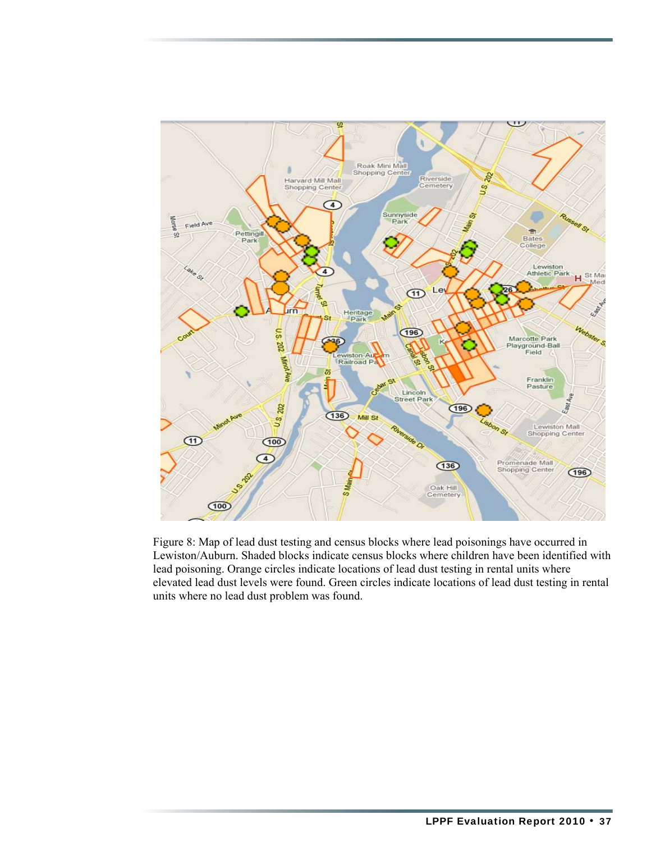

Figure 8: Map of lead dust testing and census blocks where lead poisonings have occurred in Lewiston/Auburn. Shaded blocks indicate census blocks where children have been identified with lead poisoning. Orange circles indicate locations of lead dust testing in rental units where elevated lead dust levels were found. Green circles indicate locations of lead dust testing in rental units where no lead dust problem was found.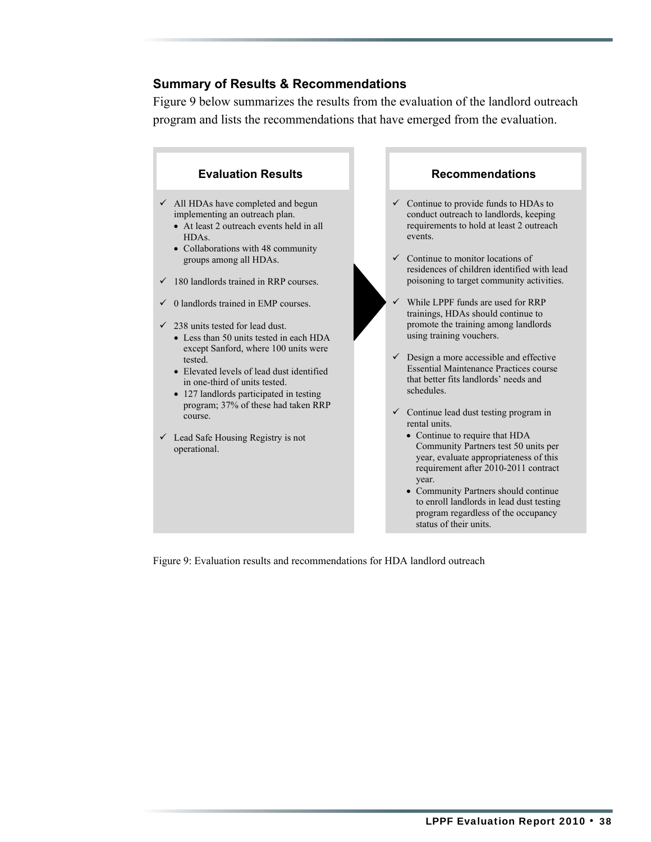#### **Summary of Results & Recommendations**

Figure 9 below summarizes the results from the evaluation of the landlord outreach program and lists the recommendations that have emerged from the evaluation.



Figure 9: Evaluation results and recommendations for HDA landlord outreach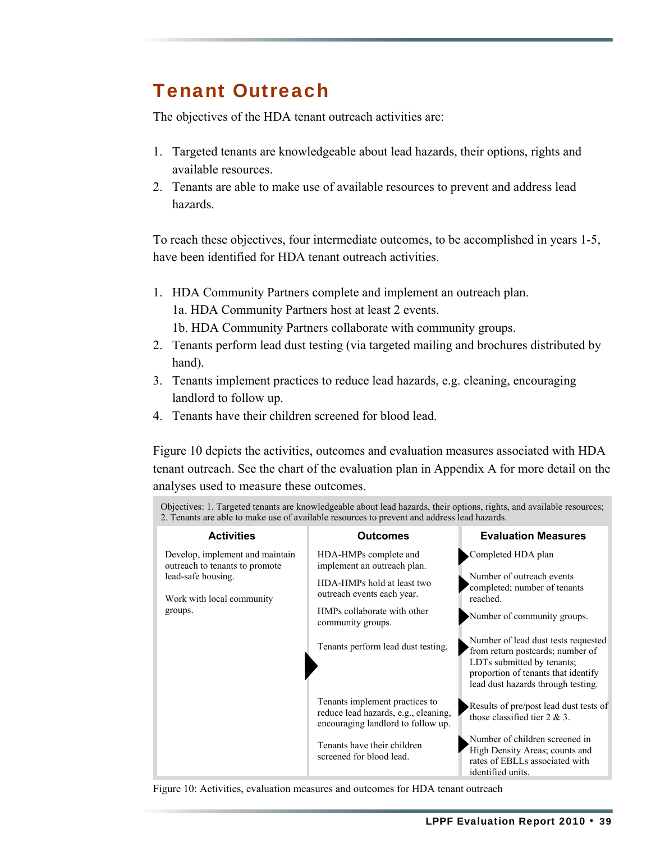### Tenant Outreach

The objectives of the HDA tenant outreach activities are:

- 1. Targeted tenants are knowledgeable about lead hazards, their options, rights and available resources.
- 2. Tenants are able to make use of available resources to prevent and address lead hazards.

To reach these objectives, four intermediate outcomes, to be accomplished in years 1-5, have been identified for HDA tenant outreach activities.

- 1. HDA Community Partners complete and implement an outreach plan. 1a. HDA Community Partners host at least 2 events.
	- 1b. HDA Community Partners collaborate with community groups.
- 2. Tenants perform lead dust testing (via targeted mailing and brochures distributed by hand).
- 3. Tenants implement practices to reduce lead hazards, e.g. cleaning, encouraging landlord to follow up.
- 4. Tenants have their children screened for blood lead.

Figure 10 depicts the activities, outcomes and evaluation measures associated with HDA tenant outreach. See the chart of the evaluation plan in Appendix A for more detail on the analyses used to measure these outcomes.

| Objectives: 1. Targeted tenants are knowledgeable about lead hazards, their options, rights, and available resources;<br>2. Tenants are able to make use of available resources to prevent and address lead hazards. |                                                                                                                                                                                                            |                                                                                                                                                                                                                                                                                                                  |  |
|----------------------------------------------------------------------------------------------------------------------------------------------------------------------------------------------------------------------|------------------------------------------------------------------------------------------------------------------------------------------------------------------------------------------------------------|------------------------------------------------------------------------------------------------------------------------------------------------------------------------------------------------------------------------------------------------------------------------------------------------------------------|--|
| <b>Activities</b>                                                                                                                                                                                                    | <b>Outcomes</b>                                                                                                                                                                                            | <b>Evaluation Measures</b>                                                                                                                                                                                                                                                                                       |  |
| Develop, implement and maintain<br>outreach to tenants to promote<br>lead-safe housing.<br>Work with local community<br>groups.                                                                                      | HDA-HMPs complete and<br>implement an outreach plan.<br>HDA-HMPs hold at least two<br>outreach events each year.<br>HMPs collaborate with other<br>community groups.<br>Tenants perform lead dust testing. | Completed HDA plan<br>Number of outreach events<br>completed; number of tenants<br>reached.<br>Number of community groups.<br>Number of lead dust tests requested<br>from return postcards; number of<br>LDTs submitted by tenants;<br>proportion of tenants that identify<br>lead dust hazards through testing. |  |
|                                                                                                                                                                                                                      | Tenants implement practices to<br>reduce lead hazards, e.g., cleaning,<br>encouraging landlord to follow up.<br>Tenants have their children<br>screened for blood lead.                                    | Results of pre/post lead dust tests of<br>those classified tier $2 \& 3$ .<br>Number of children screened in<br>High Density Areas; counts and<br>rates of EBLLs associated with<br>identified units.                                                                                                            |  |

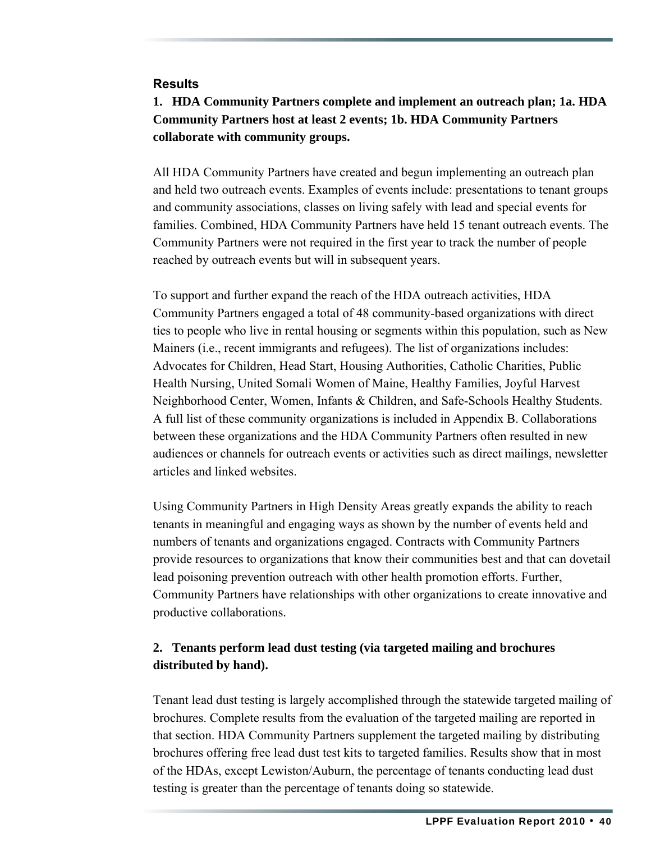#### **Results**

### **1. HDA Community Partners complete and implement an outreach plan; 1a. HDA Community Partners host at least 2 events; 1b. HDA Community Partners collaborate with community groups.**

All HDA Community Partners have created and begun implementing an outreach plan and held two outreach events. Examples of events include: presentations to tenant groups and community associations, classes on living safely with lead and special events for families. Combined, HDA Community Partners have held 15 tenant outreach events. The Community Partners were not required in the first year to track the number of people reached by outreach events but will in subsequent years.

To support and further expand the reach of the HDA outreach activities, HDA Community Partners engaged a total of 48 community-based organizations with direct ties to people who live in rental housing or segments within this population, such as New Mainers (i.e., recent immigrants and refugees). The list of organizations includes: Advocates for Children, Head Start, Housing Authorities, Catholic Charities, Public Health Nursing, United Somali Women of Maine, Healthy Families, Joyful Harvest Neighborhood Center, Women, Infants & Children, and Safe-Schools Healthy Students. A full list of these community organizations is included in Appendix B. Collaborations between these organizations and the HDA Community Partners often resulted in new audiences or channels for outreach events or activities such as direct mailings, newsletter articles and linked websites.

Using Community Partners in High Density Areas greatly expands the ability to reach tenants in meaningful and engaging ways as shown by the number of events held and numbers of tenants and organizations engaged. Contracts with Community Partners provide resources to organizations that know their communities best and that can dovetail lead poisoning prevention outreach with other health promotion efforts. Further, Community Partners have relationships with other organizations to create innovative and productive collaborations.

#### **2. Tenants perform lead dust testing (via targeted mailing and brochures distributed by hand).**

Tenant lead dust testing is largely accomplished through the statewide targeted mailing of brochures. Complete results from the evaluation of the targeted mailing are reported in that section. HDA Community Partners supplement the targeted mailing by distributing brochures offering free lead dust test kits to targeted families. Results show that in most of the HDAs, except Lewiston/Auburn, the percentage of tenants conducting lead dust testing is greater than the percentage of tenants doing so statewide.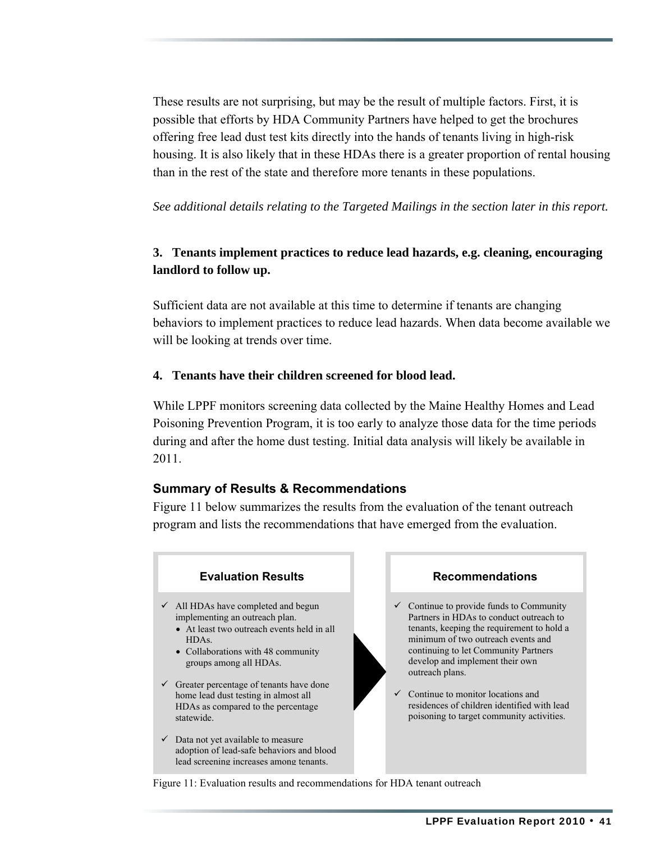These results are not surprising, but may be the result of multiple factors. First, it is possible that efforts by HDA Community Partners have helped to get the brochures offering free lead dust test kits directly into the hands of tenants living in high-risk housing. It is also likely that in these HDAs there is a greater proportion of rental housing than in the rest of the state and therefore more tenants in these populations.

*See additional details relating to the Targeted Mailings in the section later in this report.*

#### **3. Tenants implement practices to reduce lead hazards, e.g. cleaning, encouraging landlord to follow up.**

Sufficient data are not available at this time to determine if tenants are changing behaviors to implement practices to reduce lead hazards. When data become available we will be looking at trends over time.

#### **4. Tenants have their children screened for blood lead.**

While LPPF monitors screening data collected by the Maine Healthy Homes and Lead Poisoning Prevention Program, it is too early to analyze those data for the time periods during and after the home dust testing. Initial data analysis will likely be available in 2011.

#### **Summary of Results & Recommendations**

Figure 11 below summarizes the results from the evaluation of the tenant outreach program and lists the recommendations that have emerged from the evaluation.



Figure 11: Evaluation results and recommendations for HDA tenant outreach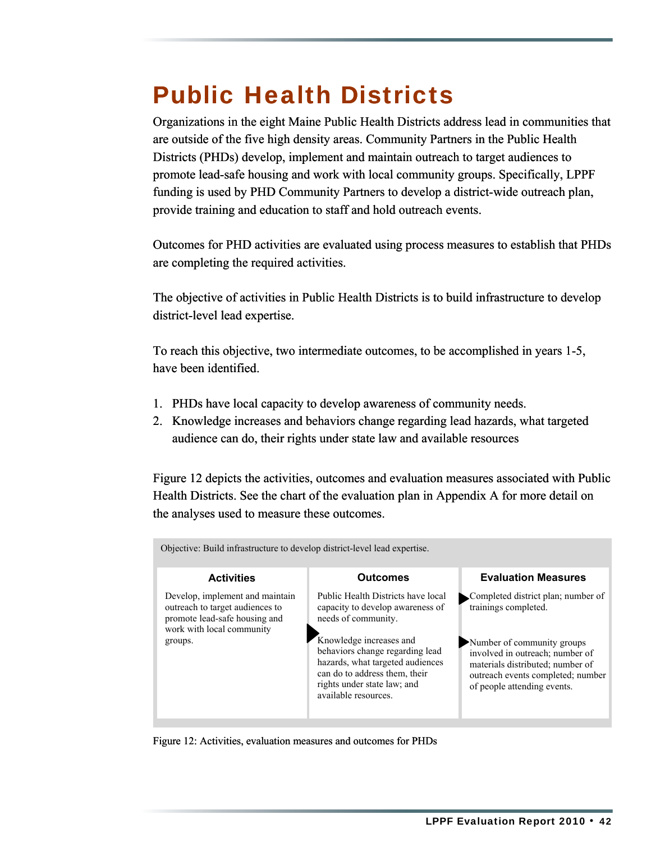### Public Health Districts

Organizations in the eight Maine Public Health Districts address lead in communities that are outside of the five high density areas. Community Partners in the Public Health Districts (PHDs) develop, implement and maintain outreach to target audiences to promote lead-safe housing and work with local community groups. Specifically, LPPF funding is used by PHD Community Partners to develop a district-wide outreach plan, provide training and education to staff and hold outreach events.

Outcomes for PHD activities are evaluated using process measures to establish that PHDs are completing the required activities.

The objective of activities in Public Health Districts is to build infrastructure to develop district-level lead expertise.

To reach this objective, two intermediate outcomes, to be accomplished in years 1-5, have been identified.

- 1. PHDs have local capacity to develop awareness of community needs.
- 2. Knowledge increases and behaviors change regarding lead hazards, what targeted audience can do, their rights under state law and available resources

Figure 12 depicts the activities, outcomes and evaluation measures associated with Public Health Districts. See the chart of the evaluation plan in Appendix A for more detail on the analyses used to measure these outcomes.

| Objective: Build infrastructure to develop district-level lead expertise.                                                                   |                                                                                                                                                                                                                                                                                         |                                                                                                                                                                                                                                     |  |
|---------------------------------------------------------------------------------------------------------------------------------------------|-----------------------------------------------------------------------------------------------------------------------------------------------------------------------------------------------------------------------------------------------------------------------------------------|-------------------------------------------------------------------------------------------------------------------------------------------------------------------------------------------------------------------------------------|--|
| <b>Activities</b>                                                                                                                           | <b>Outcomes</b>                                                                                                                                                                                                                                                                         | <b>Evaluation Measures</b>                                                                                                                                                                                                          |  |
| Develop, implement and maintain<br>outreach to target audiences to<br>promote lead-safe housing and<br>work with local community<br>groups. | Public Health Districts have local<br>capacity to develop awareness of<br>needs of community.<br>Knowledge increases and<br>behaviors change regarding lead<br>hazards, what targeted audiences<br>can do to address them, their<br>rights under state law; and<br>available resources. | Completed district plan; number of<br>trainings completed.<br>Number of community groups<br>involved in outreach; number of<br>materials distributed; number of<br>outreach events completed; number<br>of people attending events. |  |

Figure 12: Activities, evaluation measures and outcomes for PHDs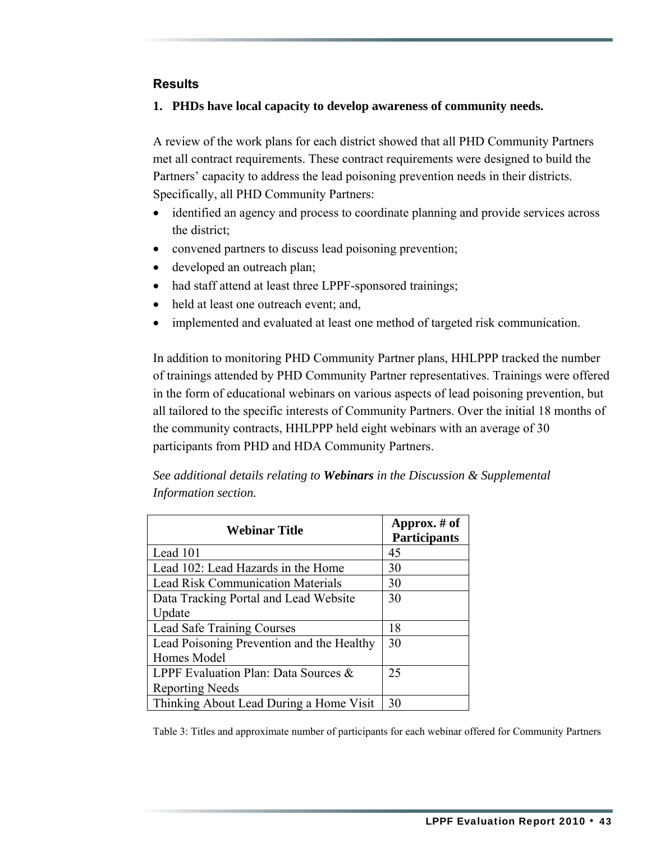#### **Results**

#### **1. PHDs have local capacity to develop awareness of community needs.**

A review of the work plans for each district showed that all PHD Community Partners met all contract requirements. These contract requirements were designed to build the Partners' capacity to address the lead poisoning prevention needs in their districts. Specifically, all PHD Community Partners:

- identified an agency and process to coordinate planning and provide services across the district;
- convened partners to discuss lead poisoning prevention;
- developed an outreach plan;
- had staff attend at least three LPPF-sponsored trainings;
- held at least one outreach event; and,
- implemented and evaluated at least one method of targeted risk communication.

In addition to monitoring PHD Community Partner plans, HHLPPP tracked the number of trainings attended by PHD Community Partner representatives. Trainings were offered in the form of educational webinars on various aspects of lead poisoning prevention, but all tailored to the specific interests of Community Partners. Over the initial 18 months of the community contracts, HHLPPP held eight webinars with an average of 30 participants from PHD and HDA Community Partners.

| <b>Webinar Title</b>                      | Approx. $#$ of<br><b>Participants</b> |
|-------------------------------------------|---------------------------------------|
| Lead 101                                  | 45                                    |
| Lead 102: Lead Hazards in the Home        | 30                                    |
| <b>Lead Risk Communication Materials</b>  | 30                                    |
| Data Tracking Portal and Lead Website     | 30                                    |
| Update                                    |                                       |
| Lead Safe Training Courses                | 18                                    |
| Lead Poisoning Prevention and the Healthy | 30                                    |
| Homes Model                               |                                       |
| LPPF Evaluation Plan: Data Sources &      | 25                                    |
| <b>Reporting Needs</b>                    |                                       |
| Thinking About Lead During a Home Visit   | 30                                    |

*See additional details relating to Webinars in the Discussion & Supplemental Information section.*

Table 3: Titles and approximate number of participants for each webinar offered for Community Partners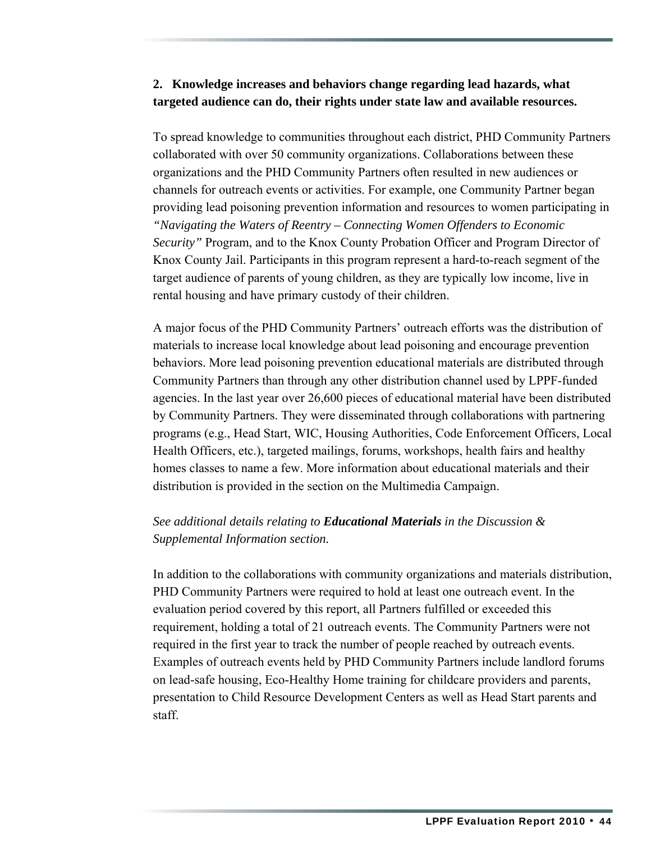#### **2. Knowledge increases and behaviors change regarding lead hazards, what targeted audience can do, their rights under state law and available resources.**

To spread knowledge to communities throughout each district, PHD Community Partners collaborated with over 50 community organizations. Collaborations between these organizations and the PHD Community Partners often resulted in new audiences or channels for outreach events or activities. For example, one Community Partner began providing lead poisoning prevention information and resources to women participating in *"Navigating the Waters of Reentry – Connecting Women Offenders to Economic Security"* Program, and to the Knox County Probation Officer and Program Director of Knox County Jail. Participants in this program represent a hard-to-reach segment of the target audience of parents of young children, as they are typically low income, live in rental housing and have primary custody of their children.

A major focus of the PHD Community Partners' outreach efforts was the distribution of materials to increase local knowledge about lead poisoning and encourage prevention behaviors. More lead poisoning prevention educational materials are distributed through Community Partners than through any other distribution channel used by LPPF-funded agencies. In the last year over 26,600 pieces of educational material have been distributed by Community Partners. They were disseminated through collaborations with partnering programs (e.g., Head Start, WIC, Housing Authorities, Code Enforcement Officers, Local Health Officers, etc.), targeted mailings, forums, workshops, health fairs and healthy homes classes to name a few. More information about educational materials and their distribution is provided in the section on the Multimedia Campaign.

#### *See additional details relating to Educational Materials in the Discussion & Supplemental Information section.*

In addition to the collaborations with community organizations and materials distribution, PHD Community Partners were required to hold at least one outreach event. In the evaluation period covered by this report, all Partners fulfilled or exceeded this requirement, holding a total of 21 outreach events. The Community Partners were not required in the first year to track the number of people reached by outreach events. Examples of outreach events held by PHD Community Partners include landlord forums on lead-safe housing, Eco-Healthy Home training for childcare providers and parents, presentation to Child Resource Development Centers as well as Head Start parents and staff.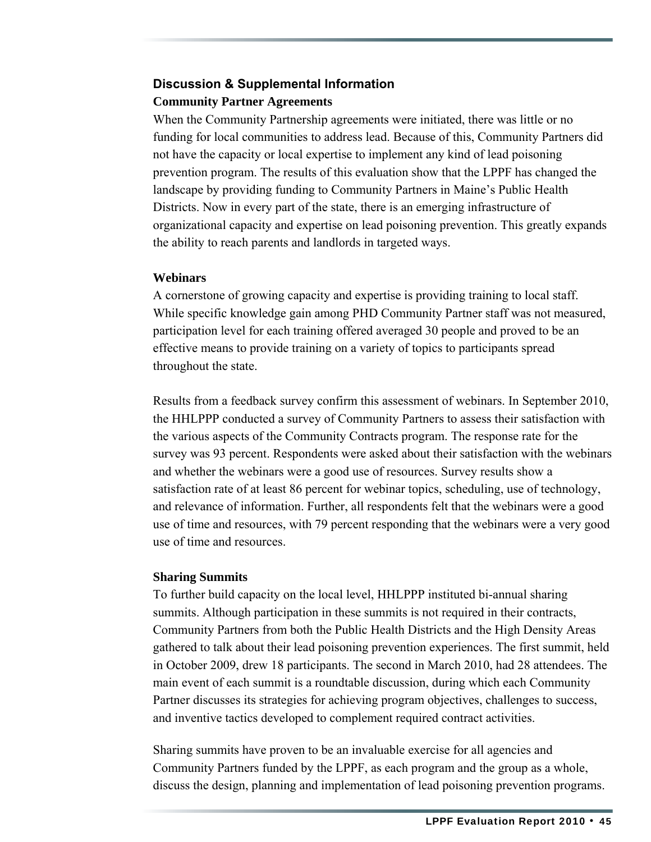### **Discussion & Supplemental Information Community Partner Agreements**

When the Community Partnership agreements were initiated, there was little or no funding for local communities to address lead. Because of this, Community Partners did not have the capacity or local expertise to implement any kind of lead poisoning prevention program. The results of this evaluation show that the LPPF has changed the landscape by providing funding to Community Partners in Maine's Public Health Districts. Now in every part of the state, there is an emerging infrastructure of organizational capacity and expertise on lead poisoning prevention. This greatly expands the ability to reach parents and landlords in targeted ways.

#### **Webinars**

A cornerstone of growing capacity and expertise is providing training to local staff. While specific knowledge gain among PHD Community Partner staff was not measured, participation level for each training offered averaged 30 people and proved to be an effective means to provide training on a variety of topics to participants spread throughout the state.

Results from a feedback survey confirm this assessment of webinars. In September 2010, the HHLPPP conducted a survey of Community Partners to assess their satisfaction with the various aspects of the Community Contracts program. The response rate for the survey was 93 percent. Respondents were asked about their satisfaction with the webinars and whether the webinars were a good use of resources. Survey results show a satisfaction rate of at least 86 percent for webinar topics, scheduling, use of technology, and relevance of information. Further, all respondents felt that the webinars were a good use of time and resources, with 79 percent responding that the webinars were a very good use of time and resources.

#### **Sharing Summits**

To further build capacity on the local level, HHLPPP instituted bi-annual sharing summits. Although participation in these summits is not required in their contracts, Community Partners from both the Public Health Districts and the High Density Areas gathered to talk about their lead poisoning prevention experiences. The first summit, held in October 2009, drew 18 participants. The second in March 2010, had 28 attendees. The main event of each summit is a roundtable discussion, during which each Community Partner discusses its strategies for achieving program objectives, challenges to success, and inventive tactics developed to complement required contract activities.

Sharing summits have proven to be an invaluable exercise for all agencies and Community Partners funded by the LPPF, as each program and the group as a whole, discuss the design, planning and implementation of lead poisoning prevention programs.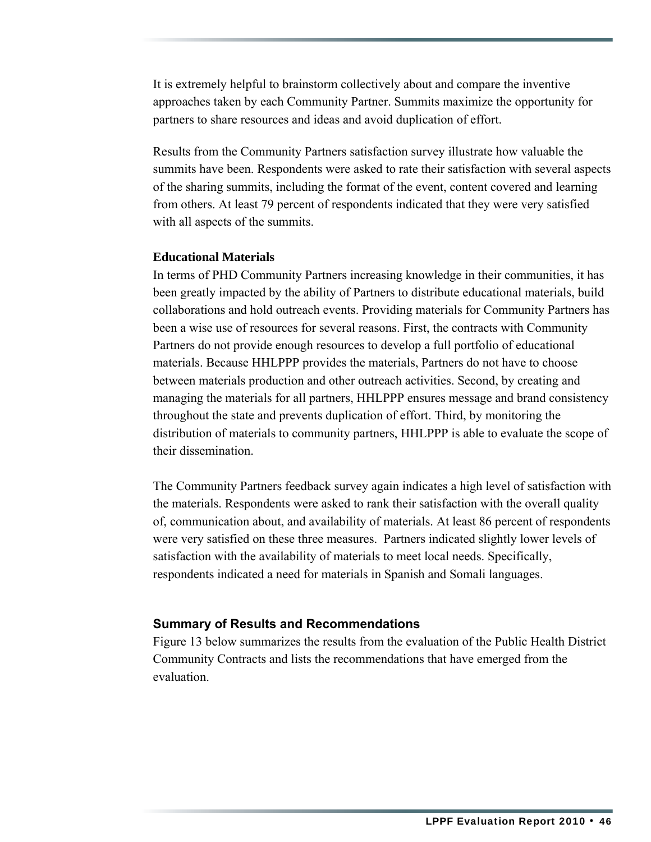It is extremely helpful to brainstorm collectively about and compare the inventive approaches taken by each Community Partner. Summits maximize the opportunity for partners to share resources and ideas and avoid duplication of effort.

Results from the Community Partners satisfaction survey illustrate how valuable the summits have been. Respondents were asked to rate their satisfaction with several aspects of the sharing summits, including the format of the event, content covered and learning from others. At least 79 percent of respondents indicated that they were very satisfied with all aspects of the summits.

#### **Educational Materials**

In terms of PHD Community Partners increasing knowledge in their communities, it has been greatly impacted by the ability of Partners to distribute educational materials, build collaborations and hold outreach events. Providing materials for Community Partners has been a wise use of resources for several reasons. First, the contracts with Community Partners do not provide enough resources to develop a full portfolio of educational materials. Because HHLPPP provides the materials, Partners do not have to choose between materials production and other outreach activities. Second, by creating and managing the materials for all partners, HHLPPP ensures message and brand consistency throughout the state and prevents duplication of effort. Third, by monitoring the distribution of materials to community partners, HHLPPP is able to evaluate the scope of their dissemination.

The Community Partners feedback survey again indicates a high level of satisfaction with the materials. Respondents were asked to rank their satisfaction with the overall quality of, communication about, and availability of materials. At least 86 percent of respondents were very satisfied on these three measures. Partners indicated slightly lower levels of satisfaction with the availability of materials to meet local needs. Specifically, respondents indicated a need for materials in Spanish and Somali languages.

#### **Summary of Results and Recommendations**

Figure 13 below summarizes the results from the evaluation of the Public Health District Community Contracts and lists the recommendations that have emerged from the evaluation.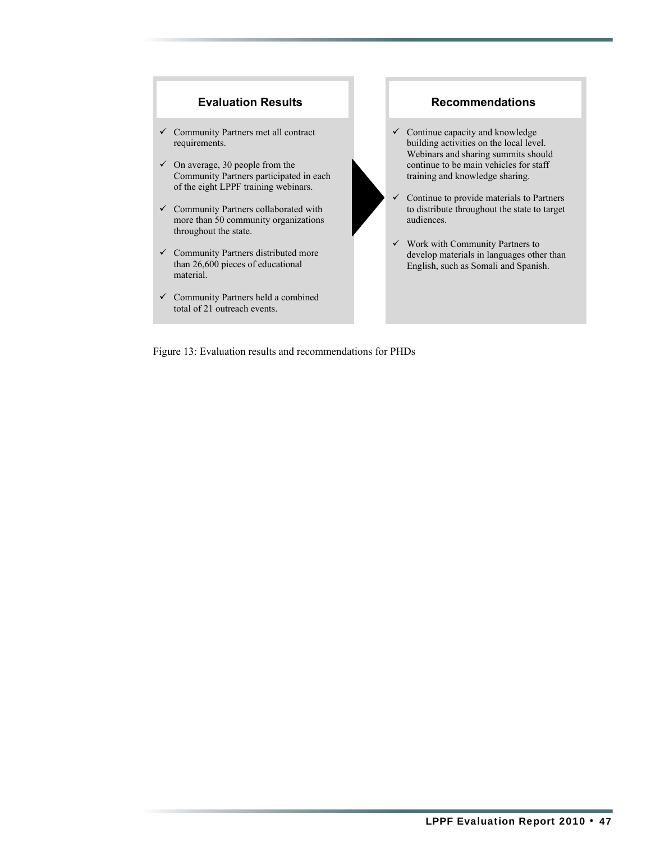

Figure 13: Evaluation results and recommendations for PHDs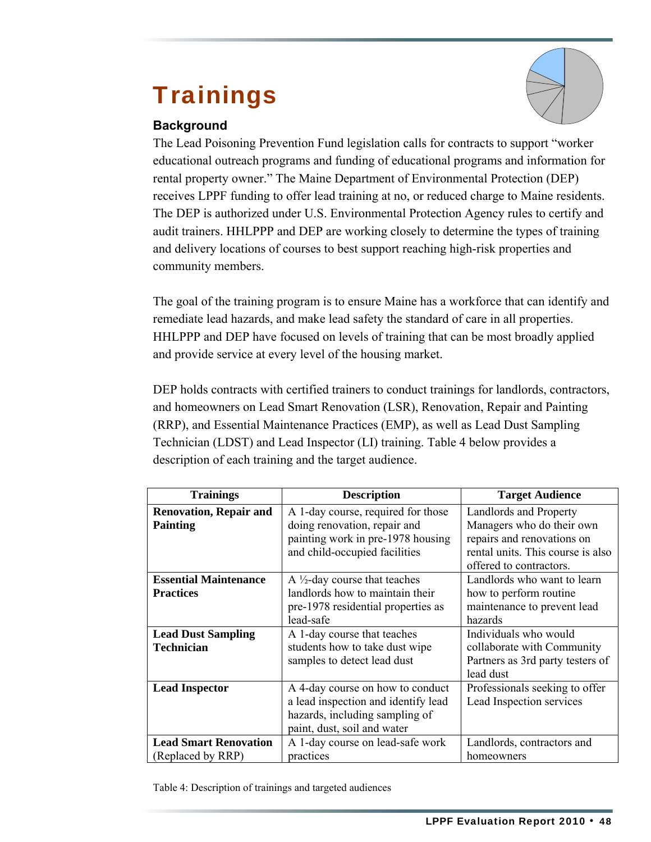## **Trainings**

#### **Background**

The Lead Poisoning Prevention Fund legislation calls for contracts to support "worker educational outreach programs and funding of educational programs and information for rental property owner." The Maine Department of Environmental Protection (DEP) receives LPPF funding to offer lead training at no, or reduced charge to Maine residents. The DEP is authorized under U.S. Environmental Protection Agency rules to certify and audit trainers. HHLPPP and DEP are working closely to determine the types of training and delivery locations of courses to best support reaching high-risk properties and community members.

The goal of the training program is to ensure Maine has a workforce that can identify and remediate lead hazards, and make lead safety the standard of care in all properties. HHLPPP and DEP have focused on levels of training that can be most broadly applied and provide service at every level of the housing market.

DEP holds contracts with certified trainers to conduct trainings for landlords, contractors, and homeowners on Lead Smart Renovation (LSR), Renovation, Repair and Painting (RRP), and Essential Maintenance Practices (EMP), as well as Lead Dust Sampling Technician (LDST) and Lead Inspector (LI) training. Table 4 below provides a description of each training and the target audience.

| <b>Trainings</b>              | <b>Description</b>                       | <b>Target Audience</b>            |
|-------------------------------|------------------------------------------|-----------------------------------|
| <b>Renovation, Repair and</b> | A 1-day course, required for those       | Landlords and Property            |
| <b>Painting</b>               | doing renovation, repair and             | Managers who do their own         |
|                               | painting work in pre-1978 housing        | repairs and renovations on        |
|                               | and child-occupied facilities            | rental units. This course is also |
|                               |                                          | offered to contractors.           |
| <b>Essential Maintenance</b>  | A $\frac{1}{2}$ -day course that teaches | Landlords who want to learn       |
| <b>Practices</b>              | landlords how to maintain their          | how to perform routine            |
|                               | pre-1978 residential properties as       | maintenance to prevent lead       |
|                               | lead-safe                                | hazards                           |
| <b>Lead Dust Sampling</b>     | A 1-day course that teaches              | Individuals who would             |
| <b>Technician</b>             | students how to take dust wipe           | collaborate with Community        |
|                               | samples to detect lead dust              | Partners as 3rd party testers of  |
|                               |                                          | lead dust                         |
| <b>Lead Inspector</b>         | A 4-day course on how to conduct         | Professionals seeking to offer    |
|                               | a lead inspection and identify lead      | Lead Inspection services          |
|                               | hazards, including sampling of           |                                   |
|                               | paint, dust, soil and water              |                                   |
| <b>Lead Smart Renovation</b>  | A 1-day course on lead-safe work         | Landlords, contractors and        |
| (Replaced by RRP)             | practices                                | homeowners                        |

Table 4: Description of trainings and targeted audiences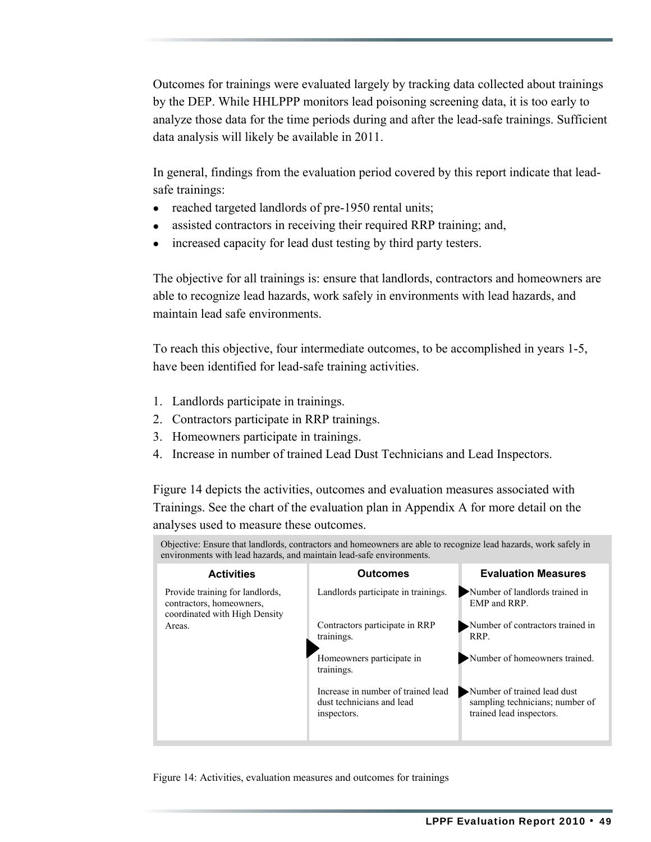Outcomes for trainings were evaluated largely by tracking data collected about trainings by the DEP. While HHLPPP monitors lead poisoning screening data, it is too early to analyze those data for the time periods during and after the lead-safe trainings. Sufficient data analysis will likely be available in 2011.

In general, findings from the evaluation period covered by this report indicate that leadsafe trainings:

- reached targeted landlords of pre-1950 rental units;
- assisted contractors in receiving their required RRP training; and,
- increased capacity for lead dust testing by third party testers.

The objective for all trainings is: ensure that landlords, contractors and homeowners are able to recognize lead hazards, work safely in environments with lead hazards, and maintain lead safe environments.

To reach this objective, four intermediate outcomes, to be accomplished in years 1-5, have been identified for lead-safe training activities.

- 1. Landlords participate in trainings.
- 2. Contractors participate in RRP trainings.
- 3. Homeowners participate in trainings.
- 4. Increase in number of trained Lead Dust Technicians and Lead Inspectors.

Figure 14 depicts the activities, outcomes and evaluation measures associated with Trainings. See the chart of the evaluation plan in Appendix A for more detail on the analyses used to measure these outcomes.

Objective: Ensure that landlords, contractors and homeowners are able to recognize lead hazards, work safely in environments with lead hazards, and maintain lead-safe environments.

| <b>Activities</b>                                                                            | <b>Outcomes</b>                                                                | <b>Evaluation Measures</b>                                                                 |
|----------------------------------------------------------------------------------------------|--------------------------------------------------------------------------------|--------------------------------------------------------------------------------------------|
| Provide training for landlords,<br>contractors, homeowners,<br>coordinated with High Density | Landlords participate in trainings.                                            | Number of landlords trained in<br>EMP and RRP.                                             |
| Areas.                                                                                       | Contractors participate in RRP<br>trainings.                                   | Number of contractors trained in<br>RRP.                                                   |
|                                                                                              | Homeowners participate in<br>trainings.                                        | Number of homeowners trained.                                                              |
|                                                                                              | Increase in number of trained lead<br>dust technicians and lead<br>inspectors. | Number of trained lead dust<br>sampling technicians; number of<br>trained lead inspectors. |

Figure 14: Activities, evaluation measures and outcomes for trainings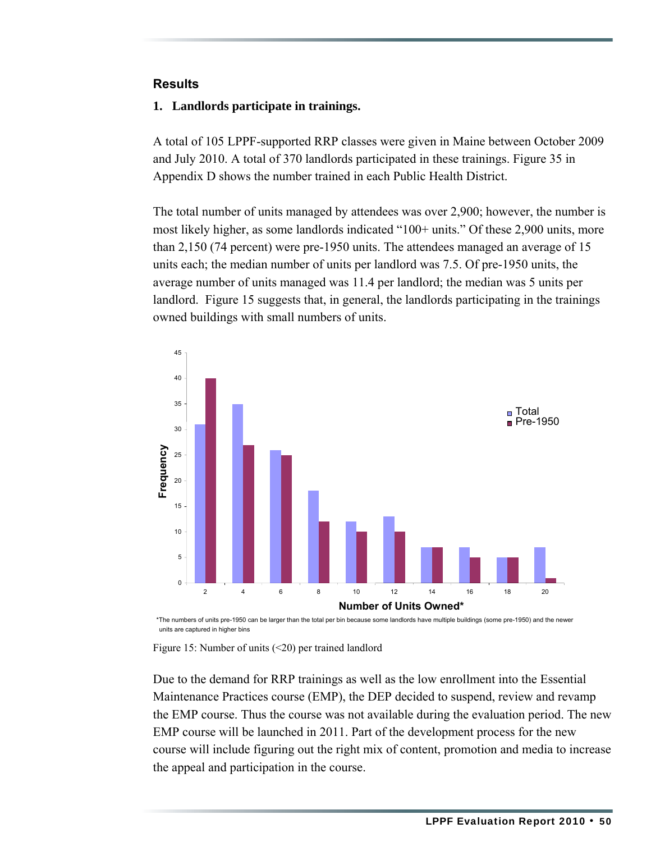#### **Results**

#### **1. Landlords participate in trainings.**

A total of 105 LPPF-supported RRP classes were given in Maine between October 2009 and July 2010. A total of 370 landlords participated in these trainings. Figure 35 in Appendix D shows the number trained in each Public Health District.

The total number of units managed by attendees was over 2,900; however, the number is most likely higher, as some landlords indicated "100+ units." Of these 2,900 units, more than 2,150 (74 percent) were pre-1950 units. The attendees managed an average of 15 units each; the median number of units per landlord was 7.5. Of pre-1950 units, the average number of units managed was 11.4 per landlord; the median was 5 units per landlord. Figure 15 suggests that, in general, the landlords participating in the trainings owned buildings with small numbers of units.



\*The numbers of units pre-1950 can be larger than the total per bin because some landlords have multiple buildings (some pre-1950) and the newer units are captured in higher bins



Due to the demand for RRP trainings as well as the low enrollment into the Essential Maintenance Practices course (EMP), the DEP decided to suspend, review and revamp the EMP course. Thus the course was not available during the evaluation period. The new EMP course will be launched in 2011. Part of the development process for the new course will include figuring out the right mix of content, promotion and media to increase the appeal and participation in the course.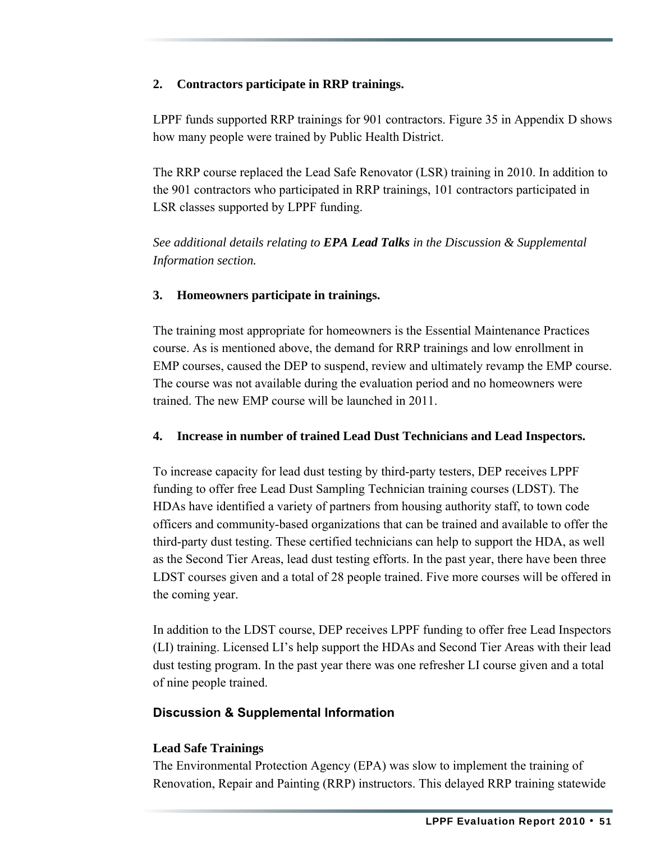#### **2. Contractors participate in RRP trainings.**

LPPF funds supported RRP trainings for 901 contractors. Figure 35 in Appendix D shows how many people were trained by Public Health District.

The RRP course replaced the Lead Safe Renovator (LSR) training in 2010. In addition to the 901 contractors who participated in RRP trainings, 101 contractors participated in LSR classes supported by LPPF funding.

*See additional details relating to EPA Lead Talks in the Discussion & Supplemental Information section.*

#### **3. Homeowners participate in trainings.**

The training most appropriate for homeowners is the Essential Maintenance Practices course. As is mentioned above, the demand for RRP trainings and low enrollment in EMP courses, caused the DEP to suspend, review and ultimately revamp the EMP course. The course was not available during the evaluation period and no homeowners were trained. The new EMP course will be launched in 2011.

#### **4. Increase in number of trained Lead Dust Technicians and Lead Inspectors.**

To increase capacity for lead dust testing by third-party testers, DEP receives LPPF funding to offer free Lead Dust Sampling Technician training courses (LDST). The HDAs have identified a variety of partners from housing authority staff, to town code officers and community-based organizations that can be trained and available to offer the third-party dust testing. These certified technicians can help to support the HDA, as well as the Second Tier Areas, lead dust testing efforts. In the past year, there have been three LDST courses given and a total of 28 people trained. Five more courses will be offered in the coming year.

In addition to the LDST course, DEP receives LPPF funding to offer free Lead Inspectors (LI) training. Licensed LI's help support the HDAs and Second Tier Areas with their lead dust testing program. In the past year there was one refresher LI course given and a total of nine people trained.

#### **Discussion & Supplemental Information**

#### **Lead Safe Trainings**

The Environmental Protection Agency (EPA) was slow to implement the training of Renovation, Repair and Painting (RRP) instructors. This delayed RRP training statewide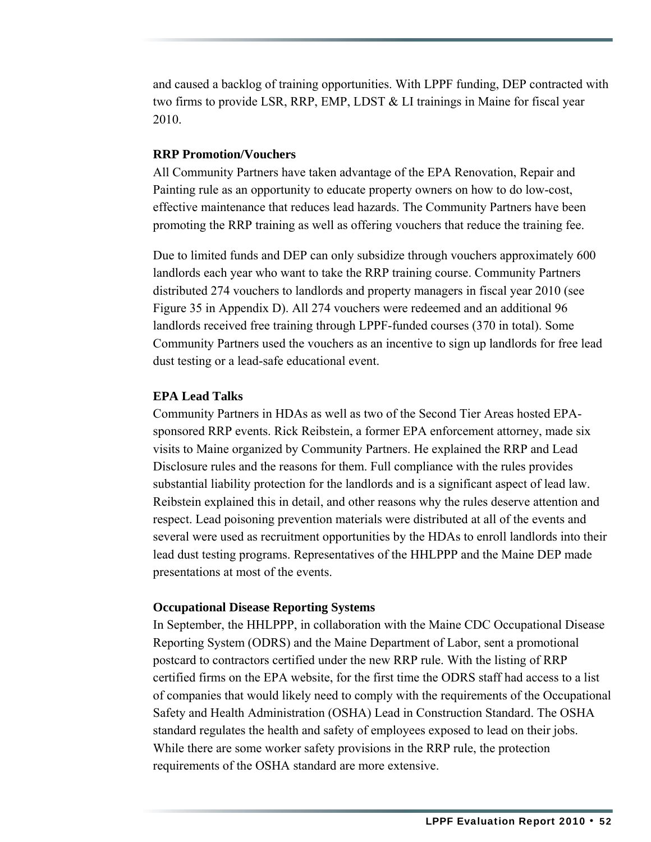and caused a backlog of training opportunities. With LPPF funding, DEP contracted with two firms to provide LSR, RRP, EMP, LDST & LI trainings in Maine for fiscal year 2010.

#### **RRP Promotion/Vouchers**

All Community Partners have taken advantage of the EPA Renovation, Repair and Painting rule as an opportunity to educate property owners on how to do low-cost, effective maintenance that reduces lead hazards. The Community Partners have been promoting the RRP training as well as offering vouchers that reduce the training fee.

Due to limited funds and DEP can only subsidize through vouchers approximately 600 landlords each year who want to take the RRP training course. Community Partners distributed 274 vouchers to landlords and property managers in fiscal year 2010 (see Figure 35 in Appendix D). All 274 vouchers were redeemed and an additional 96 landlords received free training through LPPF-funded courses (370 in total). Some Community Partners used the vouchers as an incentive to sign up landlords for free lead dust testing or a lead-safe educational event.

#### **EPA Lead Talks**

Community Partners in HDAs as well as two of the Second Tier Areas hosted EPAsponsored RRP events. Rick Reibstein, a former EPA enforcement attorney, made six visits to Maine organized by Community Partners. He explained the RRP and Lead Disclosure rules and the reasons for them. Full compliance with the rules provides substantial liability protection for the landlords and is a significant aspect of lead law. Reibstein explained this in detail, and other reasons why the rules deserve attention and respect. Lead poisoning prevention materials were distributed at all of the events and several were used as recruitment opportunities by the HDAs to enroll landlords into their lead dust testing programs. Representatives of the HHLPPP and the Maine DEP made presentations at most of the events.

#### **Occupational Disease Reporting Systems**

In September, the HHLPPP, in collaboration with the Maine CDC Occupational Disease Reporting System (ODRS) and the Maine Department of Labor, sent a promotional postcard to contractors certified under the new RRP rule. With the listing of RRP certified firms on the EPA website, for the first time the ODRS staff had access to a list of companies that would likely need to comply with the requirements of the Occupational Safety and Health Administration (OSHA) Lead in Construction Standard. The OSHA standard regulates the health and safety of employees exposed to lead on their jobs. While there are some worker safety provisions in the RRP rule, the protection requirements of the OSHA standard are more extensive.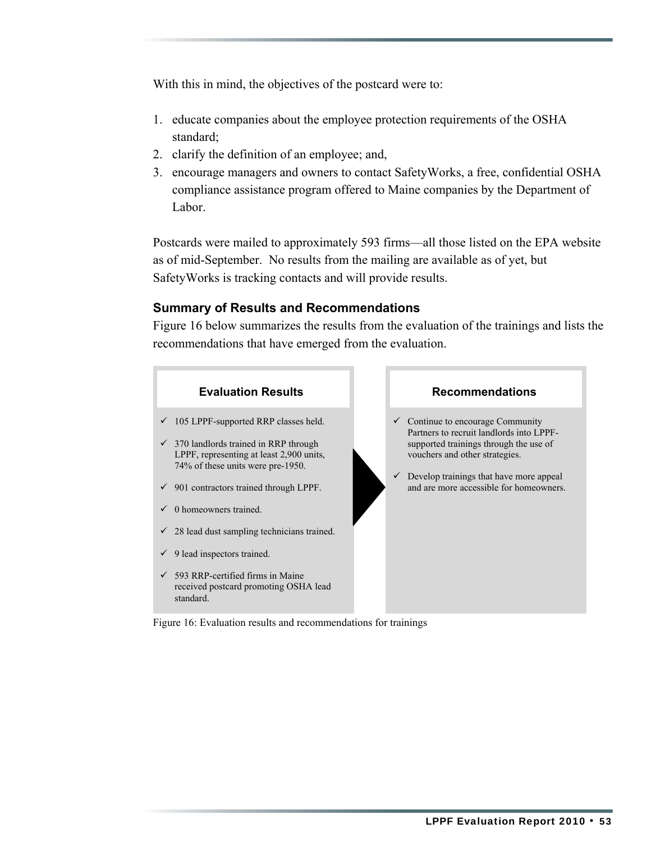With this in mind, the objectives of the postcard were to:

- 1. educate companies about the employee protection requirements of the OSHA standard;
- 2. clarify the definition of an employee; and,
- 3. encourage managers and owners to contact SafetyWorks, a free, confidential OSHA compliance assistance program offered to Maine companies by the Department of Labor.

Postcards were mailed to approximately 593 firms—all those listed on the EPA website as of mid-September. No results from the mailing are available as of yet, but SafetyWorks is tracking contacts and will provide results.

#### **Summary of Results and Recommendations**

Figure 16 below summarizes the results from the evaluation of the trainings and lists the recommendations that have emerged from the evaluation.



Figure 16: Evaluation results and recommendations for trainings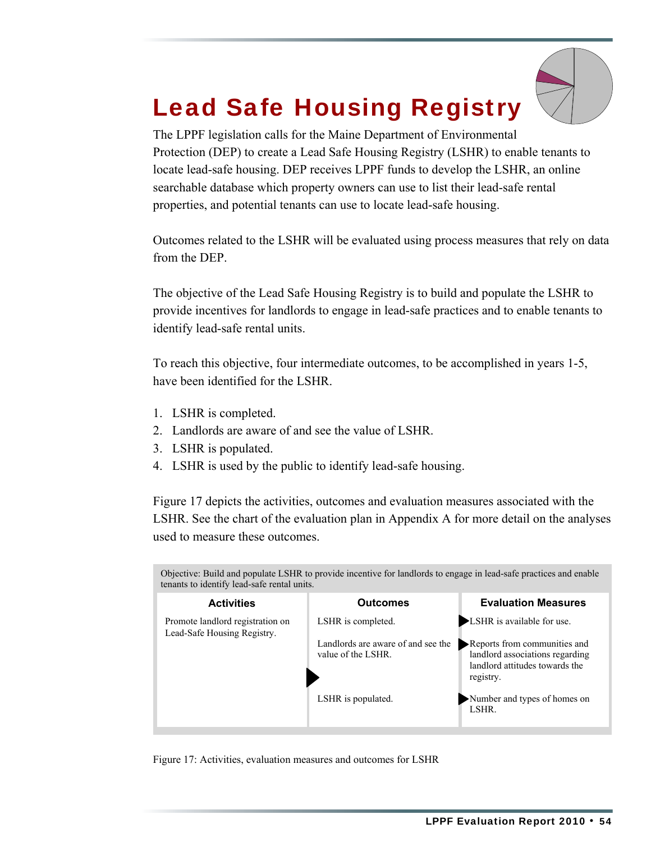# Lead Safe Housing Registry

The LPPF legislation calls for the Maine Department of Environmental Protection (DEP) to create a Lead Safe Housing Registry (LSHR) to enable tenants to locate lead-safe housing. DEP receives LPPF funds to develop the LSHR, an online searchable database which property owners can use to list their lead-safe rental properties, and potential tenants can use to locate lead-safe housing.

Outcomes related to the LSHR will be evaluated using process measures that rely on data from the DEP.

The objective of the Lead Safe Housing Registry is to build and populate the LSHR to provide incentives for landlords to engage in lead-safe practices and to enable tenants to identify lead-safe rental units.

To reach this objective, four intermediate outcomes, to be accomplished in years 1-5, have been identified for the LSHR.

- 1. LSHR is completed.
- 2. Landlords are aware of and see the value of LSHR.
- 3. LSHR is populated.
- 4. LSHR is used by the public to identify lead-safe housing.

Figure 17 depicts the activities, outcomes and evaluation measures associated with the LSHR. See the chart of the evaluation plan in Appendix A for more detail on the analyses used to measure these outcomes.

| Objective: Build and populate LSHR to provide incentive for landlords to engage in lead-safe practices and enable<br>tenants to identify lead-safe rental units. |                                                          |                                                                                                                |  |
|------------------------------------------------------------------------------------------------------------------------------------------------------------------|----------------------------------------------------------|----------------------------------------------------------------------------------------------------------------|--|
| <b>Activities</b>                                                                                                                                                | <b>Outcomes</b>                                          | <b>Evaluation Measures</b>                                                                                     |  |
| Promote landlord registration on<br>Lead-Safe Housing Registry.                                                                                                  | LSHR is completed.                                       | ► LSHR is available for use.                                                                                   |  |
|                                                                                                                                                                  | Landlords are aware of and see the<br>value of the LSHR. | Reports from communities and<br>landlord associations regarding<br>landlord attitudes towards the<br>registry. |  |
|                                                                                                                                                                  | LSHR is populated.                                       | Number and types of homes on<br>LSHR.                                                                          |  |

Figure 17: Activities, evaluation measures and outcomes for LSHR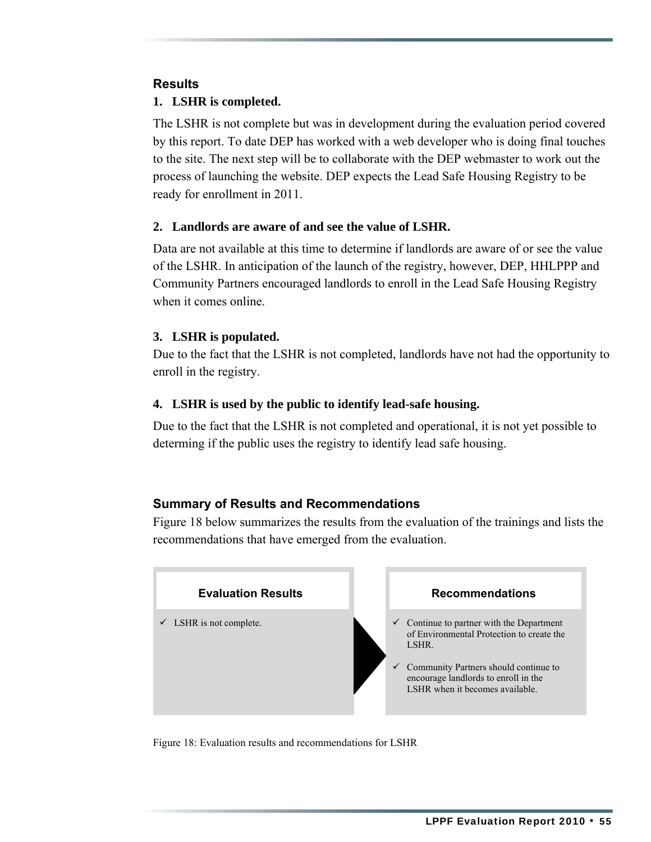#### **Results**

#### **1. LSHR is completed.**

The LSHR is not complete but was in development during the evaluation period covered by this report. To date DEP has worked with a web developer who is doing final touches to the site. The next step will be to collaborate with the DEP webmaster to work out the process of launching the website. DEP expects the Lead Safe Housing Registry to be ready for enrollment in 2011.

#### **2. Landlords are aware of and see the value of LSHR.**

Data are not available at this time to determine if landlords are aware of or see the value of the LSHR. In anticipation of the launch of the registry, however, DEP, HHLPPP and Community Partners encouraged landlords to enroll in the Lead Safe Housing Registry when it comes online.

#### **3. LSHR is populated.**

Due to the fact that the LSHR is not completed, landlords have not had the opportunity to enroll in the registry.

#### **4. LSHR is used by the public to identify lead-safe housing.**

Due to the fact that the LSHR is not completed and operational, it is not yet possible to determing if the public uses the registry to identify lead safe housing.

#### **Summary of Results and Recommendations**

Figure 18 below summarizes the results from the evaluation of the trainings and lists the recommendations that have emerged from the evaluation.



Figure 18: Evaluation results and recommendations for LSHR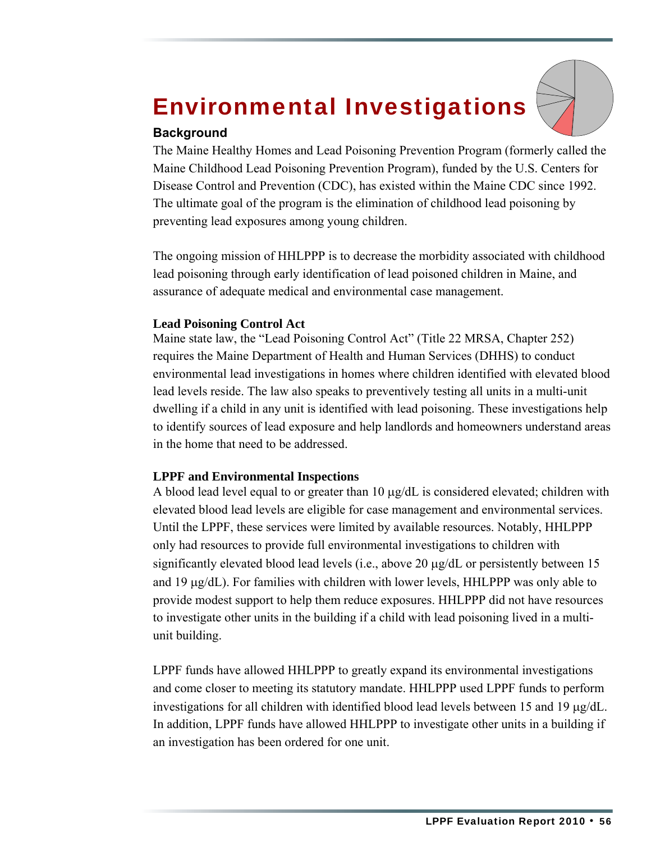## Environmental Investigations



#### **Background**

The Maine Healthy Homes and Lead Poisoning Prevention Program (formerly called the Maine Childhood Lead Poisoning Prevention Program), funded by the U.S. Centers for Disease Control and Prevention (CDC), has existed within the Maine CDC since 1992. The ultimate goal of the program is the elimination of childhood lead poisoning by preventing lead exposures among young children.

The ongoing mission of HHLPPP is to decrease the morbidity associated with childhood lead poisoning through early identification of lead poisoned children in Maine, and assurance of adequate medical and environmental case management.

#### **Lead Poisoning Control Act**

Maine state law, the "Lead Poisoning Control Act" (Title 22 MRSA, Chapter 252) requires the Maine Department of Health and Human Services (DHHS) to conduct environmental lead investigations in homes where children identified with elevated blood lead levels reside. The law also speaks to preventively testing all units in a multi-unit dwelling if a child in any unit is identified with lead poisoning. These investigations help to identify sources of lead exposure and help landlords and homeowners understand areas in the home that need to be addressed.

#### **LPPF and Environmental Inspections**

A blood lead level equal to or greater than 10 μg/dL is considered elevated; children with elevated blood lead levels are eligible for case management and environmental services. Until the LPPF, these services were limited by available resources. Notably, HHLPPP only had resources to provide full environmental investigations to children with significantly elevated blood lead levels (i.e., above 20 μg/dL or persistently between 15 and 19  $\mu$ g/dL). For families with children with lower levels, HHLPPP was only able to provide modest support to help them reduce exposures. HHLPPP did not have resources to investigate other units in the building if a child with lead poisoning lived in a multiunit building.

LPPF funds have allowed HHLPPP to greatly expand its environmental investigations and come closer to meeting its statutory mandate. HHLPPP used LPPF funds to perform investigations for all children with identified blood lead levels between 15 and 19 μg/dL. In addition, LPPF funds have allowed HHLPPP to investigate other units in a building if an investigation has been ordered for one unit.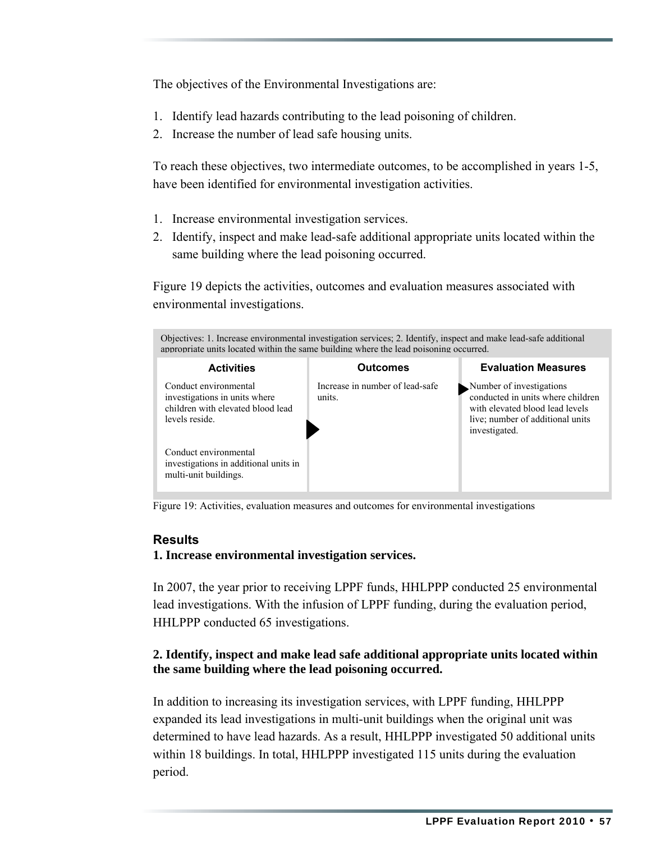The objectives of the Environmental Investigations are:

- 1. Identify lead hazards contributing to the lead poisoning of children.
- 2. Increase the number of lead safe housing units.

To reach these objectives, two intermediate outcomes, to be accomplished in years 1-5, have been identified for environmental investigation activities.

- 1. Increase environmental investigation services.
- 2. Identify, inspect and make lead-safe additional appropriate units located within the same building where the lead poisoning occurred.

Figure 19 depicts the activities, outcomes and evaluation measures associated with environmental investigations.



Figure 19: Activities, evaluation measures and outcomes for environmental investigations

#### **Results**

**1. Increase environmental investigation services.** 

In 2007, the year prior to receiving LPPF funds, HHLPPP conducted 25 environmental lead investigations. With the infusion of LPPF funding, during the evaluation period, HHLPPP conducted 65 investigations.

#### **2. Identify, inspect and make lead safe additional appropriate units located within the same building where the lead poisoning occurred.**

In addition to increasing its investigation services, with LPPF funding, HHLPPP expanded its lead investigations in multi-unit buildings when the original unit was determined to have lead hazards. As a result, HHLPPP investigated 50 additional units within 18 buildings. In total, HHLPPP investigated 115 units during the evaluation period.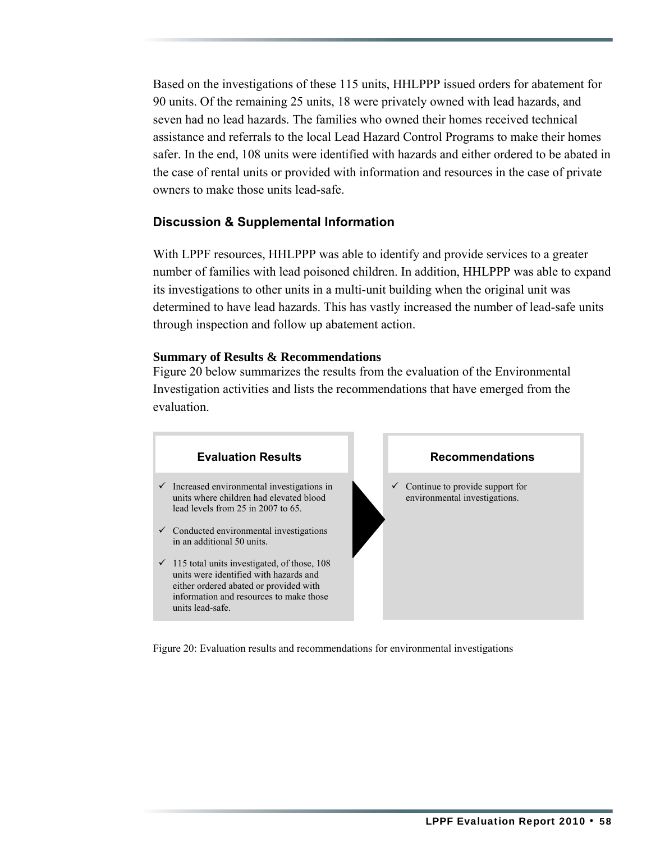Based on the investigations of these 115 units, HHLPPP issued orders for abatement for 90 units. Of the remaining 25 units, 18 were privately owned with lead hazards, and seven had no lead hazards. The families who owned their homes received technical assistance and referrals to the local Lead Hazard Control Programs to make their homes safer. In the end, 108 units were identified with hazards and either ordered to be abated in the case of rental units or provided with information and resources in the case of private owners to make those units lead-safe.

#### **Discussion & Supplemental Information**

With LPPF resources, HHLPPP was able to identify and provide services to a greater number of families with lead poisoned children. In addition, HHLPPP was able to expand its investigations to other units in a multi-unit building when the original unit was determined to have lead hazards. This has vastly increased the number of lead-safe units through inspection and follow up abatement action.

#### **Summary of Results & Recommendations**

Figure 20 below summarizes the results from the evaluation of the Environmental Investigation activities and lists the recommendations that have emerged from the evaluation.



Figure 20: Evaluation results and recommendations for environmental investigations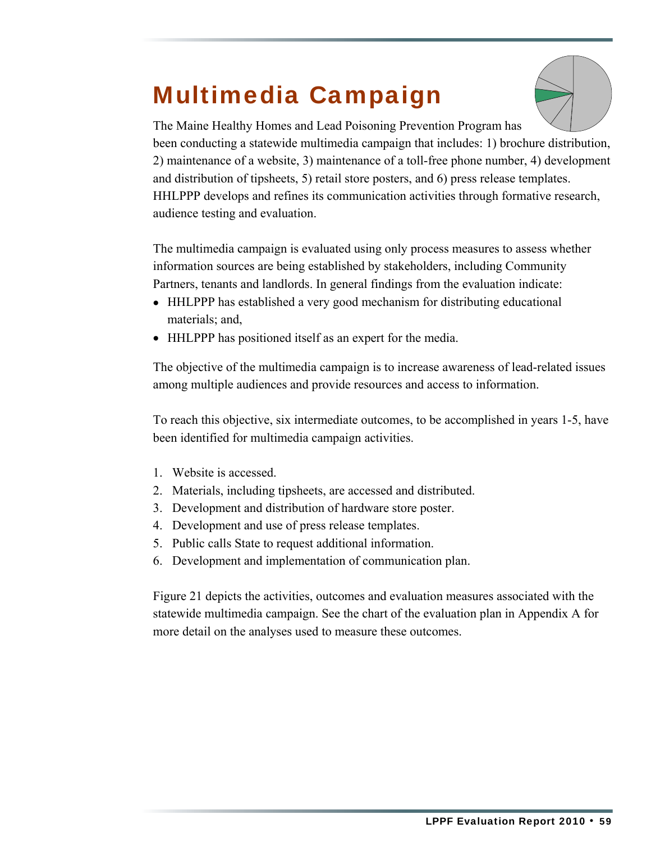### Multimedia Campaign



The Maine Healthy Homes and Lead Poisoning Prevention Program has been conducting a statewide multimedia campaign that includes: 1) brochure distribution, 2) maintenance of a website, 3) maintenance of a toll-free phone number, 4) development and distribution of tipsheets, 5) retail store posters, and 6) press release templates. HHLPPP develops and refines its communication activities through formative research, audience testing and evaluation.

The multimedia campaign is evaluated using only process measures to assess whether information sources are being established by stakeholders, including Community Partners, tenants and landlords. In general findings from the evaluation indicate:

- HHLPPP has established a very good mechanism for distributing educational materials; and,
- HHLPPP has positioned itself as an expert for the media.

The objective of the multimedia campaign is to increase awareness of lead-related issues among multiple audiences and provide resources and access to information.

To reach this objective, six intermediate outcomes, to be accomplished in years 1-5, have been identified for multimedia campaign activities.

- 1. Website is accessed.
- 2. Materials, including tipsheets, are accessed and distributed.
- 3. Development and distribution of hardware store poster.
- 4. Development and use of press release templates.
- 5. Public calls State to request additional information.
- 6. Development and implementation of communication plan.

Figure 21 depicts the activities, outcomes and evaluation measures associated with the statewide multimedia campaign. See the chart of the evaluation plan in Appendix A for more detail on the analyses used to measure these outcomes.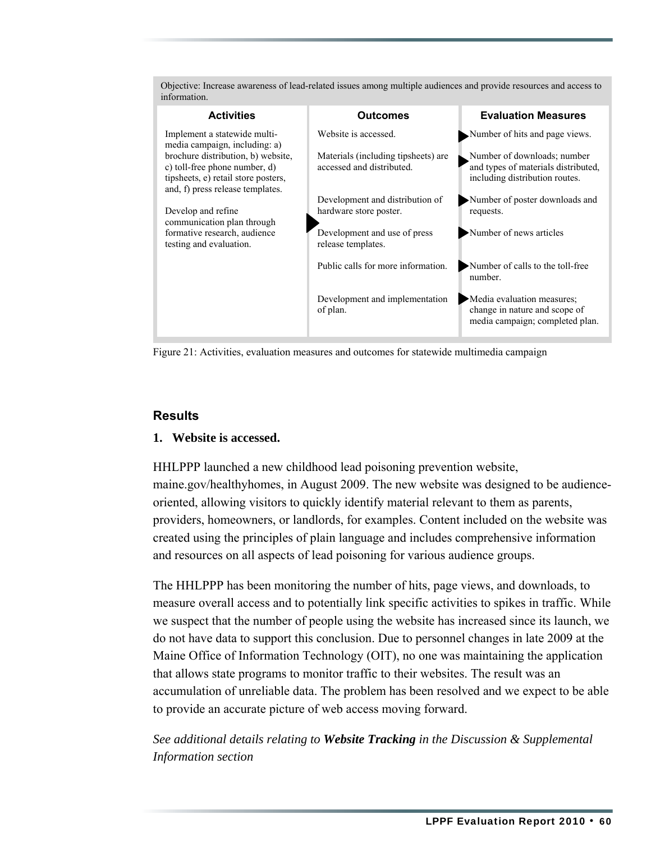| information.                                                                                             |                                                                                          |                                                                                                |
|----------------------------------------------------------------------------------------------------------|------------------------------------------------------------------------------------------|------------------------------------------------------------------------------------------------|
| <b>Activities</b>                                                                                        | <b>Outcomes</b>                                                                          | <b>Evaluation Measures</b>                                                                     |
| Implement a statewide multi-<br>media campaign, including: a)<br>brochure distribution, b) website,      | Website is accessed.<br>Materials (including tipsheets) are<br>accessed and distributed. | Number of hits and page views.<br>Number of downloads; number                                  |
| c) toll-free phone number, d)<br>tipsheets, e) retail store posters,<br>and, f) press release templates. |                                                                                          | and types of materials distributed,<br>including distribution routes.                          |
| Develop and refine<br>communication plan through                                                         | Development and distribution of<br>hardware store poster.                                | Number of poster downloads and<br>requests.                                                    |
| formative research, audience<br>testing and evaluation.                                                  | Development and use of press<br>release templates.                                       | Number of news articles                                                                        |
|                                                                                                          | Public calls for more information.                                                       | Number of calls to the toll-free<br>number.                                                    |
|                                                                                                          | Development and implementation<br>of plan.                                               | Media evaluation measures;<br>change in nature and scope of<br>media campaign; completed plan. |

Objective: Increase awareness of lead-related issues among multiple audiences and provide resources and access to information.

Figure 21: Activities, evaluation measures and outcomes for statewide multimedia campaign

#### **Results**

#### **1. Website is accessed.**

HHLPPP launched a new childhood lead poisoning prevention website, maine.gov/healthyhomes, in August 2009. The new website was designed to be audienceoriented, allowing visitors to quickly identify material relevant to them as parents, providers, homeowners, or landlords, for examples. Content included on the website was created using the principles of plain language and includes comprehensive information and resources on all aspects of lead poisoning for various audience groups.

The HHLPPP has been monitoring the number of hits, page views, and downloads, to measure overall access and to potentially link specific activities to spikes in traffic. While we suspect that the number of people using the website has increased since its launch, we do not have data to support this conclusion. Due to personnel changes in late 2009 at the Maine Office of Information Technology (OIT), no one was maintaining the application that allows state programs to monitor traffic to their websites. The result was an accumulation of unreliable data. The problem has been resolved and we expect to be able to provide an accurate picture of web access moving forward.

*See additional details relating to Website Tracking in the Discussion & Supplemental Information section*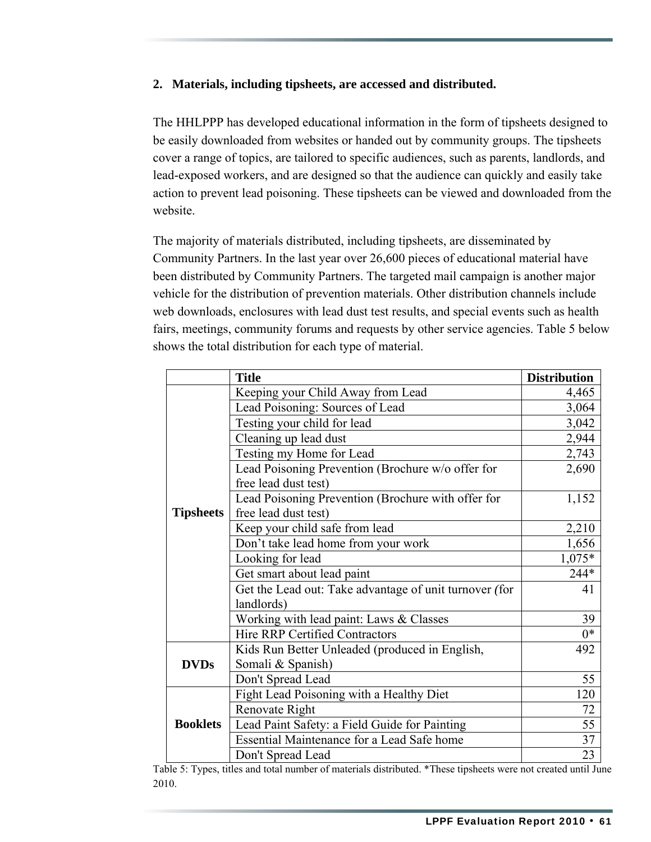#### **2. Materials, including tipsheets, are accessed and distributed.**

The HHLPPP has developed educational information in the form of tipsheets designed to be easily downloaded from websites or handed out by community groups. The tipsheets cover a range of topics, are tailored to specific audiences, such as parents, landlords, and lead-exposed workers, and are designed so that the audience can quickly and easily take action to prevent lead poisoning. These tipsheets can be viewed and downloaded from the website.

The majority of materials distributed, including tipsheets, are disseminated by Community Partners. In the last year over 26,600 pieces of educational material have been distributed by Community Partners. The targeted mail campaign is another major vehicle for the distribution of prevention materials. Other distribution channels include web downloads, enclosures with lead dust test results, and special events such as health fairs, meetings, community forums and requests by other service agencies. Table 5 below shows the total distribution for each type of material.

|                  | <b>Title</b>                                           | <b>Distribution</b> |
|------------------|--------------------------------------------------------|---------------------|
|                  | Keeping your Child Away from Lead                      | 4,465               |
|                  | Lead Poisoning: Sources of Lead                        | 3,064               |
|                  | Testing your child for lead                            | 3,042               |
|                  | Cleaning up lead dust                                  | 2,944               |
|                  | Testing my Home for Lead                               | 2,743               |
|                  | Lead Poisoning Prevention (Brochure w/o offer for      | 2,690               |
|                  | free lead dust test)                                   |                     |
|                  | Lead Poisoning Prevention (Brochure with offer for     | 1,152               |
| <b>Tipsheets</b> | free lead dust test)                                   |                     |
|                  | Keep your child safe from lead                         | 2,210               |
|                  | Don't take lead home from your work                    | 1,656               |
|                  | Looking for lead                                       | $1,075*$            |
|                  | Get smart about lead paint                             | 244*                |
|                  | Get the Lead out: Take advantage of unit turnover (for | 41                  |
|                  | landlords)                                             |                     |
|                  | Working with lead paint: Laws & Classes                | 39                  |
|                  | <b>Hire RRP Certified Contractors</b>                  | $0*$                |
|                  | Kids Run Better Unleaded (produced in English,         | 492                 |
| <b>DVDs</b>      | Somali & Spanish)                                      |                     |
|                  | Don't Spread Lead                                      | 55                  |
|                  | Fight Lead Poisoning with a Healthy Diet               | 120                 |
|                  | Renovate Right                                         | 72                  |
| <b>Booklets</b>  | Lead Paint Safety: a Field Guide for Painting          | 55                  |
|                  | Essential Maintenance for a Lead Safe home             | 37                  |
|                  | Don't Spread Lead                                      | 23                  |

Table 5: Types, titles and total number of materials distributed. \*These tipsheets were not created until June 2010.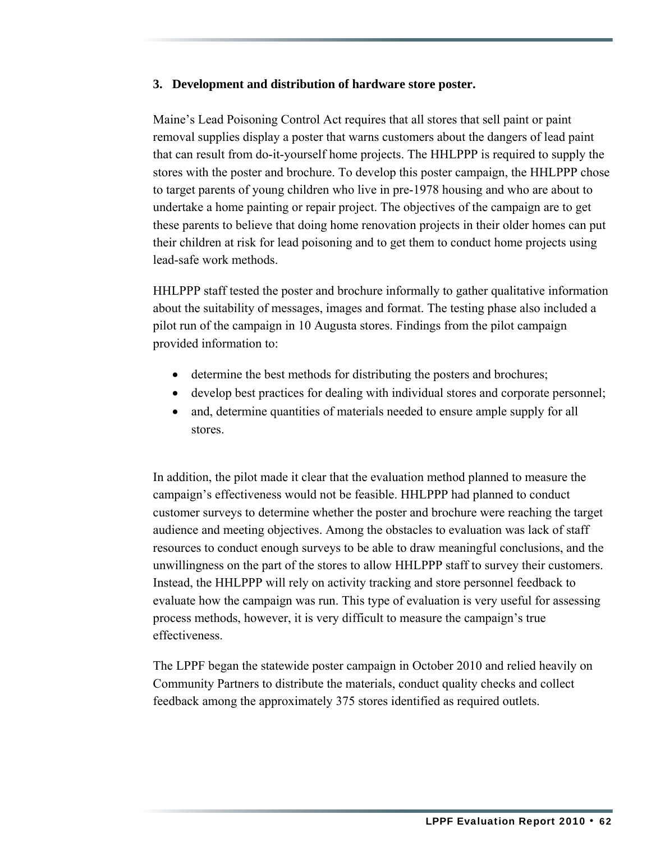#### **3. Development and distribution of hardware store poster.**

Maine's Lead Poisoning Control Act requires that all stores that sell paint or paint removal supplies display a poster that warns customers about the dangers of lead paint that can result from do-it-yourself home projects. The HHLPPP is required to supply the stores with the poster and brochure. To develop this poster campaign, the HHLPPP chose to target parents of young children who live in pre-1978 housing and who are about to undertake a home painting or repair project. The objectives of the campaign are to get these parents to believe that doing home renovation projects in their older homes can put their children at risk for lead poisoning and to get them to conduct home projects using lead-safe work methods.

HHLPPP staff tested the poster and brochure informally to gather qualitative information about the suitability of messages, images and format. The testing phase also included a pilot run of the campaign in 10 Augusta stores. Findings from the pilot campaign provided information to:

- determine the best methods for distributing the posters and brochures;
- develop best practices for dealing with individual stores and corporate personnel;
- and, determine quantities of materials needed to ensure ample supply for all stores.

In addition, the pilot made it clear that the evaluation method planned to measure the campaign's effectiveness would not be feasible. HHLPPP had planned to conduct customer surveys to determine whether the poster and brochure were reaching the target audience and meeting objectives. Among the obstacles to evaluation was lack of staff resources to conduct enough surveys to be able to draw meaningful conclusions, and the unwillingness on the part of the stores to allow HHLPPP staff to survey their customers. Instead, the HHLPPP will rely on activity tracking and store personnel feedback to evaluate how the campaign was run. This type of evaluation is very useful for assessing process methods, however, it is very difficult to measure the campaign's true effectiveness.

The LPPF began the statewide poster campaign in October 2010 and relied heavily on Community Partners to distribute the materials, conduct quality checks and collect feedback among the approximately 375 stores identified as required outlets.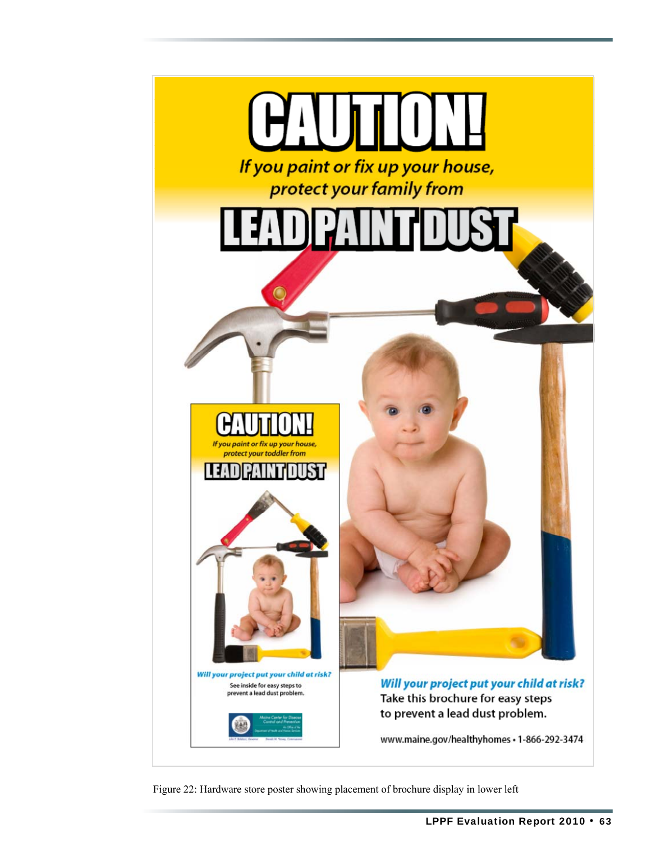

Figure 22: Hardware store poster showing placement of brochure display in lower left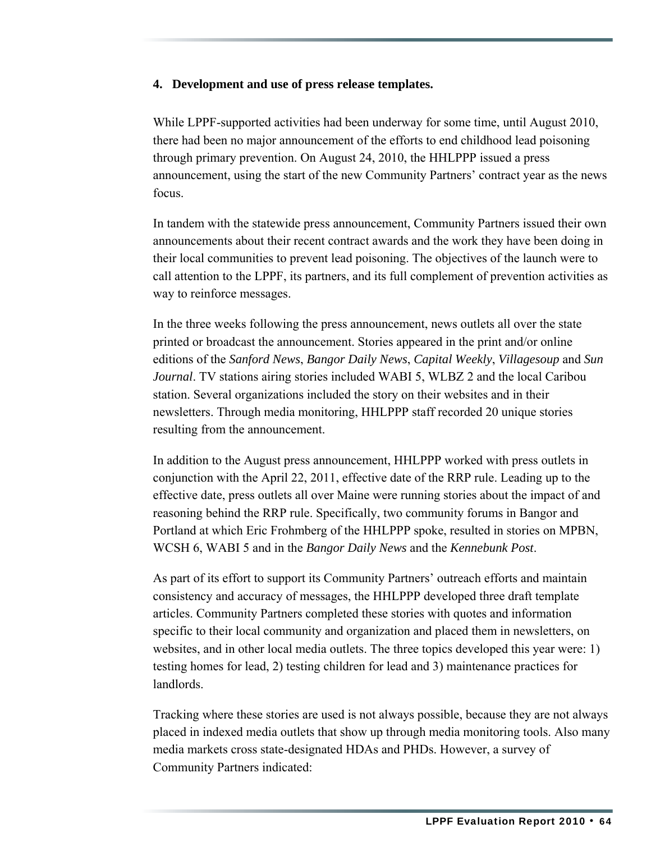#### **4. Development and use of press release templates.**

While LPPF-supported activities had been underway for some time, until August 2010, there had been no major announcement of the efforts to end childhood lead poisoning through primary prevention. On August 24, 2010, the HHLPPP issued a press announcement, using the start of the new Community Partners' contract year as the news focus.

In tandem with the statewide press announcement, Community Partners issued their own announcements about their recent contract awards and the work they have been doing in their local communities to prevent lead poisoning. The objectives of the launch were to call attention to the LPPF, its partners, and its full complement of prevention activities as way to reinforce messages.

In the three weeks following the press announcement, news outlets all over the state printed or broadcast the announcement. Stories appeared in the print and/or online editions of the *Sanford News*, *Bangor Daily News*, *Capital Weekly*, *Villagesoup* and *Sun Journal*. TV stations airing stories included WABI 5, WLBZ 2 and the local Caribou station. Several organizations included the story on their websites and in their newsletters. Through media monitoring, HHLPPP staff recorded 20 unique stories resulting from the announcement.

In addition to the August press announcement, HHLPPP worked with press outlets in conjunction with the April 22, 2011, effective date of the RRP rule. Leading up to the effective date, press outlets all over Maine were running stories about the impact of and reasoning behind the RRP rule. Specifically, two community forums in Bangor and Portland at which Eric Frohmberg of the HHLPPP spoke, resulted in stories on MPBN, WCSH 6, WABI 5 and in the *Bangor Daily News* and the *Kennebunk Post*.

As part of its effort to support its Community Partners' outreach efforts and maintain consistency and accuracy of messages, the HHLPPP developed three draft template articles. Community Partners completed these stories with quotes and information specific to their local community and organization and placed them in newsletters, on websites, and in other local media outlets. The three topics developed this year were: 1) testing homes for lead, 2) testing children for lead and 3) maintenance practices for landlords.

Tracking where these stories are used is not always possible, because they are not always placed in indexed media outlets that show up through media monitoring tools. Also many media markets cross state-designated HDAs and PHDs. However, a survey of Community Partners indicated: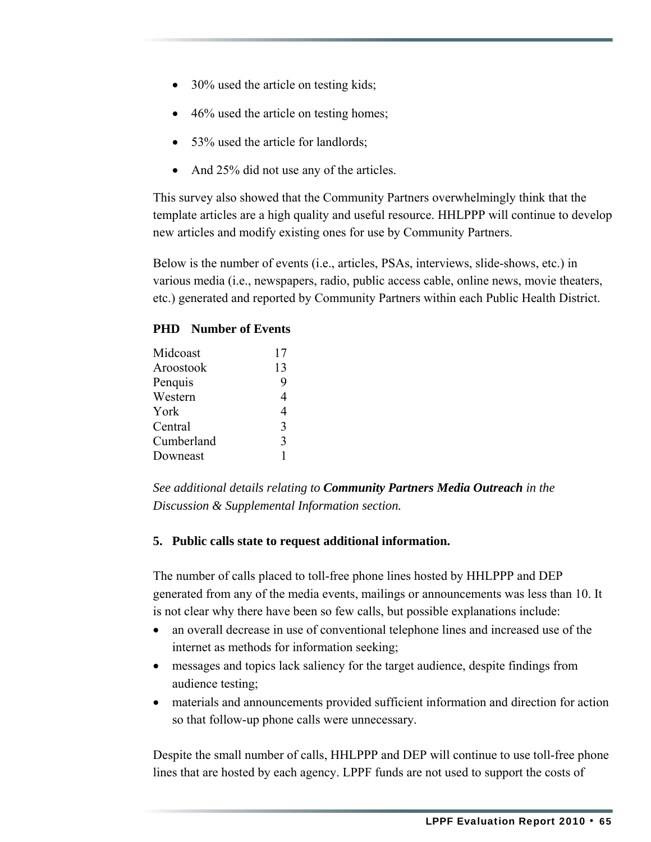- 30% used the article on testing kids;
- 46% used the article on testing homes;
- 53% used the article for landlords;
- And 25% did not use any of the articles.

This survey also showed that the Community Partners overwhelmingly think that the template articles are a high quality and useful resource. HHLPPP will continue to develop new articles and modify existing ones for use by Community Partners.

Below is the number of events (i.e., articles, PSAs, interviews, slide-shows, etc.) in various media (i.e., newspapers, radio, public access cable, online news, movie theaters, etc.) generated and reported by Community Partners within each Public Health District.

#### **PHD Number of Events**

| Midcoast   | 17             |
|------------|----------------|
| Aroostook  | 13             |
| Penquis    | 9              |
| Western    | 4              |
| York       | $\overline{4}$ |
| Central    | 3              |
| Cumberland | 3              |
| Downeast   |                |
|            |                |

*See additional details relating to Community Partners Media Outreach in the Discussion & Supplemental Information section.* 

#### **5. Public calls state to request additional information.**

The number of calls placed to toll-free phone lines hosted by HHLPPP and DEP generated from any of the media events, mailings or announcements was less than 10. It is not clear why there have been so few calls, but possible explanations include:

- an overall decrease in use of conventional telephone lines and increased use of the internet as methods for information seeking;
- messages and topics lack saliency for the target audience, despite findings from audience testing;
- materials and announcements provided sufficient information and direction for action so that follow-up phone calls were unnecessary.

Despite the small number of calls, HHLPPP and DEP will continue to use toll-free phone lines that are hosted by each agency. LPPF funds are not used to support the costs of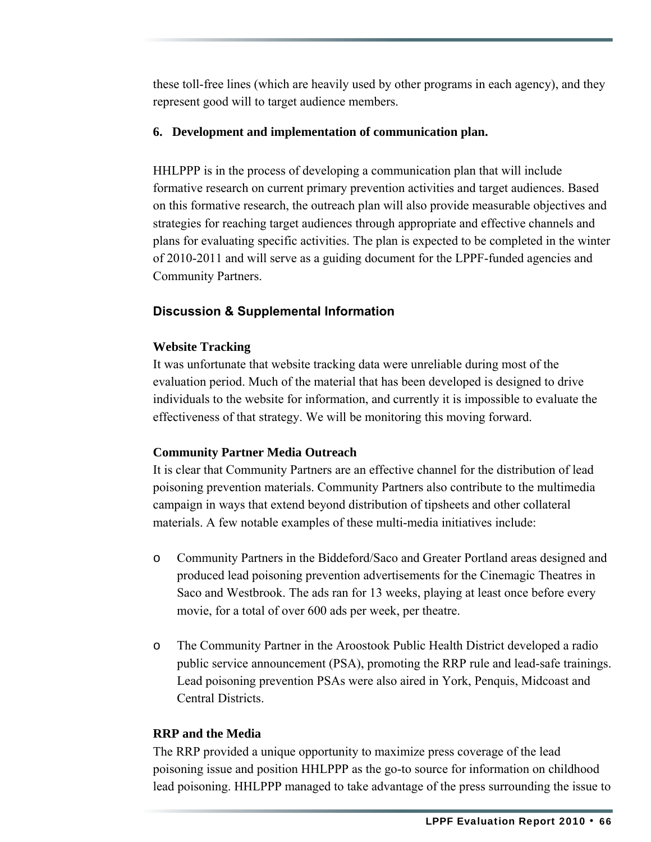these toll-free lines (which are heavily used by other programs in each agency), and they represent good will to target audience members.

#### **6. Development and implementation of communication plan.**

HHLPPP is in the process of developing a communication plan that will include formative research on current primary prevention activities and target audiences. Based on this formative research, the outreach plan will also provide measurable objectives and strategies for reaching target audiences through appropriate and effective channels and plans for evaluating specific activities. The plan is expected to be completed in the winter of 2010-2011 and will serve as a guiding document for the LPPF-funded agencies and Community Partners.

### **Discussion & Supplemental Information**

#### **Website Tracking**

It was unfortunate that website tracking data were unreliable during most of the evaluation period. Much of the material that has been developed is designed to drive individuals to the website for information, and currently it is impossible to evaluate the effectiveness of that strategy. We will be monitoring this moving forward.

#### **Community Partner Media Outreach**

It is clear that Community Partners are an effective channel for the distribution of lead poisoning prevention materials. Community Partners also contribute to the multimedia campaign in ways that extend beyond distribution of tipsheets and other collateral materials. A few notable examples of these multi-media initiatives include:

- o Community Partners in the Biddeford/Saco and Greater Portland areas designed and produced lead poisoning prevention advertisements for the Cinemagic Theatres in Saco and Westbrook. The ads ran for 13 weeks, playing at least once before every movie, for a total of over 600 ads per week, per theatre.
- o The Community Partner in the Aroostook Public Health District developed a radio public service announcement (PSA), promoting the RRP rule and lead-safe trainings. Lead poisoning prevention PSAs were also aired in York, Penquis, Midcoast and Central Districts.

#### **RRP and the Media**

The RRP provided a unique opportunity to maximize press coverage of the lead poisoning issue and position HHLPPP as the go-to source for information on childhood lead poisoning. HHLPPP managed to take advantage of the press surrounding the issue to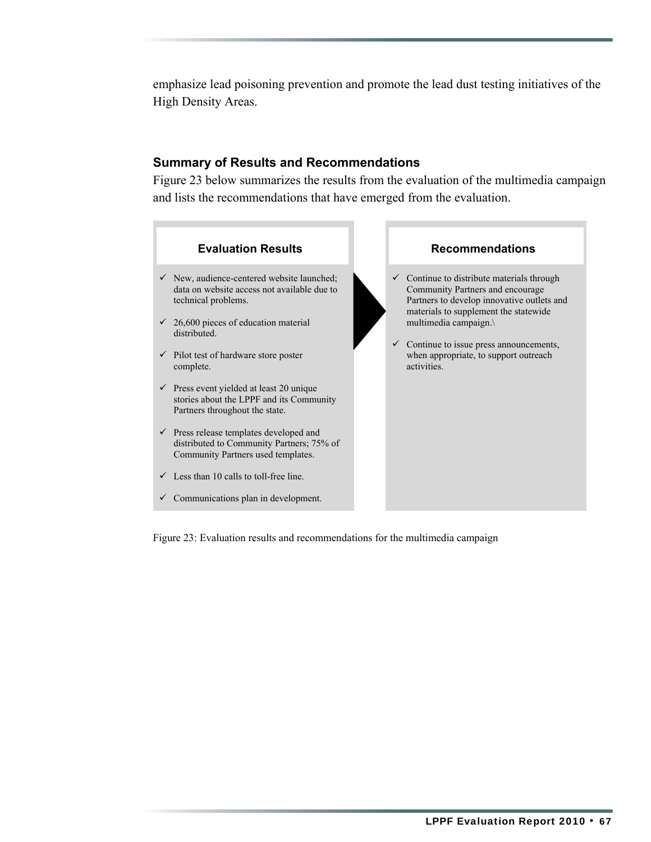emphasize lead poisoning prevention and promote the lead dust testing initiatives of the High Density Areas.

#### **Summary of Results and Recommendations**

Figure 23 below summarizes the results from the evaluation of the multimedia campaign and lists the recommendations that have emerged from the evaluation.



Figure 23: Evaluation results and recommendations for the multimedia campaign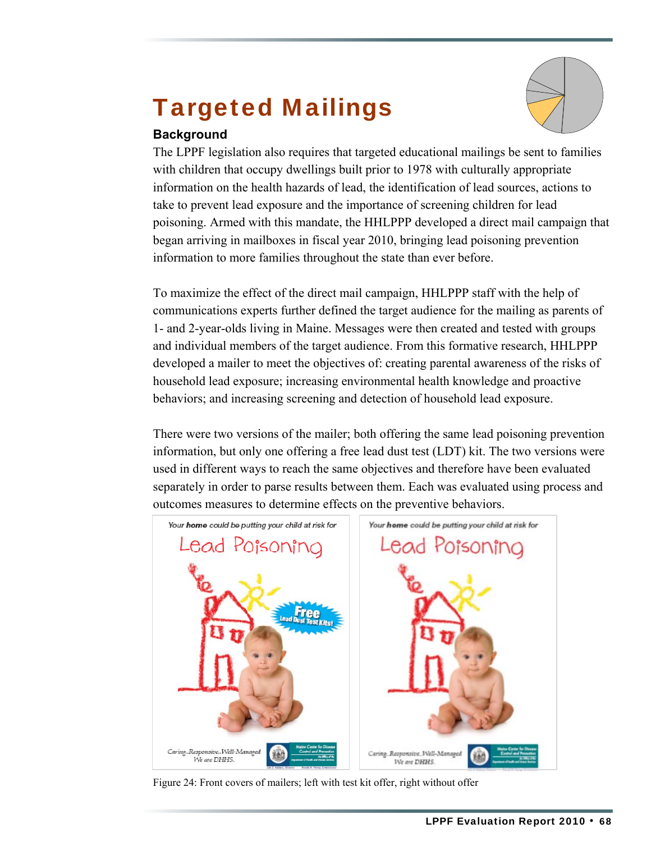# Targeted Mailings



#### **Background**

The LPPF legislation also requires that targeted educational mailings be sent to families with children that occupy dwellings built prior to 1978 with culturally appropriate information on the health hazards of lead, the identification of lead sources, actions to take to prevent lead exposure and the importance of screening children for lead poisoning. Armed with this mandate, the HHLPPP developed a direct mail campaign that began arriving in mailboxes in fiscal year 2010, bringing lead poisoning prevention information to more families throughout the state than ever before.

To maximize the effect of the direct mail campaign, HHLPPP staff with the help of communications experts further defined the target audience for the mailing as parents of 1- and 2-year-olds living in Maine. Messages were then created and tested with groups and individual members of the target audience. From this formative research, HHLPPP developed a mailer to meet the objectives of: creating parental awareness of the risks of household lead exposure; increasing environmental health knowledge and proactive behaviors; and increasing screening and detection of household lead exposure.

There were two versions of the mailer; both offering the same lead poisoning prevention information, but only one offering a free lead dust test (LDT) kit. The two versions were used in different ways to reach the same objectives and therefore have been evaluated separately in order to parse results between them. Each was evaluated using process and outcomes measures to determine effects on the preventive behaviors.

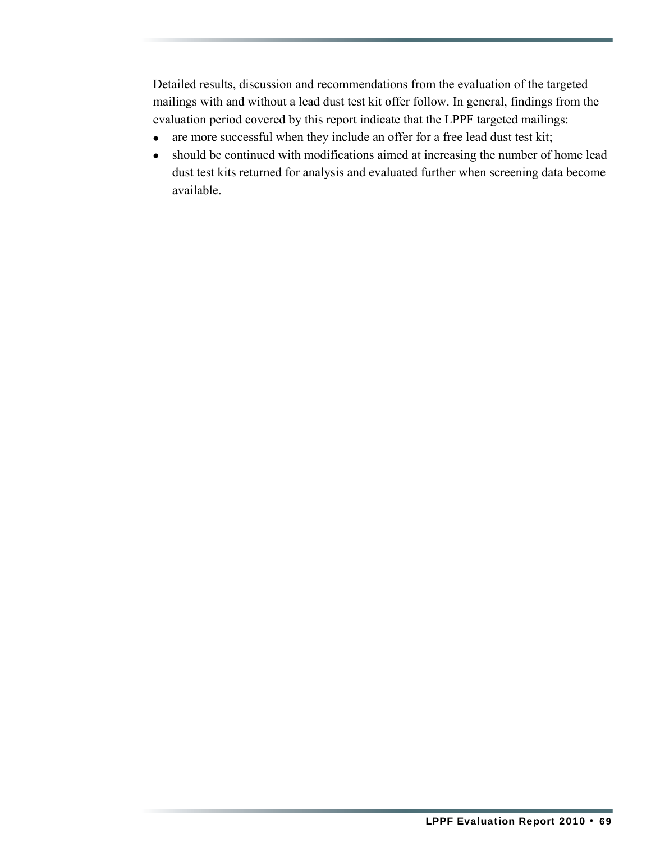Detailed results, discussion and recommendations from the evaluation of the targeted mailings with and without a lead dust test kit offer follow. In general, findings from the evaluation period covered by this report indicate that the LPPF targeted mailings:

- are more successful when they include an offer for a free lead dust test kit;
- should be continued with modifications aimed at increasing the number of home lead dust test kits returned for analysis and evaluated further when screening data become available.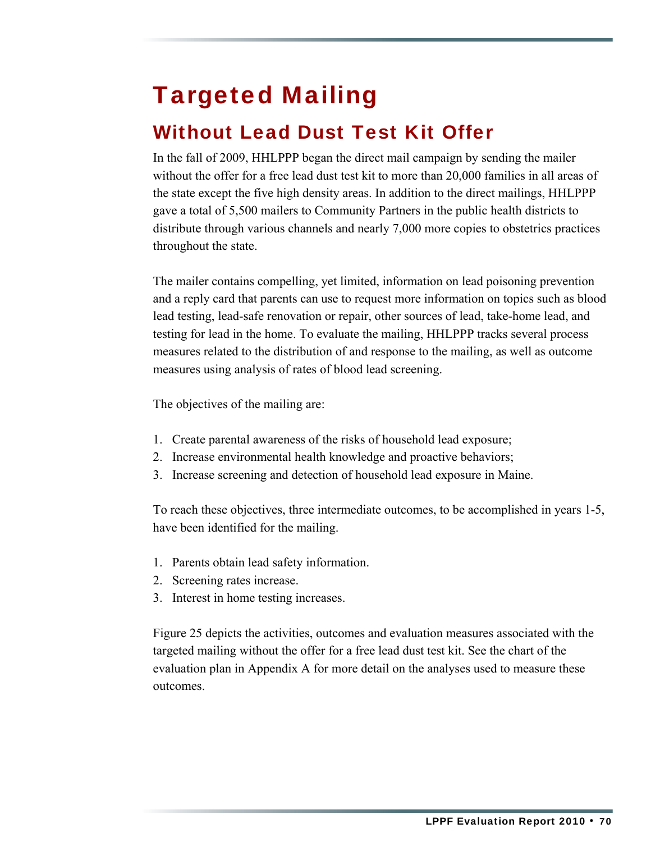# Targeted Mailing

### Without Lead Dust Test Kit Offer

In the fall of 2009, HHLPPP began the direct mail campaign by sending the mailer without the offer for a free lead dust test kit to more than 20,000 families in all areas of the state except the five high density areas. In addition to the direct mailings, HHLPPP gave a total of 5,500 mailers to Community Partners in the public health districts to distribute through various channels and nearly 7,000 more copies to obstetrics practices throughout the state.

The mailer contains compelling, yet limited, information on lead poisoning prevention and a reply card that parents can use to request more information on topics such as blood lead testing, lead-safe renovation or repair, other sources of lead, take-home lead, and testing for lead in the home. To evaluate the mailing, HHLPPP tracks several process measures related to the distribution of and response to the mailing, as well as outcome measures using analysis of rates of blood lead screening.

The objectives of the mailing are:

- 1. Create parental awareness of the risks of household lead exposure;
- 2. Increase environmental health knowledge and proactive behaviors;
- 3. Increase screening and detection of household lead exposure in Maine.

To reach these objectives, three intermediate outcomes, to be accomplished in years 1-5, have been identified for the mailing.

- 1. Parents obtain lead safety information.
- 2. Screening rates increase.
- 3. Interest in home testing increases.

Figure 25 depicts the activities, outcomes and evaluation measures associated with the targeted mailing without the offer for a free lead dust test kit. See the chart of the evaluation plan in Appendix A for more detail on the analyses used to measure these outcomes.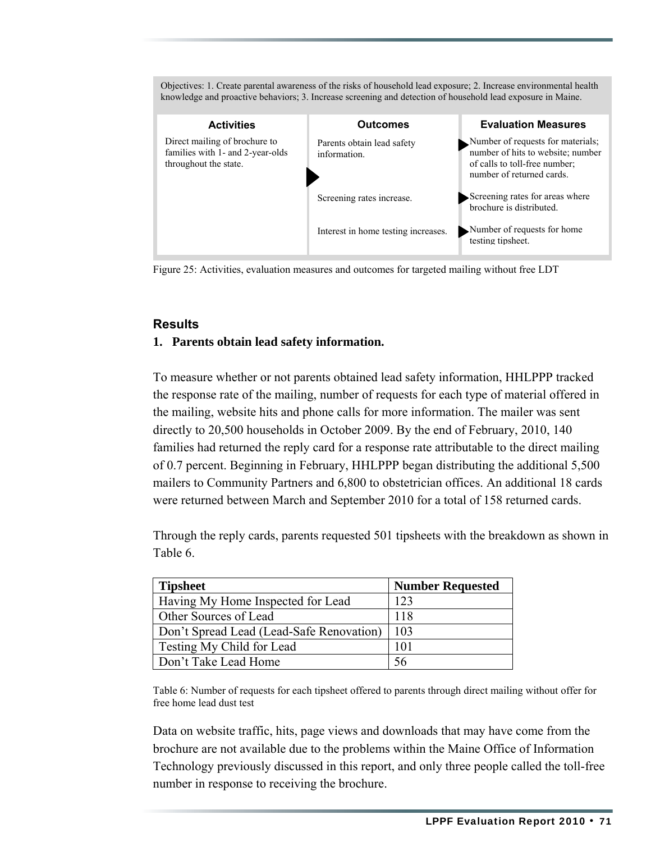Objectives: 1. Create parental awareness of the risks of household lead exposure; 2. Increase environmental health knowledge and proactive behaviors; 3. Increase screening and detection of household lead exposure in Maine. **Activities Outcomes Evaluation Measures** Direct mailing of brochure to families with 1- and 2-year-olds throughout the state. Parents obtain lead safety information. Number of requests for materials; number of hits to website; number of calls to toll-free number; number of returned cards. Screening rates for areas where brochure is distributed. Number of requests for home testing tipsheet. Screening rates increase. Interest in home testing increases.

Figure 25: Activities, evaluation measures and outcomes for targeted mailing without free LDT

#### **Results**

#### **1. Parents obtain lead safety information.**

To measure whether or not parents obtained lead safety information, HHLPPP tracked the response rate of the mailing, number of requests for each type of material offered in the mailing, website hits and phone calls for more information. The mailer was sent directly to 20,500 households in October 2009. By the end of February, 2010, 140 families had returned the reply card for a response rate attributable to the direct mailing of 0.7 percent. Beginning in February, HHLPPP began distributing the additional 5,500 mailers to Community Partners and 6,800 to obstetrician offices. An additional 18 cards were returned between March and September 2010 for a total of 158 returned cards.

Through the reply cards, parents requested 501 tipsheets with the breakdown as shown in Table 6.

| <b>Tipsheet</b>                          | <b>Number Requested</b> |
|------------------------------------------|-------------------------|
| Having My Home Inspected for Lead        | 123                     |
| Other Sources of Lead                    | 118                     |
| Don't Spread Lead (Lead-Safe Renovation) | 103                     |
| Testing My Child for Lead                | 101                     |
| Don't Take Lead Home                     | -56                     |

Table 6: Number of requests for each tipsheet offered to parents through direct mailing without offer for free home lead dust test

Data on website traffic, hits, page views and downloads that may have come from the brochure are not available due to the problems within the Maine Office of Information Technology previously discussed in this report, and only three people called the toll-free number in response to receiving the brochure.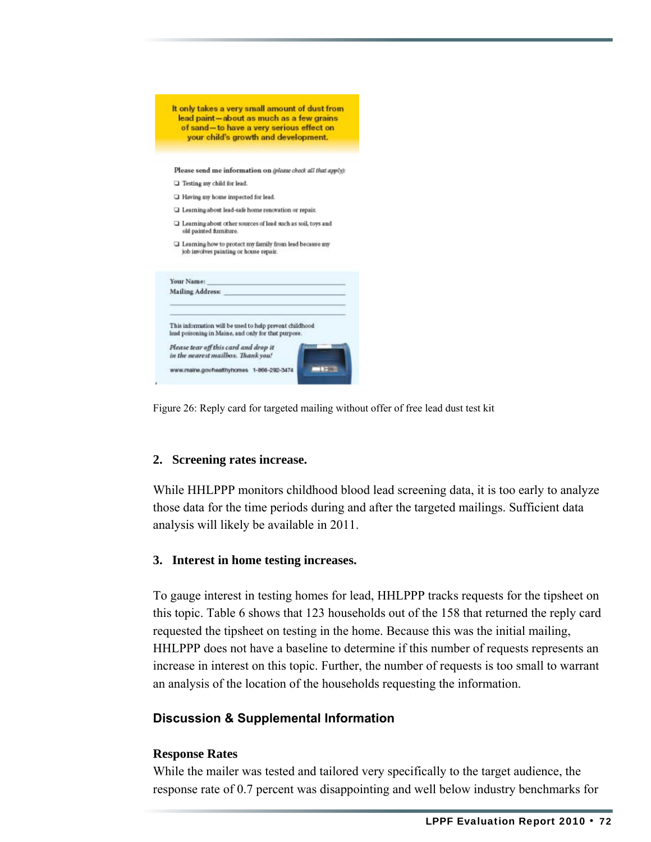|            | It only takes a very small amount of dust from<br>lead paint-about as much as a few grains<br>of sand-to have a very serious effect on<br>your child's growth and development. |
|------------|--------------------------------------------------------------------------------------------------------------------------------------------------------------------------------|
|            |                                                                                                                                                                                |
|            | Please send me information on (please check all that apply):                                                                                                                   |
|            | $\Box$ Testing my child for lead.                                                                                                                                              |
|            | I Having my home inspected for lead.                                                                                                                                           |
|            | $\Box$ Learning about lead-safe home renovation or repair.                                                                                                                     |
|            | $\Box$ Learning about other sources of lead such as soil, toys and<br>old painted furniture.                                                                                   |
|            | I Learning how to protect my family from lead because my<br>job involves painting or house repair.                                                                             |
| Your Name: | and the control of the control of the                                                                                                                                          |
|            | <b>Mailing Address:</b>                                                                                                                                                        |
|            | This information will be used to help prevent childhood<br>lead poisoning in Maine, and only for that purpose.                                                                 |
|            | Please tear off this card and drop it<br>in the nearest mailbox. Thank you!                                                                                                    |
|            |                                                                                                                                                                                |

Figure 26: Reply card for targeted mailing without offer of free lead dust test kit

#### **2. Screening rates increase.**

While HHLPPP monitors childhood blood lead screening data, it is too early to analyze those data for the time periods during and after the targeted mailings. Sufficient data analysis will likely be available in 2011.

#### **3. Interest in home testing increases.**

To gauge interest in testing homes for lead, HHLPPP tracks requests for the tipsheet on this topic. Table 6 shows that 123 households out of the 158 that returned the reply card requested the tipsheet on testing in the home. Because this was the initial mailing, HHLPPP does not have a baseline to determine if this number of requests represents an increase in interest on this topic. Further, the number of requests is too small to warrant an analysis of the location of the households requesting the information.

#### **Discussion & Supplemental Information**

#### **Response Rates**

While the mailer was tested and tailored very specifically to the target audience, the response rate of 0.7 percent was disappointing and well below industry benchmarks for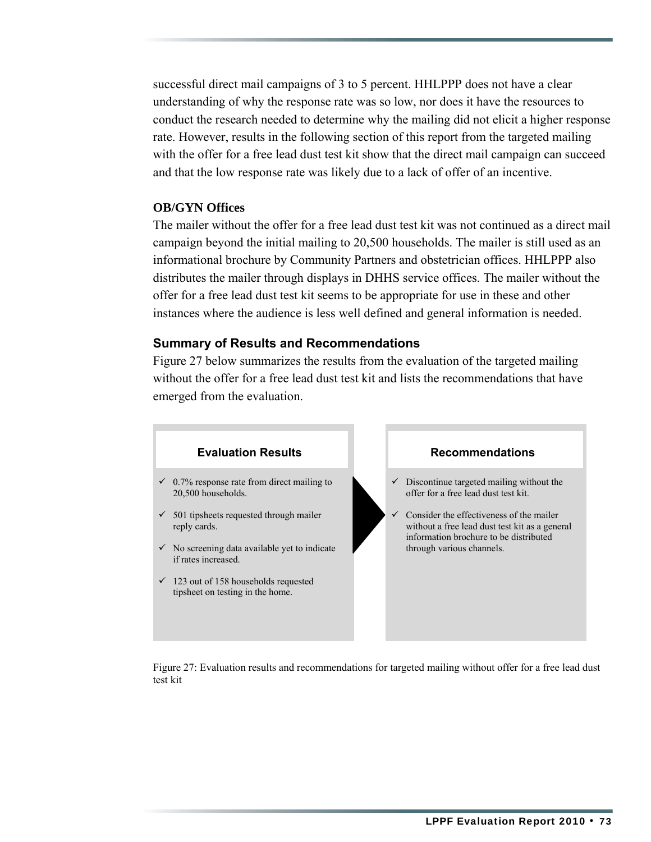successful direct mail campaigns of 3 to 5 percent. HHLPPP does not have a clear understanding of why the response rate was so low, nor does it have the resources to conduct the research needed to determine why the mailing did not elicit a higher response rate. However, results in the following section of this report from the targeted mailing with the offer for a free lead dust test kit show that the direct mail campaign can succeed and that the low response rate was likely due to a lack of offer of an incentive.

#### **OB/GYN Offices**

The mailer without the offer for a free lead dust test kit was not continued as a direct mail campaign beyond the initial mailing to 20,500 households. The mailer is still used as an informational brochure by Community Partners and obstetrician offices. HHLPPP also distributes the mailer through displays in DHHS service offices. The mailer without the offer for a free lead dust test kit seems to be appropriate for use in these and other instances where the audience is less well defined and general information is needed.

#### **Summary of Results and Recommendations**

Figure 27 below summarizes the results from the evaluation of the targeted mailing without the offer for a free lead dust test kit and lists the recommendations that have emerged from the evaluation.



Figure 27: Evaluation results and recommendations for targeted mailing without offer for a free lead dust test kit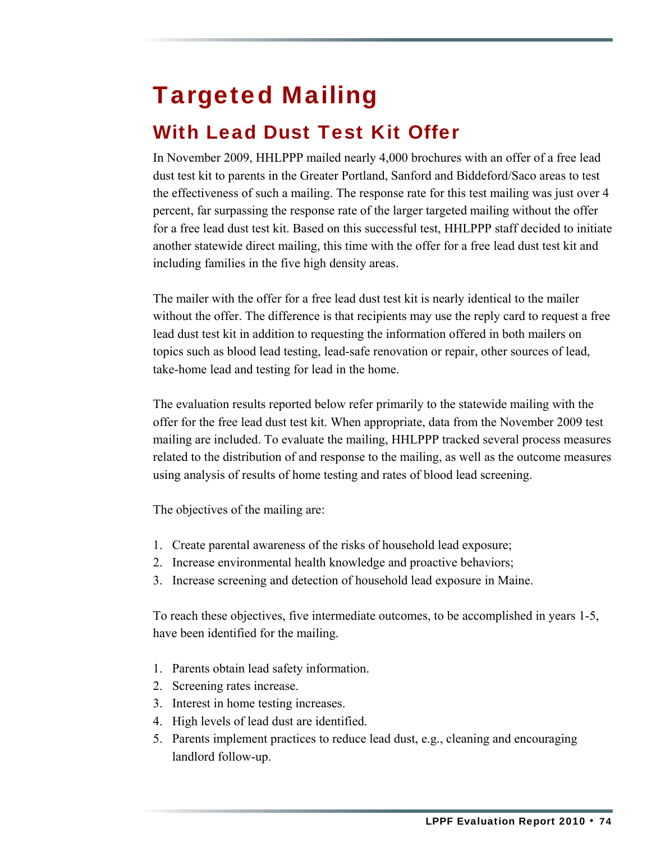# Targeted Mailing

### With Lead Dust Test Kit Offer

In November 2009, HHLPPP mailed nearly 4,000 brochures with an offer of a free lead dust test kit to parents in the Greater Portland, Sanford and Biddeford/Saco areas to test the effectiveness of such a mailing. The response rate for this test mailing was just over 4 percent, far surpassing the response rate of the larger targeted mailing without the offer for a free lead dust test kit. Based on this successful test, HHLPPP staff decided to initiate another statewide direct mailing, this time with the offer for a free lead dust test kit and including families in the five high density areas.

The mailer with the offer for a free lead dust test kit is nearly identical to the mailer without the offer. The difference is that recipients may use the reply card to request a free lead dust test kit in addition to requesting the information offered in both mailers on topics such as blood lead testing, lead-safe renovation or repair, other sources of lead, take-home lead and testing for lead in the home.

The evaluation results reported below refer primarily to the statewide mailing with the offer for the free lead dust test kit. When appropriate, data from the November 2009 test mailing are included. To evaluate the mailing, HHLPPP tracked several process measures related to the distribution of and response to the mailing, as well as the outcome measures using analysis of results of home testing and rates of blood lead screening.

The objectives of the mailing are:

- 1. Create parental awareness of the risks of household lead exposure;
- 2. Increase environmental health knowledge and proactive behaviors;
- 3. Increase screening and detection of household lead exposure in Maine.

To reach these objectives, five intermediate outcomes, to be accomplished in years 1-5, have been identified for the mailing.

- 1. Parents obtain lead safety information.
- 2. Screening rates increase.
- 3. Interest in home testing increases.
- 4. High levels of lead dust are identified.
- 5. Parents implement practices to reduce lead dust, e.g., cleaning and encouraging landlord follow-up.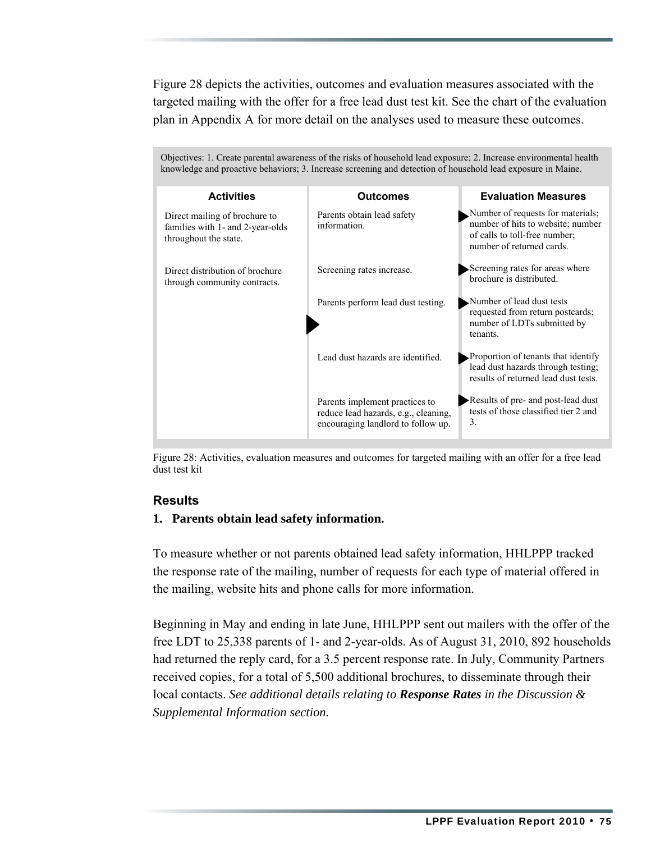Figure 28 depicts the activities, outcomes and evaluation measures associated with the targeted mailing with the offer for a free lead dust test kit. See the chart of the evaluation plan in Appendix A for more detail on the analyses used to measure these outcomes.

| Objectives: 1. Create parental awareness of the risks of household lead exposure; 2. Increase environmental health<br>knowledge and proactive behaviors; 3. Increase screening and detection of household lead exposure in Maine. |                                                                                                              |                                                                                                                                      |  |  |  |  |
|-----------------------------------------------------------------------------------------------------------------------------------------------------------------------------------------------------------------------------------|--------------------------------------------------------------------------------------------------------------|--------------------------------------------------------------------------------------------------------------------------------------|--|--|--|--|
| <b>Activities</b>                                                                                                                                                                                                                 | <b>Outcomes</b>                                                                                              | <b>Evaluation Measures</b>                                                                                                           |  |  |  |  |
| Direct mailing of brochure to<br>families with 1- and 2-year-olds<br>throughout the state.                                                                                                                                        | Parents obtain lead safety<br>information.                                                                   | Number of requests for materials;<br>number of hits to website; number<br>of calls to toll-free number;<br>number of returned cards. |  |  |  |  |
| Direct distribution of brochure<br>through community contracts.                                                                                                                                                                   | Screening rates increase.                                                                                    | Screening rates for areas where<br>brochure is distributed.                                                                          |  |  |  |  |
|                                                                                                                                                                                                                                   | Parents perform lead dust testing.                                                                           | Number of lead dust tests<br>requested from return postcards;<br>number of LDTs submitted by<br>tenants.                             |  |  |  |  |
|                                                                                                                                                                                                                                   | Lead dust hazards are identified.                                                                            | Proportion of tenants that identify<br>lead dust hazards through testing;<br>results of returned lead dust tests.                    |  |  |  |  |
|                                                                                                                                                                                                                                   | Parents implement practices to<br>reduce lead hazards, e.g., cleaning,<br>encouraging landlord to follow up. | Results of pre- and post-lead dust<br>tests of those classified tier 2 and<br>3.                                                     |  |  |  |  |

Figure 28: Activities, evaluation measures and outcomes for targeted mailing with an offer for a free lead dust test kit

#### **Results**

#### **1. Parents obtain lead safety information.**

To measure whether or not parents obtained lead safety information, HHLPPP tracked the response rate of the mailing, number of requests for each type of material offered in the mailing, website hits and phone calls for more information.

Beginning in May and ending in late June, HHLPPP sent out mailers with the offer of the free LDT to 25,338 parents of 1- and 2-year-olds. As of August 31, 2010, 892 households had returned the reply card, for a 3.5 percent response rate. In July, Community Partners received copies, for a total of 5,500 additional brochures, to disseminate through their local contacts. *See additional details relating to Response Rates in the Discussion & Supplemental Information section.*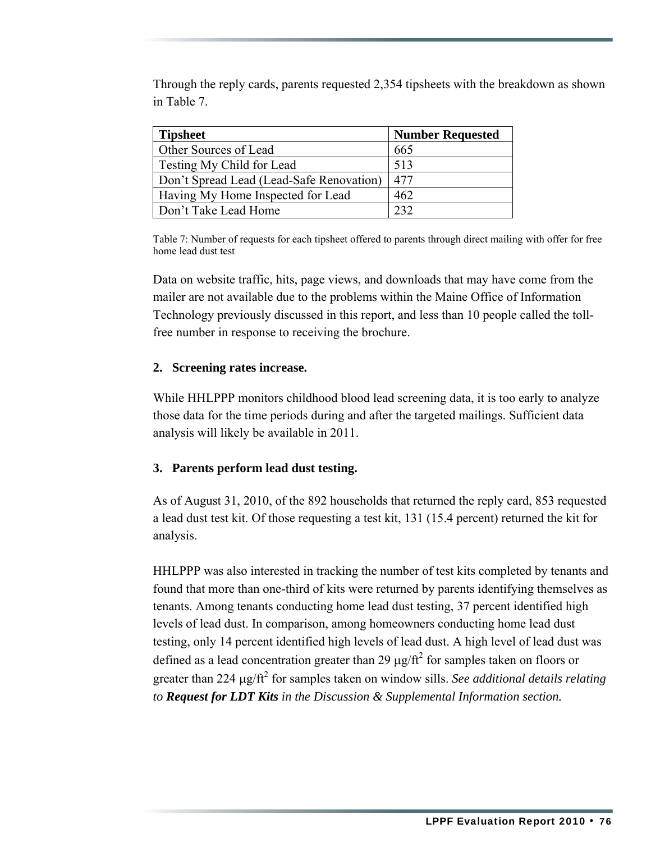Through the reply cards, parents requested 2,354 tipsheets with the breakdown as shown in Table 7.

| <b>Tipsheet</b>                          | <b>Number Requested</b> |
|------------------------------------------|-------------------------|
| Other Sources of Lead                    | 665                     |
| Testing My Child for Lead                | 513                     |
| Don't Spread Lead (Lead-Safe Renovation) | 477                     |
| Having My Home Inspected for Lead        | 462                     |
| Don't Take Lead Home                     | 232                     |

Table 7: Number of requests for each tipsheet offered to parents through direct mailing with offer for free home lead dust test

Data on website traffic, hits, page views, and downloads that may have come from the mailer are not available due to the problems within the Maine Office of Information Technology previously discussed in this report, and less than 10 people called the tollfree number in response to receiving the brochure.

#### **2. Screening rates increase.**

While HHLPPP monitors childhood blood lead screening data, it is too early to analyze those data for the time periods during and after the targeted mailings. Sufficient data analysis will likely be available in 2011.

#### **3. Parents perform lead dust testing.**

As of August 31, 2010, of the 892 households that returned the reply card, 853 requested a lead dust test kit. Of those requesting a test kit, 131 (15.4 percent) returned the kit for analysis.

HHLPPP was also interested in tracking the number of test kits completed by tenants and found that more than one-third of kits were returned by parents identifying themselves as tenants. Among tenants conducting home lead dust testing, 37 percent identified high levels of lead dust. In comparison, among homeowners conducting home lead dust testing, only 14 percent identified high levels of lead dust. A high level of lead dust was defined as a lead concentration greater than 29  $\mu$ g/ft<sup>2</sup> for samples taken on floors or greater than 224 μg/ft<sup>2</sup> for samples taken on window sills. *See additional details relating to Request for LDT Kits in the Discussion & Supplemental Information section.*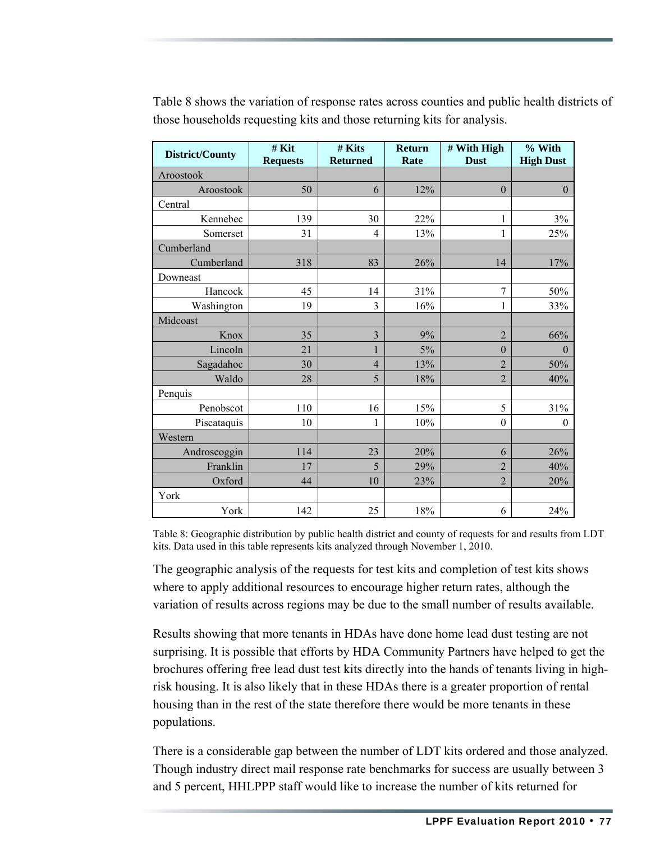| District/County | # Kit<br><b>Requests</b> | # Kits<br><b>Returned</b> | <b>Return</b><br>Rate | # With High<br><b>Dust</b> | % With<br><b>High Dust</b> |
|-----------------|--------------------------|---------------------------|-----------------------|----------------------------|----------------------------|
| Aroostook       |                          |                           |                       |                            |                            |
| Aroostook       | 50                       | 6                         | 12%                   | $\boldsymbol{0}$           | $\boldsymbol{0}$           |
| Central         |                          |                           |                       |                            |                            |
| Kennebec        | 139                      | 30                        | 22%                   | 1                          | 3%                         |
| Somerset        | 31                       | $\overline{4}$            | 13%                   | 1                          | 25%                        |
| Cumberland      |                          |                           |                       |                            |                            |
| Cumberland      | 318                      | 83                        | 26%                   | 14                         | 17%                        |
| Downeast        |                          |                           |                       |                            |                            |
| Hancock         | 45                       | 14                        | 31%                   | $\overline{7}$             | 50%                        |
| Washington      | 19                       | 3                         | 16%                   | 1                          | 33%                        |
| Midcoast        |                          |                           |                       |                            |                            |
| Knox            | 35                       | 3                         | 9%                    | $\overline{2}$             | 66%                        |
| Lincoln         | 21                       |                           | 5%                    | $\mathbf{0}$               | $\theta$                   |
| Sagadahoc       | 30                       | $\overline{4}$            | 13%                   | $\overline{2}$             | 50%                        |
| Waldo           | 28                       | 5                         | $18\%$                | $\overline{2}$             | 40%                        |
| Penquis         |                          |                           |                       |                            |                            |
| Penobscot       | 110                      | 16                        | 15%                   | 5                          | 31%                        |
| Piscataquis     | 10                       | 1                         | 10%                   | $\boldsymbol{0}$           | $\boldsymbol{0}$           |
| Western         |                          |                           |                       |                            |                            |
| Androscoggin    | 114                      | 23                        | 20%                   | 6                          | 26%                        |
| Franklin        | 17                       | 5                         | 29%                   | $\overline{2}$             | 40%                        |
| Oxford          | 44                       | 10                        | 23%                   | $\overline{2}$             | 20%                        |
| York            |                          |                           |                       |                            |                            |
| York            | 142                      | 25                        | 18%                   | 6                          | 24%                        |

Table 8 shows the variation of response rates across counties and public health districts of those households requesting kits and those returning kits for analysis.

Table 8: Geographic distribution by public health district and county of requests for and results from LDT kits. Data used in this table represents kits analyzed through November 1, 2010.

The geographic analysis of the requests for test kits and completion of test kits shows where to apply additional resources to encourage higher return rates, although the variation of results across regions may be due to the small number of results available.

Results showing that more tenants in HDAs have done home lead dust testing are not surprising. It is possible that efforts by HDA Community Partners have helped to get the brochures offering free lead dust test kits directly into the hands of tenants living in highrisk housing. It is also likely that in these HDAs there is a greater proportion of rental housing than in the rest of the state therefore there would be more tenants in these populations.

There is a considerable gap between the number of LDT kits ordered and those analyzed. Though industry direct mail response rate benchmarks for success are usually between 3 and 5 percent, HHLPPP staff would like to increase the number of kits returned for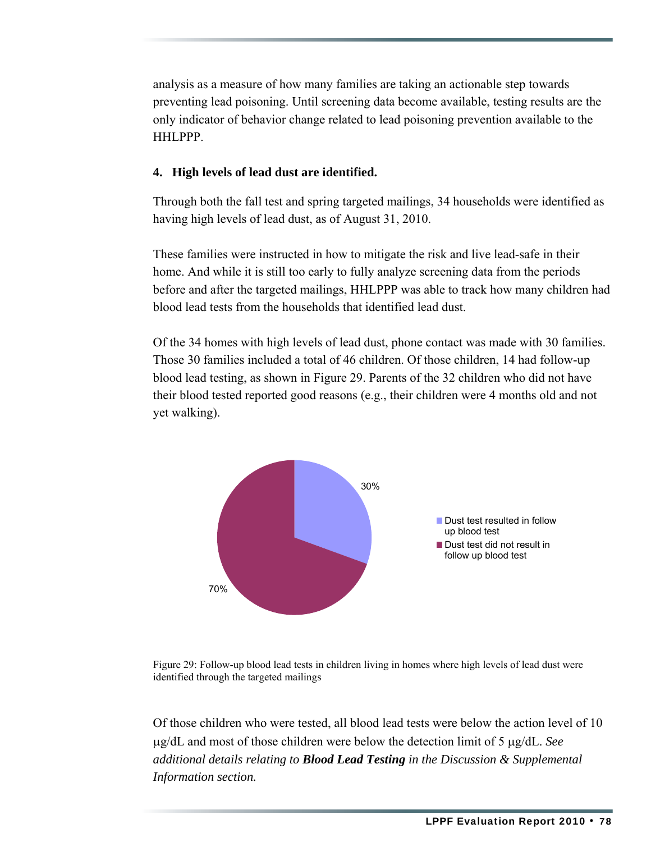analysis as a measure of how many families are taking an actionable step towards preventing lead poisoning. Until screening data become available, testing results are the only indicator of behavior change related to lead poisoning prevention available to the HHLPPP.

#### **4. High levels of lead dust are identified.**

Through both the fall test and spring targeted mailings, 34 households were identified as having high levels of lead dust, as of August 31, 2010.

These families were instructed in how to mitigate the risk and live lead-safe in their home. And while it is still too early to fully analyze screening data from the periods before and after the targeted mailings, HHLPPP was able to track how many children had blood lead tests from the households that identified lead dust.

Of the 34 homes with high levels of lead dust, phone contact was made with 30 families. Those 30 families included a total of 46 children. Of those children, 14 had follow-up blood lead testing, as shown in Figure 29. Parents of the 32 children who did not have their blood tested reported good reasons (e.g., their children were 4 months old and not yet walking).



Figure 29: Follow-up blood lead tests in children living in homes where high levels of lead dust were identified through the targeted mailings

Of those children who were tested, all blood lead tests were below the action level of 10 μg/dL and most of those children were below the detection limit of 5 μg/dL. *See additional details relating to Blood Lead Testing in the Discussion & Supplemental Information section.*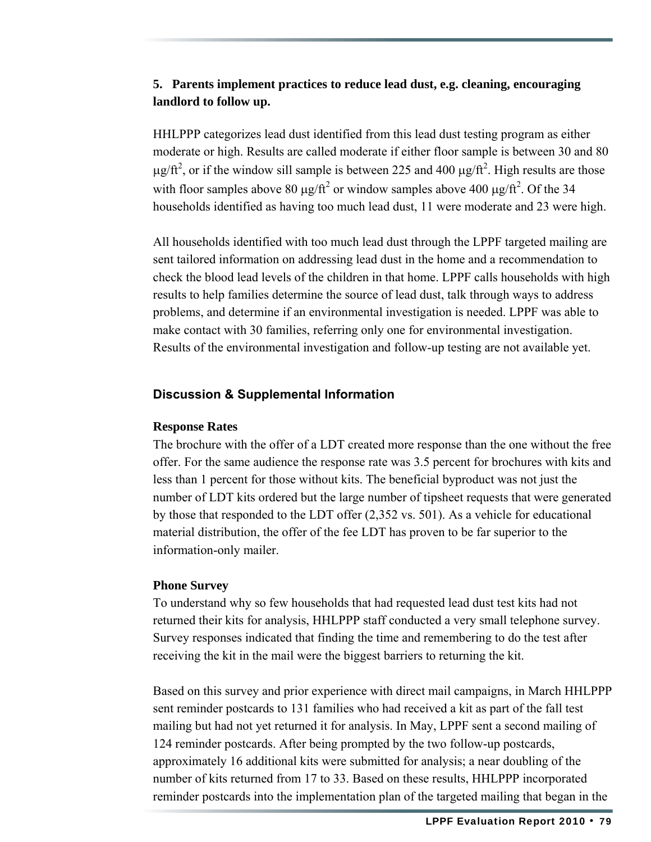#### **5. Parents implement practices to reduce lead dust, e.g. cleaning, encouraging landlord to follow up.**

HHLPPP categorizes lead dust identified from this lead dust testing program as either moderate or high. Results are called moderate if either floor sample is between 30 and 80 μg/ft<sup>2</sup>, or if the window sill sample is between 225 and 400 μg/ft<sup>2</sup>. High results are those with floor samples above 80  $\mu$ g/ft<sup>2</sup> or window samples above 400  $\mu$ g/ft<sup>2</sup>. Of the 34 households identified as having too much lead dust, 11 were moderate and 23 were high.

All households identified with too much lead dust through the LPPF targeted mailing are sent tailored information on addressing lead dust in the home and a recommendation to check the blood lead levels of the children in that home. LPPF calls households with high results to help families determine the source of lead dust, talk through ways to address problems, and determine if an environmental investigation is needed. LPPF was able to make contact with 30 families, referring only one for environmental investigation. Results of the environmental investigation and follow-up testing are not available yet.

#### **Discussion & Supplemental Information**

#### **Response Rates**

The brochure with the offer of a LDT created more response than the one without the free offer. For the same audience the response rate was 3.5 percent for brochures with kits and less than 1 percent for those without kits. The beneficial byproduct was not just the number of LDT kits ordered but the large number of tipsheet requests that were generated by those that responded to the LDT offer (2,352 vs. 501). As a vehicle for educational material distribution, the offer of the fee LDT has proven to be far superior to the information-only mailer.

#### **Phone Survey**

To understand why so few households that had requested lead dust test kits had not returned their kits for analysis, HHLPPP staff conducted a very small telephone survey. Survey responses indicated that finding the time and remembering to do the test after receiving the kit in the mail were the biggest barriers to returning the kit.

Based on this survey and prior experience with direct mail campaigns, in March HHLPPP sent reminder postcards to 131 families who had received a kit as part of the fall test mailing but had not yet returned it for analysis. In May, LPPF sent a second mailing of 124 reminder postcards. After being prompted by the two follow-up postcards, approximately 16 additional kits were submitted for analysis; a near doubling of the number of kits returned from 17 to 33. Based on these results, HHLPPP incorporated reminder postcards into the implementation plan of the targeted mailing that began in the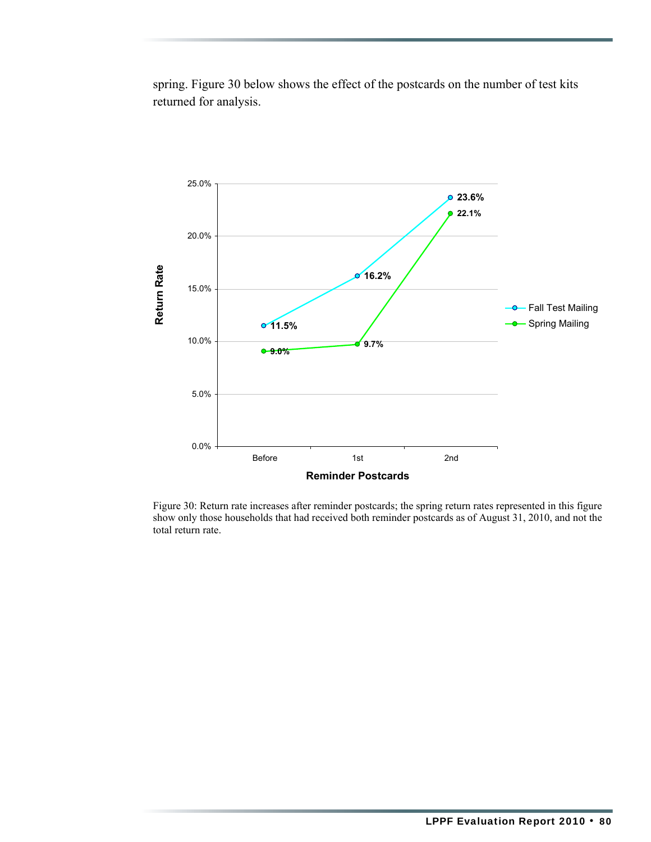spring. Figure 30 below shows the effect of the postcards on the number of test kits returned for analysis.



Figure 30: Return rate increases after reminder postcards; the spring return rates represented in this figure show only those households that had received both reminder postcards as of August 31, 2010, and not the total return rate.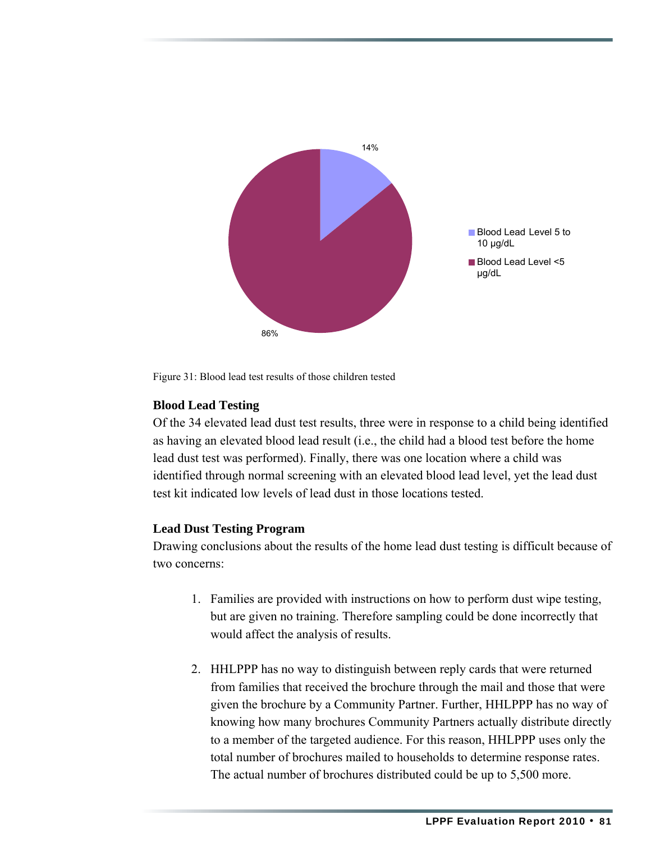

Figure 31: Blood lead test results of those children tested

#### **Blood Lead Testing**

Of the 34 elevated lead dust test results, three were in response to a child being identified as having an elevated blood lead result (i.e., the child had a blood test before the home lead dust test was performed). Finally, there was one location where a child was identified through normal screening with an elevated blood lead level, yet the lead dust test kit indicated low levels of lead dust in those locations tested.

#### **Lead Dust Testing Program**

Drawing conclusions about the results of the home lead dust testing is difficult because of two concerns:

- 1. Families are provided with instructions on how to perform dust wipe testing, but are given no training. Therefore sampling could be done incorrectly that would affect the analysis of results.
- 2. HHLPPP has no way to distinguish between reply cards that were returned from families that received the brochure through the mail and those that were given the brochure by a Community Partner. Further, HHLPPP has no way of knowing how many brochures Community Partners actually distribute directly to a member of the targeted audience. For this reason, HHLPPP uses only the total number of brochures mailed to households to determine response rates. The actual number of brochures distributed could be up to 5,500 more.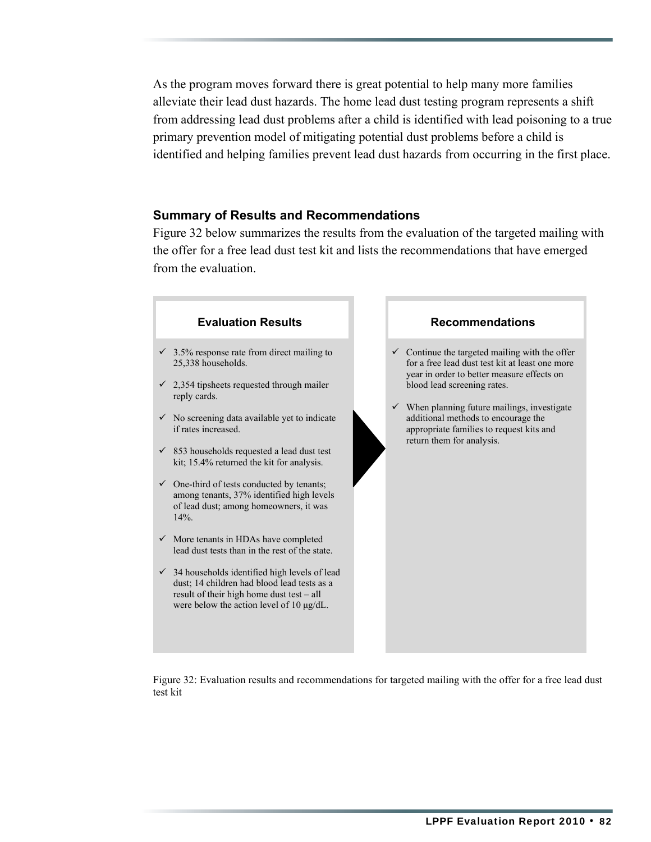As the program moves forward there is great potential to help many more families alleviate their lead dust hazards. The home lead dust testing program represents a shift from addressing lead dust problems after a child is identified with lead poisoning to a true primary prevention model of mitigating potential dust problems before a child is identified and helping families prevent lead dust hazards from occurring in the first place.

#### **Summary of Results and Recommendations**

Figure 32 below summarizes the results from the evaluation of the targeted mailing with the offer for a free lead dust test kit and lists the recommendations that have emerged from the evaluation.



Figure 32: Evaluation results and recommendations for targeted mailing with the offer for a free lead dust test kit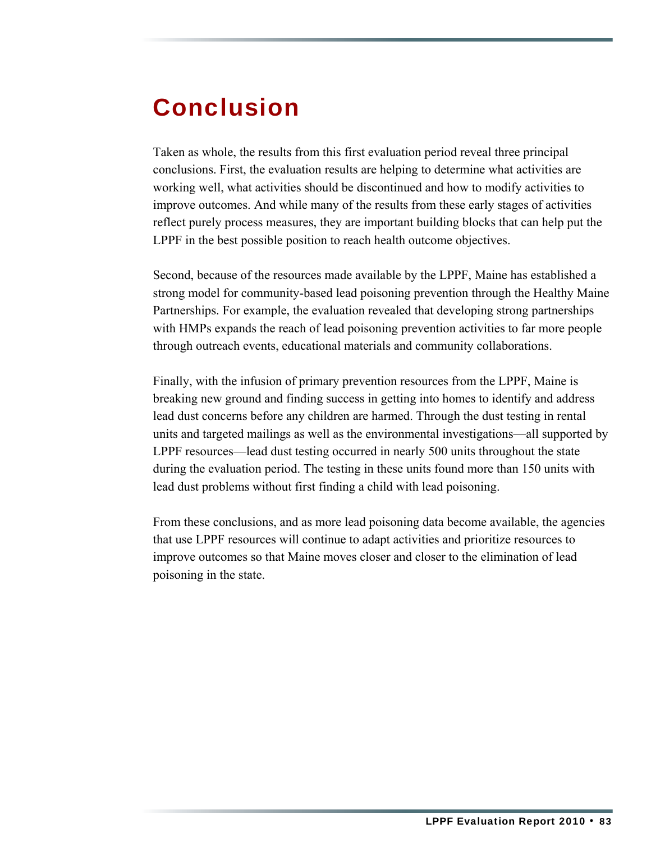### Conclusion

Taken as whole, the results from this first evaluation period reveal three principal conclusions. First, the evaluation results are helping to determine what activities are working well, what activities should be discontinued and how to modify activities to improve outcomes. And while many of the results from these early stages of activities reflect purely process measures, they are important building blocks that can help put the LPPF in the best possible position to reach health outcome objectives.

Second, because of the resources made available by the LPPF, Maine has established a strong model for community-based lead poisoning prevention through the Healthy Maine Partnerships. For example, the evaluation revealed that developing strong partnerships with HMPs expands the reach of lead poisoning prevention activities to far more people through outreach events, educational materials and community collaborations.

Finally, with the infusion of primary prevention resources from the LPPF, Maine is breaking new ground and finding success in getting into homes to identify and address lead dust concerns before any children are harmed. Through the dust testing in rental units and targeted mailings as well as the environmental investigations—all supported by LPPF resources—lead dust testing occurred in nearly 500 units throughout the state during the evaluation period. The testing in these units found more than 150 units with lead dust problems without first finding a child with lead poisoning.

From these conclusions, and as more lead poisoning data become available, the agencies that use LPPF resources will continue to adapt activities and prioritize resources to improve outcomes so that Maine moves closer and closer to the elimination of lead poisoning in the state.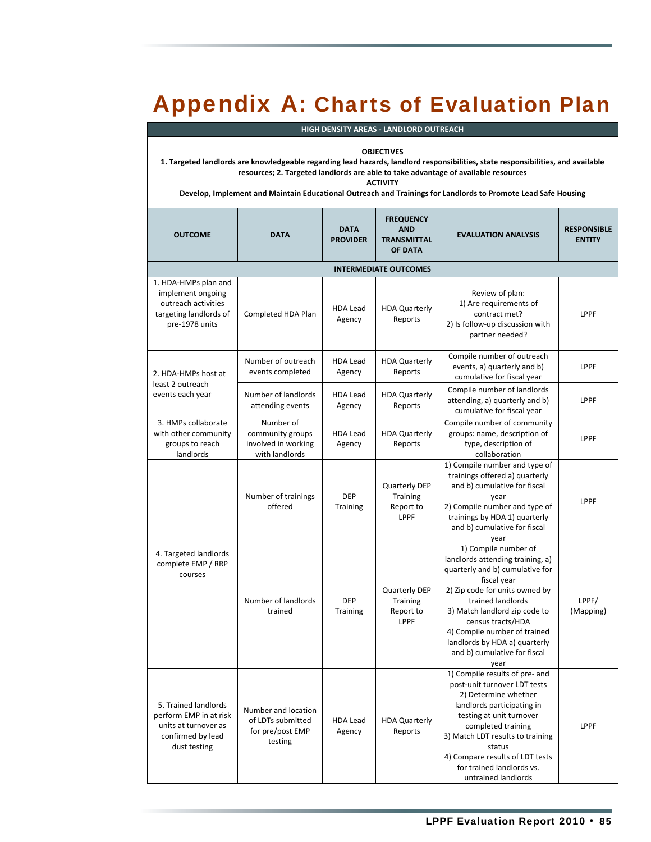### Appendix A: Charts of Evaluation Plan

| <b>HIGH DENSITY AREAS - LANDLORD OUTREACH</b>                                                                                                                                                                                                                                                                                                                                   |                                                                         |                                |                                                                 |                                                                                                                                                                                                                                                                                                                                  |                                     |
|---------------------------------------------------------------------------------------------------------------------------------------------------------------------------------------------------------------------------------------------------------------------------------------------------------------------------------------------------------------------------------|-------------------------------------------------------------------------|--------------------------------|-----------------------------------------------------------------|----------------------------------------------------------------------------------------------------------------------------------------------------------------------------------------------------------------------------------------------------------------------------------------------------------------------------------|-------------------------------------|
| <b>OBJECTIVES</b><br>1. Targeted landlords are knowledgeable regarding lead hazards, landlord responsibilities, state responsibilities, and available<br>resources; 2. Targeted landlords are able to take advantage of available resources<br><b>ACTIVITY</b><br>Develop, Implement and Maintain Educational Outreach and Trainings for Landlords to Promote Lead Safe Housing |                                                                         |                                |                                                                 |                                                                                                                                                                                                                                                                                                                                  |                                     |
| <b>OUTCOME</b>                                                                                                                                                                                                                                                                                                                                                                  | <b>DATA</b>                                                             | <b>DATA</b><br><b>PROVIDER</b> | <b>FREQUENCY</b><br><b>AND</b><br><b>TRANSMITTAL</b><br>OF DATA | <b>EVALUATION ANALYSIS</b>                                                                                                                                                                                                                                                                                                       | <b>RESPONSIBLE</b><br><b>ENTITY</b> |
|                                                                                                                                                                                                                                                                                                                                                                                 |                                                                         |                                | <b>INTERMEDIATE OUTCOMES</b>                                    |                                                                                                                                                                                                                                                                                                                                  |                                     |
| 1. HDA-HMPs plan and<br>implement ongoing<br>outreach activities<br>targeting landlords of<br>pre-1978 units                                                                                                                                                                                                                                                                    | Completed HDA Plan                                                      | <b>HDA Lead</b><br>Agency      | <b>HDA Quarterly</b><br>Reports                                 | Review of plan:<br>1) Are requirements of<br>contract met?<br>2) Is follow-up discussion with<br>partner needed?                                                                                                                                                                                                                 | LPPF                                |
| 2. HDA-HMPs host at<br>least 2 outreach<br>events each year                                                                                                                                                                                                                                                                                                                     | Number of outreach<br>events completed                                  | <b>HDA Lead</b><br>Agency      | <b>HDA Quarterly</b><br>Reports                                 | Compile number of outreach<br>events, a) quarterly and b)<br>cumulative for fiscal year                                                                                                                                                                                                                                          | LPPF                                |
|                                                                                                                                                                                                                                                                                                                                                                                 | Number of landlords<br>attending events                                 | <b>HDA Lead</b><br>Agency      | <b>HDA Quarterly</b><br>Reports                                 | Compile number of landlords<br>attending, a) quarterly and b)<br>cumulative for fiscal year                                                                                                                                                                                                                                      | LPPF                                |
| 3. HMPs collaborate<br>with other community<br>groups to reach<br>landlords                                                                                                                                                                                                                                                                                                     | Number of<br>community groups<br>involved in working<br>with landlords  | <b>HDA Lead</b><br>Agency      | <b>HDA Quarterly</b><br>Reports                                 | Compile number of community<br>groups: name, description of<br>type, description of<br>collaboration                                                                                                                                                                                                                             | LPPF                                |
| 4. Targeted landlords<br>complete EMP / RRP<br>courses                                                                                                                                                                                                                                                                                                                          | Number of trainings<br>offered                                          | DEP<br><b>Training</b>         | Quarterly DEP<br><b>Training</b><br>Report to<br>LPPF           | 1) Compile number and type of<br>trainings offered a) quarterly<br>and b) cumulative for fiscal<br>year<br>2) Compile number and type of<br>trainings by HDA 1) quarterly<br>and b) cumulative for fiscal<br>year                                                                                                                | LPPF                                |
|                                                                                                                                                                                                                                                                                                                                                                                 | Number of landlords<br>trained                                          | <b>DEP</b><br>Training         | <b>Quarterly DEP</b><br>Training<br>Report to<br>LPPF           | 1) Compile number of<br>landlords attending training, a)<br>quarterly and b) cumulative for<br>fiscal year<br>2) Zip code for units owned by<br>trained landlords<br>3) Match landlord zip code to<br>census tracts/HDA<br>4) Compile number of trained<br>landlords by HDA a) quarterly<br>and b) cumulative for fiscal<br>year | LPPF/<br>(Mapping)                  |
| 5. Trained landlords<br>perform EMP in at risk<br>units at turnover as<br>confirmed by lead<br>dust testing                                                                                                                                                                                                                                                                     | Number and location<br>of LDTs submitted<br>for pre/post EMP<br>testing | <b>HDA Lead</b><br>Agency      | <b>HDA Quarterly</b><br>Reports                                 | 1) Compile results of pre- and<br>post-unit turnover LDT tests<br>2) Determine whether<br>landlords participating in<br>testing at unit turnover<br>completed training<br>3) Match LDT results to training<br>status<br>4) Compare results of LDT tests<br>for trained landlords vs.<br>untrained landlords                      | LPPF                                |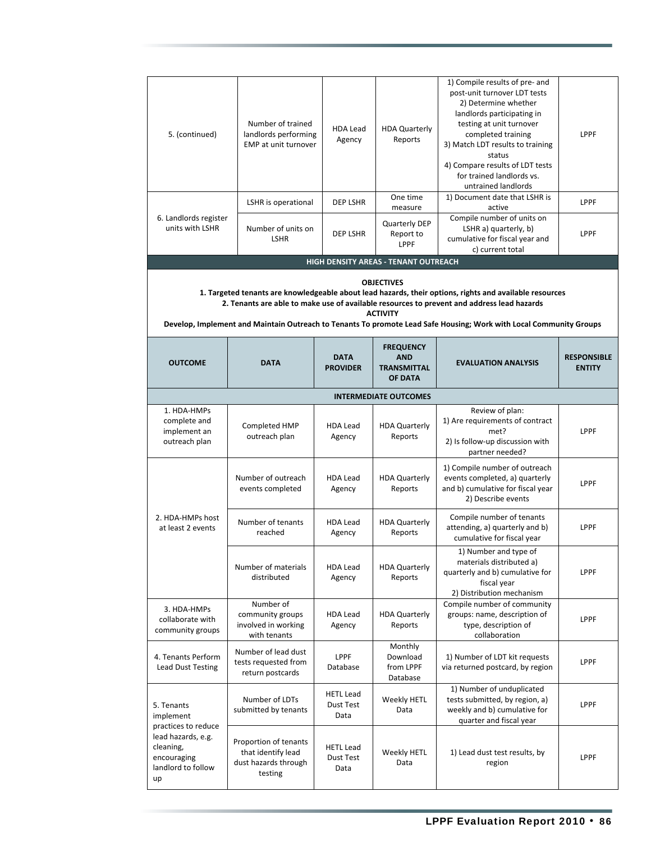| 5. (continued)                                                             | Number of trained<br>landlords performing<br>EMP at unit turnover              | <b>HDA Lead</b><br>Agency             | <b>HDA Quarterly</b><br>Reports                                 | 1) Compile results of pre- and<br>post-unit turnover LDT tests<br>2) Determine whether<br>landlords participating in<br>testing at unit turnover<br>completed training<br>3) Match LDT results to training<br>status<br>4) Compare results of LDT tests<br>for trained landlords vs.<br>untrained landlords                 | LPPF                                |
|----------------------------------------------------------------------------|--------------------------------------------------------------------------------|---------------------------------------|-----------------------------------------------------------------|-----------------------------------------------------------------------------------------------------------------------------------------------------------------------------------------------------------------------------------------------------------------------------------------------------------------------------|-------------------------------------|
|                                                                            | LSHR is operational                                                            | <b>DEP LSHR</b>                       | One time<br>measure                                             | 1) Document date that LSHR is<br>active                                                                                                                                                                                                                                                                                     | LPPF                                |
| 6. Landlords register<br>units with LSHR                                   | Number of units on<br><b>LSHR</b>                                              | <b>DEP LSHR</b>                       | Quarterly DEP<br>Report to<br><b>LPPF</b>                       | Compile number of units on<br>LSHR a) quarterly, b)<br>cumulative for fiscal year and<br>c) current total                                                                                                                                                                                                                   | LPPF                                |
|                                                                            |                                                                                |                                       | HIGH DENSITY AREAS - TENANT OUTREACH                            |                                                                                                                                                                                                                                                                                                                             |                                     |
|                                                                            |                                                                                |                                       | <b>OBJECTIVES</b><br><b>ACTIVITY</b>                            | 1. Targeted tenants are knowledgeable about lead hazards, their options, rights and available resources<br>2. Tenants are able to make use of available resources to prevent and address lead hazards<br>Develop, Implement and Maintain Outreach to Tenants To promote Lead Safe Housing; Work with Local Community Groups |                                     |
| <b>OUTCOME</b>                                                             | <b>DATA</b>                                                                    | <b>DATA</b><br><b>PROVIDER</b>        | <b>FREQUENCY</b><br><b>AND</b><br><b>TRANSMITTAL</b><br>OF DATA | <b>EVALUATION ANALYSIS</b>                                                                                                                                                                                                                                                                                                  | <b>RESPONSIBLE</b><br><b>ENTITY</b> |
|                                                                            |                                                                                |                                       | <b>INTERMEDIATE OUTCOMES</b>                                    |                                                                                                                                                                                                                                                                                                                             |                                     |
| 1. HDA-HMPs<br>complete and<br>implement an<br>outreach plan               | Completed HMP<br>outreach plan                                                 | <b>HDA Lead</b><br>Agency             | <b>HDA Quarterly</b><br>Reports                                 | Review of plan:<br>1) Are requirements of contract<br>met?<br>2) Is follow-up discussion with<br>partner needed?                                                                                                                                                                                                            | LPPF                                |
|                                                                            | Number of outreach<br>events completed                                         | <b>HDA Lead</b><br>Agency             | <b>HDA Quarterly</b><br>Reports                                 | 1) Compile number of outreach<br>events completed, a) quarterly<br>and b) cumulative for fiscal year<br>2) Describe events                                                                                                                                                                                                  | LPPF                                |
| 2. HDA-HMPs host<br>at least 2 events                                      | Number of tenants<br>reached                                                   | <b>HDA Lead</b><br>Agency             | <b>HDA Quarterly</b><br>Reports                                 | Compile number of tenants<br>attending, a) quarterly and b)<br>cumulative for fiscal year                                                                                                                                                                                                                                   | LPPF                                |
|                                                                            | Number of materials<br>distributed                                             | <b>HDA Lead</b><br>Agency             | <b>HDA Quarterly</b><br>Reports                                 | 1) Number and type of<br>materials distributed a)<br>quarterly and b) cumulative for<br>fiscal year<br>2) Distribution mechanism                                                                                                                                                                                            | LPPF                                |
| 3. HDA-HMPs<br>collaborate with<br>community groups                        | Number of<br>community groups<br>involved in working<br>with tenants           | <b>HDA Lead</b><br>Agency             | <b>HDA Quarterly</b><br>Reports                                 | Compile number of community<br>groups: name, description of<br>type, description of<br>collaboration                                                                                                                                                                                                                        | LPPF                                |
| 4. Tenants Perform<br>Lead Dust Testing                                    | Number of lead dust<br>tests requested from<br>return postcards                | LPPF<br>Database                      | Monthly<br>Download<br>from LPPF<br>Database                    | 1) Number of LDT kit requests<br>via returned postcard, by region                                                                                                                                                                                                                                                           | LPPF                                |
| 5. Tenants<br>implement<br>practices to reduce                             | Number of LDTs<br>submitted by tenants                                         | <b>HETL Lead</b><br>Dust Test<br>Data | Weekly HETL<br>Data                                             | 1) Number of unduplicated<br>tests submitted, by region, a)<br>weekly and b) cumulative for<br>quarter and fiscal year                                                                                                                                                                                                      | LPPF                                |
| lead hazards, e.g.<br>cleaning,<br>encouraging<br>landlord to follow<br>up | Proportion of tenants<br>that identify lead<br>dust hazards through<br>testing | <b>HETL Lead</b><br>Dust Test<br>Data | Weekly HETL<br>Data                                             | 1) Lead dust test results, by<br>region                                                                                                                                                                                                                                                                                     | LPPF                                |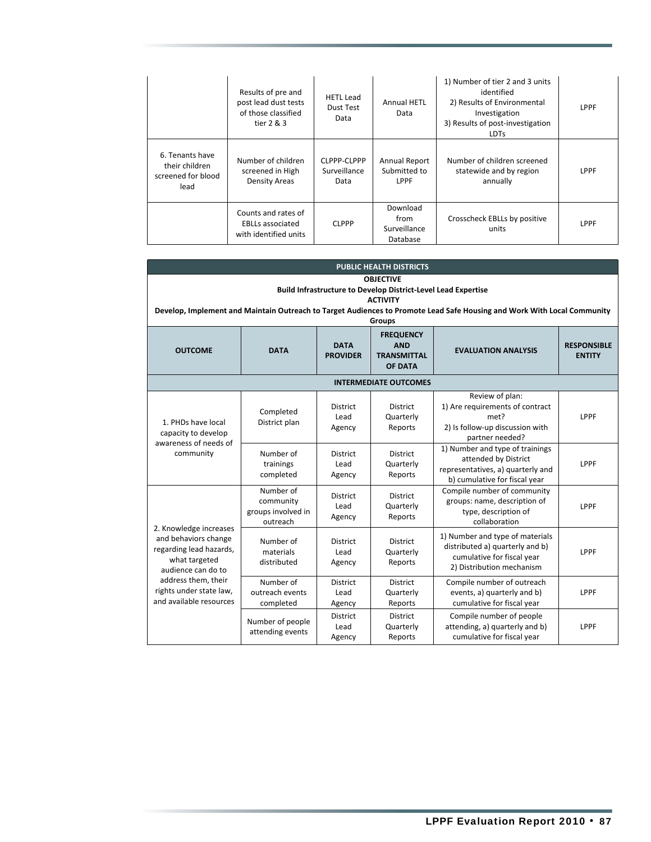|                                                                 | Results of pre and<br>post lead dust tests<br>of those classified<br>tier $2 & 3$ | <b>HETL Lead</b><br>Dust Test<br>Data | Annual HETL<br>Data                          | 1) Number of tier 2 and 3 units<br>identified<br>2) Results of Environmental<br>Investigation<br>3) Results of post-investigation<br><b>LDTs</b> | LPPF |
|-----------------------------------------------------------------|-----------------------------------------------------------------------------------|---------------------------------------|----------------------------------------------|--------------------------------------------------------------------------------------------------------------------------------------------------|------|
| 6. Tenants have<br>their children<br>screened for blood<br>lead | Number of children<br>screened in High<br><b>Density Areas</b>                    | CLPPP-CLPPP<br>Surveillance<br>Data   | Annual Report<br>Submitted to<br><b>LPPF</b> | Number of children screened<br>statewide and by region<br>annually                                                                               | LPPF |
|                                                                 | Counts and rates of<br><b>EBLLs associated</b><br>with identified units           | <b>CLPPP</b>                          | Download<br>from<br>Surveillance<br>Database | Crosscheck EBLLs by positive<br>units                                                                                                            | LPPF |

| <b>PUBLIC HEALTH DISTRICTS</b>                                                                                                                                                                                                                          |                                                          |                                   |                                                                 |                                                                                                                               |                                     |  |
|---------------------------------------------------------------------------------------------------------------------------------------------------------------------------------------------------------------------------------------------------------|----------------------------------------------------------|-----------------------------------|-----------------------------------------------------------------|-------------------------------------------------------------------------------------------------------------------------------|-------------------------------------|--|
| <b>OBJECTIVE</b><br><b>Build Infrastructure to Develop District-Level Lead Expertise</b><br><b>ACTIVITY</b><br>Develop, Implement and Maintain Outreach to Target Audiences to Promote Lead Safe Housing and Work With Local Community<br><b>Groups</b> |                                                          |                                   |                                                                 |                                                                                                                               |                                     |  |
| <b>OUTCOME</b>                                                                                                                                                                                                                                          | <b>DATA</b>                                              | <b>DATA</b><br><b>PROVIDER</b>    | <b>FREQUENCY</b><br><b>AND</b><br><b>TRANSMITTAL</b><br>OF DATA | <b>EVALUATION ANALYSIS</b>                                                                                                    | <b>RESPONSIBLE</b><br><b>ENTITY</b> |  |
|                                                                                                                                                                                                                                                         |                                                          |                                   | <b>INTERMEDIATE OUTCOMES</b>                                    |                                                                                                                               |                                     |  |
| 1. PHDs have local<br>capacity to develop                                                                                                                                                                                                               | Completed<br>District plan                               | <b>District</b><br>Lead<br>Agency | <b>District</b><br>Quarterly<br>Reports                         | Review of plan:<br>1) Are requirements of contract<br>met?<br>2) Is follow-up discussion with<br>partner needed?              | LPPF                                |  |
| awareness of needs of<br>community                                                                                                                                                                                                                      | Number of<br>trainings<br>completed                      | <b>District</b><br>Lead<br>Agency | District<br>Quarterly<br>Reports                                | 1) Number and type of trainings<br>attended by District<br>representatives, a) quarterly and<br>b) cumulative for fiscal year | LPPF                                |  |
|                                                                                                                                                                                                                                                         | Number of<br>community<br>groups involved in<br>outreach | <b>District</b><br>Lead<br>Agency | <b>District</b><br>Quarterly<br>Reports                         | Compile number of community<br>groups: name, description of<br>type, description of<br>collaboration                          | LPPF                                |  |
| 2. Knowledge increases<br>and behaviors change<br>regarding lead hazards,<br>what targeted<br>audience can do to<br>address them, their<br>rights under state law,<br>and available resources                                                           | Number of<br>materials<br>distributed                    | District<br>Lead<br>Agency        | <b>District</b><br>Quarterly<br>Reports                         | 1) Number and type of materials<br>distributed a) quarterly and b)<br>cumulative for fiscal year<br>2) Distribution mechanism | LPPF                                |  |
|                                                                                                                                                                                                                                                         | Number of<br>outreach events<br>completed                | <b>District</b><br>Lead<br>Agency | District<br>Quarterly<br>Reports                                | Compile number of outreach<br>events, a) quarterly and b)<br>cumulative for fiscal year                                       | LPPF                                |  |
|                                                                                                                                                                                                                                                         | Number of people<br>attending events                     | District<br>Lead<br>Agency        | <b>District</b><br>Quarterly<br>Reports                         | Compile number of people<br>attending, a) quarterly and b)<br>cumulative for fiscal year                                      | LPPF                                |  |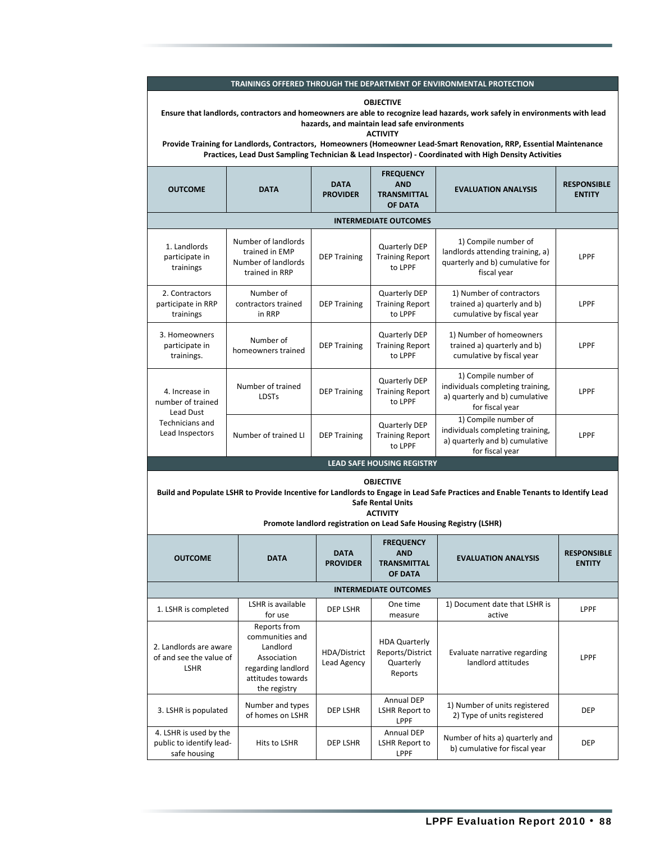**OBJECTIVE**

| Ensure that landlords, contractors and homeowners are able to recognize lead hazards, work safely in environments with lead<br>hazards, and maintain lead safe environments |                                                                                                                                                                                                                                                  |                                |                                                                  |                                                                                                                                                                                                       |                                     |  |  |
|-----------------------------------------------------------------------------------------------------------------------------------------------------------------------------|--------------------------------------------------------------------------------------------------------------------------------------------------------------------------------------------------------------------------------------------------|--------------------------------|------------------------------------------------------------------|-------------------------------------------------------------------------------------------------------------------------------------------------------------------------------------------------------|-------------------------------------|--|--|
|                                                                                                                                                                             | <b>ACTIVITY</b><br>Provide Training for Landlords, Contractors, Homeowners (Homeowner Lead-Smart Renovation, RRP, Essential Maintenance<br>Practices, Lead Dust Sampling Technician & Lead Inspector) - Coordinated with High Density Activities |                                |                                                                  |                                                                                                                                                                                                       |                                     |  |  |
| <b>OUTCOME</b>                                                                                                                                                              | <b>DATA</b>                                                                                                                                                                                                                                      | <b>DATA</b><br><b>PROVIDER</b> | <b>FREQUENCY</b><br><b>AND</b><br><b>TRANSMITTAL</b><br>OF DATA  | <b>EVALUATION ANALYSIS</b>                                                                                                                                                                            | <b>RESPONSIBLE</b><br><b>ENTITY</b> |  |  |
|                                                                                                                                                                             |                                                                                                                                                                                                                                                  |                                | <b>INTERMEDIATE OUTCOMES</b>                                     |                                                                                                                                                                                                       |                                     |  |  |
| 1. Landlords<br>participate in<br>trainings                                                                                                                                 | Number of landlords<br>trained in EMP<br>Number of landlords<br>trained in RRP                                                                                                                                                                   | <b>DEP Training</b>            | <b>Quarterly DEP</b><br><b>Training Report</b><br>to LPPF        | 1) Compile number of<br>landlords attending training, a)<br>quarterly and b) cumulative for<br>fiscal year                                                                                            | LPPF                                |  |  |
| 2. Contractors<br>participate in RRP<br>trainings                                                                                                                           | Number of<br>contractors trained<br>in RRP                                                                                                                                                                                                       | <b>DEP Training</b>            | <b>Quarterly DEP</b><br><b>Training Report</b><br>to LPPF        | 1) Number of contractors<br>trained a) quarterly and b)<br>cumulative by fiscal year                                                                                                                  | <b>LPPF</b>                         |  |  |
| 3. Homeowners<br>participate in<br>trainings.                                                                                                                               | Number of<br>homeowners trained                                                                                                                                                                                                                  | <b>DEP Training</b>            | <b>Quarterly DEP</b><br><b>Training Report</b><br>to LPPF        | 1) Number of homeowners<br>trained a) quarterly and b)<br>cumulative by fiscal year                                                                                                                   | LPPF                                |  |  |
| 4. Increase in<br>number of trained<br>Lead Dust                                                                                                                            | Number of trained<br><b>LDSTs</b>                                                                                                                                                                                                                | <b>DEP Training</b>            | <b>Quarterly DEP</b><br><b>Training Report</b><br>to LPPF        | 1) Compile number of<br>individuals completing training,<br>a) quarterly and b) cumulative<br>for fiscal year                                                                                         | <b>LPPF</b>                         |  |  |
| Technicians and<br>Lead Inspectors                                                                                                                                          | Number of trained LI                                                                                                                                                                                                                             | <b>DEP Training</b>            | <b>Quarterly DEP</b><br><b>Training Report</b><br>to LPPF        | 1) Compile number of<br>individuals completing training,<br>a) quarterly and b) cumulative<br>for fiscal year                                                                                         | LPPF                                |  |  |
|                                                                                                                                                                             |                                                                                                                                                                                                                                                  |                                | <b>LEAD SAFE HOUSING REGISTRY</b>                                |                                                                                                                                                                                                       |                                     |  |  |
|                                                                                                                                                                             |                                                                                                                                                                                                                                                  |                                | <b>OBJECTIVE</b><br><b>Safe Rental Units</b><br><b>ACTIVITY</b>  | Build and Populate LSHR to Provide Incentive for Landlords to Engage in Lead Safe Practices and Enable Tenants to Identify Lead<br>Promote landlord registration on Lead Safe Housing Registry (LSHR) |                                     |  |  |
| <b>OUTCOME</b>                                                                                                                                                              | <b>DATA</b>                                                                                                                                                                                                                                      | <b>DATA</b><br><b>PROVIDER</b> | <b>FREQUENCY</b><br><b>AND</b><br><b>TRANSMITTAL</b><br>OF DATA  | <b>EVALUATION ANALYSIS</b>                                                                                                                                                                            | <b>RESPONSIBLE</b><br><b>ENTITY</b> |  |  |
|                                                                                                                                                                             |                                                                                                                                                                                                                                                  |                                | <b>INTERMEDIATE OUTCOMES</b>                                     |                                                                                                                                                                                                       |                                     |  |  |
| 1. LSHR is completed                                                                                                                                                        | LSHR is available<br>for use                                                                                                                                                                                                                     | DEP LSHR                       | One time<br>measure                                              | 1) Document date that LSHR is<br>active                                                                                                                                                               | LPPF                                |  |  |
| 2. Landlords are aware<br>of and see the value of<br><b>LSHR</b>                                                                                                            | Reports from<br>communities and<br>Landlord<br>Association<br>regarding landlord<br>attitudes towards<br>the registry                                                                                                                            | HDA/District<br>Lead Agency    | <b>HDA Quarterly</b><br>Reports/District<br>Quarterly<br>Reports | Evaluate narrative regarding<br>landlord attitudes                                                                                                                                                    | LPPF                                |  |  |
| 3. LSHR is populated                                                                                                                                                        | Number and types<br>of homes on LSHR                                                                                                                                                                                                             | DEP LSHR                       | <b>Annual DEP</b><br>LSHR Report to<br>LPPF                      | 1) Number of units registered<br>2) Type of units registered                                                                                                                                          | <b>DEP</b>                          |  |  |
| 4. LSHR is used by the<br>public to identify lead-<br>safe housing                                                                                                          | Hits to LSHR                                                                                                                                                                                                                                     | DEP LSHR                       | Annual DEP<br>LSHR Report to<br>LPPF                             | Number of hits a) quarterly and<br>b) cumulative for fiscal year                                                                                                                                      | <b>DEP</b>                          |  |  |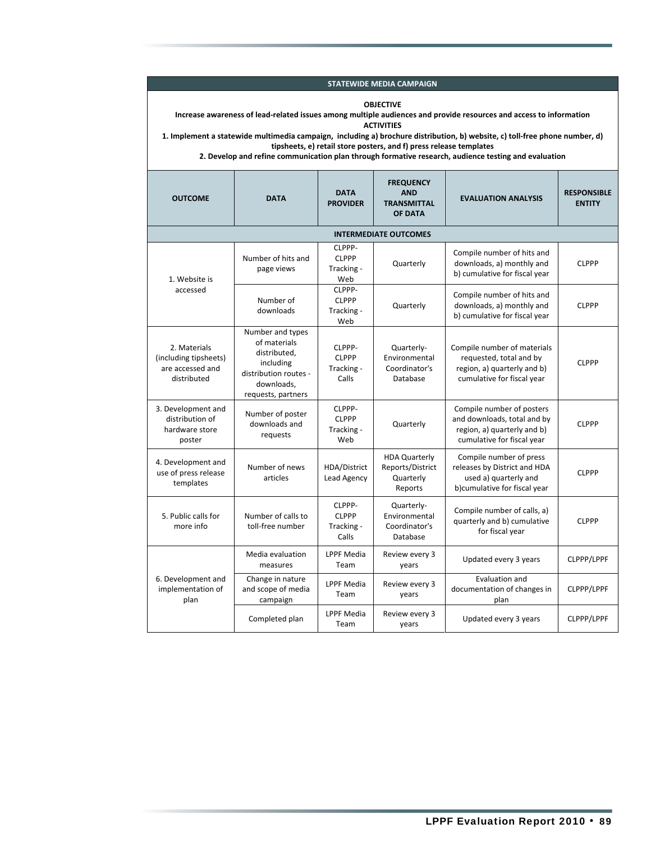**STATEWIDE MEDIA CAMPAIGN**

#### **OBJECTIVE**

Increase awareness of lead-related issues among multiple audiences and provide resources and access to information **ACTIVITIES**

1. Implement a statewide multimedia campaign, including a) brochure distribution, b) website, c) toll-free phone number, d) **tipsheets, e) retail store posters, and f) press release templates**

**2. Develop and refine communication plan through formative research, audience testing and evaluation**

| <b>OUTCOME</b>                                                           | <b>DATA</b>                                                                                                                | <b>DATA</b><br><b>PROVIDER</b>                | <b>FREQUENCY</b><br><b>AND</b><br><b>TRANSMITTAL</b><br><b>OF DATA</b> | <b>EVALUATION ANALYSIS</b>                                                                                            | <b>RESPONSIBLE</b><br><b>ENTITY</b> |
|--------------------------------------------------------------------------|----------------------------------------------------------------------------------------------------------------------------|-----------------------------------------------|------------------------------------------------------------------------|-----------------------------------------------------------------------------------------------------------------------|-------------------------------------|
|                                                                          |                                                                                                                            |                                               | <b>INTERMEDIATE OUTCOMES</b>                                           |                                                                                                                       |                                     |
| 1. Website is                                                            | Number of hits and<br>page views                                                                                           | CLPPP-<br><b>CLPPP</b><br>Tracking -<br>Web   | Quarterly                                                              | Compile number of hits and<br>downloads, a) monthly and<br>b) cumulative for fiscal year                              | <b>CLPPP</b>                        |
| accessed                                                                 | Number of<br>downloads                                                                                                     | CLPPP-<br><b>CLPPP</b><br>Tracking -<br>Web   | Quarterly                                                              | Compile number of hits and<br>downloads, a) monthly and<br>b) cumulative for fiscal year                              | <b>CLPPP</b>                        |
| 2. Materials<br>(including tipsheets)<br>are accessed and<br>distributed | Number and types<br>of materials<br>distributed,<br>including<br>distribution routes -<br>downloads.<br>requests, partners | CLPPP-<br><b>CLPPP</b><br>Tracking -<br>Calls | Quarterly-<br>Environmental<br>Coordinator's<br>Database               | Compile number of materials<br>requested, total and by<br>region, a) quarterly and b)<br>cumulative for fiscal year   | <b>CLPPP</b>                        |
| 3. Development and<br>distribution of<br>hardware store<br>poster        | Number of poster<br>downloads and<br>requests                                                                              | CLPPP-<br><b>CLPPP</b><br>Tracking -<br>Web   | Quarterly                                                              | Compile number of posters<br>and downloads, total and by<br>region, a) quarterly and b)<br>cumulative for fiscal year | <b>CLPPP</b>                        |
| 4. Development and<br>use of press release<br>templates                  | Number of news<br>articles                                                                                                 | HDA/District<br>Lead Agency                   | <b>HDA Quarterly</b><br>Reports/District<br>Quarterly<br>Reports       | Compile number of press<br>releases by District and HDA<br>used a) quarterly and<br>b)cumulative for fiscal year      | <b>CLPPP</b>                        |
| 5. Public calls for<br>more info                                         | Number of calls to<br>toll-free number                                                                                     | CLPPP-<br><b>CLPPP</b><br>Tracking -<br>Calls | Quarterly-<br>Environmental<br>Coordinator's<br>Database               | Compile number of calls, a)<br>quarterly and b) cumulative<br>for fiscal year                                         | <b>CLPPP</b>                        |
|                                                                          | Media evaluation<br>measures                                                                                               | <b>LPPF Media</b><br>Team                     | Review every 3<br>years                                                | Updated every 3 years                                                                                                 | CLPPP/LPPF                          |
| 6. Development and<br>implementation of<br>plan                          | Change in nature<br>and scope of media<br>campaign                                                                         | <b>LPPF Media</b><br>Team                     | Review every 3<br>years                                                | Evaluation and<br>documentation of changes in<br>plan                                                                 | CLPPP/LPPF                          |
|                                                                          | Completed plan                                                                                                             | <b>LPPF Media</b><br>Team                     | Review every 3<br>years                                                | Updated every 3 years                                                                                                 | CLPPP/LPPF                          |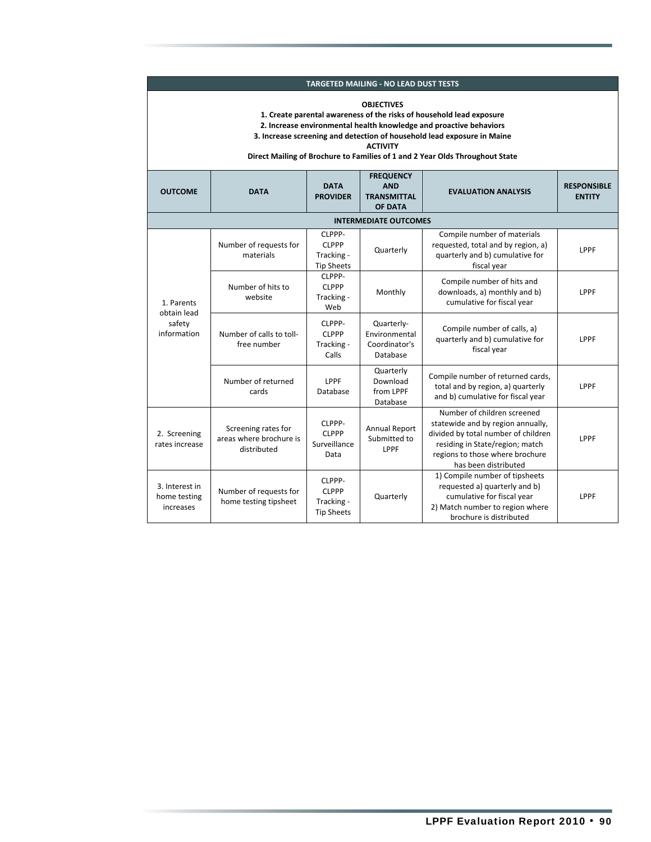| <b>TARGETED MAILING - NO LEAD DUST TESTS</b>                                                                                                                                                                                                                                                                                                  |                                                               |                                                           |                                                                 |                                                                                                                                                                                                       |                                     |  |  |  |
|-----------------------------------------------------------------------------------------------------------------------------------------------------------------------------------------------------------------------------------------------------------------------------------------------------------------------------------------------|---------------------------------------------------------------|-----------------------------------------------------------|-----------------------------------------------------------------|-------------------------------------------------------------------------------------------------------------------------------------------------------------------------------------------------------|-------------------------------------|--|--|--|
| <b>OBJECTIVES</b><br>1. Create parental awareness of the risks of household lead exposure<br>2. Increase environmental health knowledge and proactive behaviors<br>3. Increase screening and detection of household lead exposure in Maine<br><b>ACTIVITY</b><br>Direct Mailing of Brochure to Families of 1 and 2 Year Olds Throughout State |                                                               |                                                           |                                                                 |                                                                                                                                                                                                       |                                     |  |  |  |
| <b>OUTCOME</b>                                                                                                                                                                                                                                                                                                                                | <b>DATA</b>                                                   | <b>DATA</b><br><b>PROVIDER</b>                            | <b>FREQUENCY</b><br><b>AND</b><br><b>TRANSMITTAL</b><br>OF DATA | <b>EVALUATION ANALYSIS</b>                                                                                                                                                                            | <b>RESPONSIBLE</b><br><b>ENTITY</b> |  |  |  |
|                                                                                                                                                                                                                                                                                                                                               |                                                               |                                                           | <b>INTERMEDIATE OUTCOMES</b>                                    |                                                                                                                                                                                                       |                                     |  |  |  |
| 1. Parents<br>obtain lead<br>safety<br>information                                                                                                                                                                                                                                                                                            | Number of requests for<br>materials                           | CLPPP-<br><b>CLPPP</b><br>Tracking -<br><b>Tip Sheets</b> | Quarterly                                                       | Compile number of materials<br>requested, total and by region, a)<br>quarterly and b) cumulative for<br>fiscal year                                                                                   | LPPF                                |  |  |  |
|                                                                                                                                                                                                                                                                                                                                               | Number of hits to<br>website                                  | CLPPP-<br><b>CLPPP</b><br>Tracking -<br>Web               | Monthly                                                         | Compile number of hits and<br>downloads, a) monthly and b)<br>cumulative for fiscal year                                                                                                              | LPPF                                |  |  |  |
|                                                                                                                                                                                                                                                                                                                                               | Number of calls to toll-<br>free number                       | CLPPP-<br><b>CLPPP</b><br>Tracking -<br>Calls             | Quarterly-<br>Environmental<br>Coordinator's<br>Database        | Compile number of calls, a)<br>quarterly and b) cumulative for<br>fiscal year                                                                                                                         | LPPF                                |  |  |  |
|                                                                                                                                                                                                                                                                                                                                               | Number of returned<br>cards                                   | LPPF<br>Database                                          | Quarterly<br>Download<br>from LPPF<br>Database                  | Compile number of returned cards,<br>total and by region, a) quarterly<br>and b) cumulative for fiscal year                                                                                           | LPPF                                |  |  |  |
| 2. Screening<br>rates increase                                                                                                                                                                                                                                                                                                                | Screening rates for<br>areas where brochure is<br>distributed | CLPPP-<br><b>CLPPP</b><br>Surveillance<br>Data            | <b>Annual Report</b><br>Submitted to<br>LPPF                    | Number of children screened<br>statewide and by region annually,<br>divided by total number of children<br>residing in State/region; match<br>regions to those where brochure<br>has been distributed | LPPF                                |  |  |  |
| 3. Interest in<br>home testing<br>increases                                                                                                                                                                                                                                                                                                   | Number of requests for<br>home testing tipsheet               | CLPPP-<br><b>CLPPP</b><br>Tracking -<br><b>Tip Sheets</b> | Quarterly                                                       | 1) Compile number of tipsheets<br>requested a) quarterly and b)<br>cumulative for fiscal year<br>2) Match number to region where<br>brochure is distributed                                           | LPPF                                |  |  |  |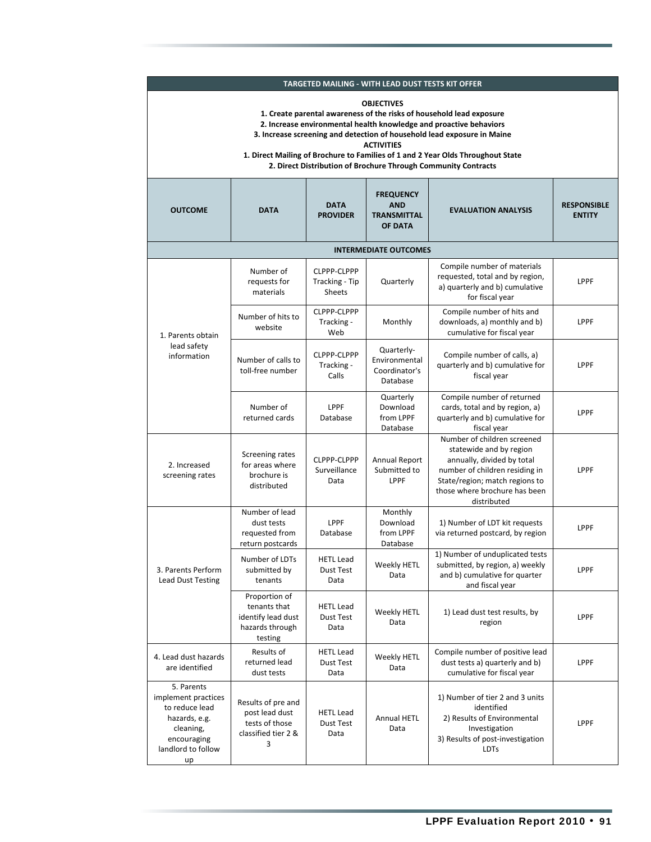| TARGETED MAILING - WITH LEAD DUST TESTS KIT OFFER                                                                                                                                                                                                                                                                                                                                                                    |                                                                                    |                                                |                                                                                                     |                                                                                                                                                                                                          |                                     |  |  |  |  |  |
|----------------------------------------------------------------------------------------------------------------------------------------------------------------------------------------------------------------------------------------------------------------------------------------------------------------------------------------------------------------------------------------------------------------------|------------------------------------------------------------------------------------|------------------------------------------------|-----------------------------------------------------------------------------------------------------|----------------------------------------------------------------------------------------------------------------------------------------------------------------------------------------------------------|-------------------------------------|--|--|--|--|--|
| <b>OBJECTIVES</b><br>1. Create parental awareness of the risks of household lead exposure<br>2. Increase environmental health knowledge and proactive behaviors<br>3. Increase screening and detection of household lead exposure in Maine<br><b>ACTIVITIES</b><br>1. Direct Mailing of Brochure to Families of 1 and 2 Year Olds Throughout State<br>2. Direct Distribution of Brochure Through Community Contracts |                                                                                    |                                                |                                                                                                     |                                                                                                                                                                                                          |                                     |  |  |  |  |  |
| <b>OUTCOME</b><br><b>DATA</b>                                                                                                                                                                                                                                                                                                                                                                                        |                                                                                    | <b>DATA</b><br><b>PROVIDER</b>                 | <b>FREQUENCY</b><br><b>AND</b><br><b>EVALUATION ANALYSIS</b><br><b>TRANSMITTAL</b><br>OF DATA       |                                                                                                                                                                                                          | <b>RESPONSIBLE</b><br><b>ENTITY</b> |  |  |  |  |  |
| <b>INTERMEDIATE OUTCOMES</b>                                                                                                                                                                                                                                                                                                                                                                                         |                                                                                    |                                                |                                                                                                     |                                                                                                                                                                                                          |                                     |  |  |  |  |  |
|                                                                                                                                                                                                                                                                                                                                                                                                                      | Number of<br>requests for<br>materials                                             | CLPPP-CLPPP<br>Tracking - Tip<br><b>Sheets</b> | Quarterly                                                                                           | Compile number of materials<br>requested, total and by region,<br>a) quarterly and b) cumulative<br>for fiscal year                                                                                      | LPPF                                |  |  |  |  |  |
| 1. Parents obtain                                                                                                                                                                                                                                                                                                                                                                                                    | Number of hits to<br>website                                                       | CLPPP-CLPPP<br>Tracking -<br>Web               | Compile number of hits and<br>Monthly<br>downloads, a) monthly and b)<br>cumulative for fiscal year |                                                                                                                                                                                                          | LPPF                                |  |  |  |  |  |
| lead safety<br>information                                                                                                                                                                                                                                                                                                                                                                                           | Number of calls to<br>toll-free number                                             | CLPPP-CLPPP<br>Tracking -<br>Calls             | Quarterly-<br>Environmental<br>Coordinator's<br>Database                                            | Compile number of calls, a)<br>quarterly and b) cumulative for<br>fiscal year                                                                                                                            | LPPF                                |  |  |  |  |  |
|                                                                                                                                                                                                                                                                                                                                                                                                                      | Number of<br>returned cards                                                        | LPPF<br>Database                               | Quarterly<br>Download<br>from LPPF<br>Database                                                      | Compile number of returned<br>cards, total and by region, a)<br>quarterly and b) cumulative for<br>fiscal year                                                                                           | LPPF                                |  |  |  |  |  |
| 2. Increased<br>screening rates                                                                                                                                                                                                                                                                                                                                                                                      | Screening rates<br>for areas where<br>brochure is<br>distributed                   | CLPPP-CLPPP<br>Surveillance<br>Data            | Annual Report<br>Submitted to<br>LPPF                                                               | Number of children screened<br>statewide and by region<br>annually, divided by total<br>number of children residing in<br>State/region; match regions to<br>those where brochure has been<br>distributed | LPPF                                |  |  |  |  |  |
|                                                                                                                                                                                                                                                                                                                                                                                                                      | Number of lead<br>dust tests<br>requested from<br>return postcards                 | LPPF<br>Database                               | Monthly<br>Download<br>from LPPF<br>Database                                                        | 1) Number of LDT kit requests<br>via returned postcard, by region                                                                                                                                        | LPPF                                |  |  |  |  |  |
| 3. Parents Perform<br>Lead Dust Testing                                                                                                                                                                                                                                                                                                                                                                              | Number of LDTs<br><b>HETL Lead</b><br>submitted by<br>Dust Test<br>tenants<br>Data |                                                | Weekly HETL<br>Data                                                                                 | 1) Number of unduplicated tests<br>submitted, by region, a) weekly<br>and b) cumulative for quarter<br>and fiscal year                                                                                   | LPPF                                |  |  |  |  |  |
|                                                                                                                                                                                                                                                                                                                                                                                                                      | Proportion of<br>tenants that<br>identify lead dust<br>hazards through<br>testing  | <b>HETL Lead</b><br>Dust Test<br>Data          | Weekly HETL<br>Data                                                                                 | 1) Lead dust test results, by<br>region                                                                                                                                                                  | LPPF                                |  |  |  |  |  |
| 4. Lead dust hazards<br>are identified                                                                                                                                                                                                                                                                                                                                                                               | Results of<br>returned lead<br>dust tests                                          | <b>HETL Lead</b><br>Dust Test<br>Data          | Weekly HETL<br>Data                                                                                 | Compile number of positive lead<br>dust tests a) quarterly and b)<br>cumulative for fiscal year                                                                                                          | <b>LPPF</b>                         |  |  |  |  |  |
| 5. Parents<br>implement practices<br>to reduce lead<br>hazards, e.g.<br>cleaning,<br>encouraging<br>landlord to follow<br>up                                                                                                                                                                                                                                                                                         | Results of pre and<br>post lead dust<br>tests of those<br>classified tier 2 &<br>3 | <b>HETL Lead</b><br>Dust Test<br>Data          | Annual HETL<br>Data                                                                                 | 1) Number of tier 2 and 3 units<br>identified<br>2) Results of Environmental<br>Investigation<br>3) Results of post-investigation<br><b>LDTs</b>                                                         | LPPF                                |  |  |  |  |  |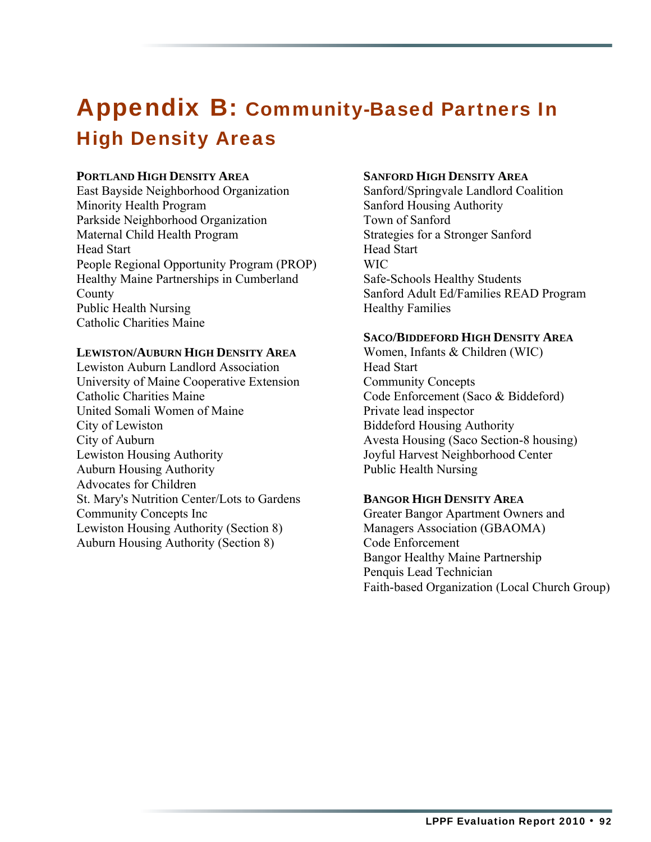### Appendix B: Community-Based Partners In High Density Areas

#### **PORTLAND HIGH DENSITY AREA**

East Bayside Neighborhood Organization Minority Health Program Parkside Neighborhood Organization Maternal Child Health Program Head Start People Regional Opportunity Program (PROP) Healthy Maine Partnerships in Cumberland County Public Health Nursing Catholic Charities Maine

#### **LEWISTON/AUBURN HIGH DENSITY AREA**

Lewiston Auburn Landlord Association University of Maine Cooperative Extension Catholic Charities Maine United Somali Women of Maine City of Lewiston City of Auburn Lewiston Housing Authority Auburn Housing Authority Advocates for Children St. Mary's Nutrition Center/Lots to Gardens Community Concepts Inc Lewiston Housing Authority (Section 8) Auburn Housing Authority (Section 8)

#### **SANFORD HIGH DENSITY AREA**

Sanford/Springvale Landlord Coalition Sanford Housing Authority Town of Sanford Strategies for a Stronger Sanford Head Start WIC Safe-Schools Healthy Students Sanford Adult Ed/Families READ Program Healthy Families

#### **SACO/BIDDEFORD HIGH DENSITY AREA**

Women, Infants & Children (WIC) Head Start Community Concepts Code Enforcement (Saco & Biddeford) Private lead inspector Biddeford Housing Authority Avesta Housing (Saco Section-8 housing) Joyful Harvest Neighborhood Center Public Health Nursing

#### **BANGOR HIGH DENSITY AREA**

Greater Bangor Apartment Owners and Managers Association (GBAOMA) Code Enforcement Bangor Healthy Maine Partnership Penquis Lead Technician Faith-based Organization (Local Church Group)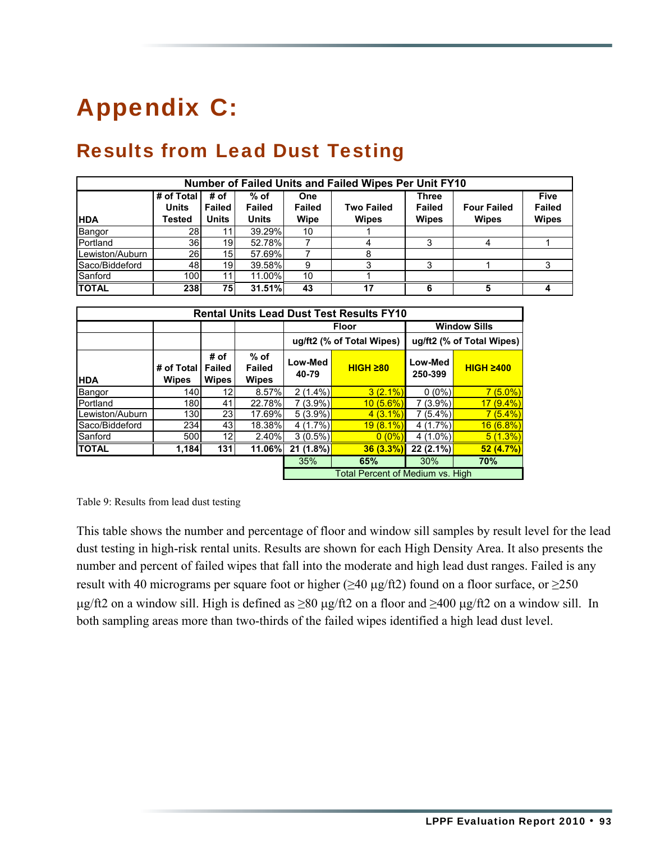# Appendix C:

### Results from Lead Dust Testing

| Number of Failed Units and Failed Wipes Per Unit FY10 |                                      |                                       |                                       |                              |                                   |                                               |                                    |                                              |  |
|-------------------------------------------------------|--------------------------------------|---------------------------------------|---------------------------------------|------------------------------|-----------------------------------|-----------------------------------------------|------------------------------------|----------------------------------------------|--|
| <b>HDA</b>                                            | # of Total<br><b>Units</b><br>Tested | # of<br><b>Failed</b><br><b>Units</b> | % of<br><b>Failed</b><br><b>Units</b> | One<br><b>Failed</b><br>Wipe | <b>Two Failed</b><br><b>Wipes</b> | <b>Three</b><br><b>Failed</b><br><b>Wipes</b> | <b>Four Failed</b><br><b>Wipes</b> | <b>Five</b><br><b>Failed</b><br><b>Wipes</b> |  |
| Bangor                                                | 28I                                  |                                       | 39.29%                                | 10                           |                                   |                                               |                                    |                                              |  |
| Portland                                              | 36I                                  | 19                                    | 52.78%                                |                              |                                   |                                               |                                    |                                              |  |
| Lewiston/Auburn                                       | 26I                                  | 15 <sup>1</sup>                       | 57.69%                                |                              |                                   |                                               |                                    |                                              |  |
| Saco/Biddeford                                        | 48                                   | 19                                    | 39.58%                                | 9                            |                                   |                                               |                                    |                                              |  |
| Sanford                                               | <b>100</b>                           |                                       | 11.00%                                | 10                           |                                   |                                               |                                    |                                              |  |
| <b>TOTAL</b>                                          | 238                                  | 75                                    | 31.51%                                | 43                           | 17                                |                                               |                                    |                                              |  |

| <b>Rental Units Lead Dust Test Results FY10</b> |                            |                                       |                                  |                                         |                  |                           |                  |
|-------------------------------------------------|----------------------------|---------------------------------------|----------------------------------|-----------------------------------------|------------------|---------------------------|------------------|
|                                                 |                            |                                       |                                  | <b>Floor</b>                            |                  | <b>Window Sills</b>       |                  |
|                                                 |                            |                                       |                                  | ug/ft2 (% of Total Wipes)               |                  | ug/ft2 (% of Total Wipes) |                  |
| <b>HDA</b>                                      | # of Total<br><b>Wipes</b> | # of<br><b>Failed</b><br><b>Wipes</b> | $%$ of<br>Failed<br><b>Wipes</b> | Low-Med<br>40-79                        | $HIGH$ $\geq 80$ | Low-Med<br>250-399        | <b>HIGH 2400</b> |
| Bangor                                          | 140l                       | 12                                    | 8.57%                            | $2(1.4\%)$                              | $3(2.1\%)$       | $0(0\%)$                  | $7(5.0\%)$       |
| <b>IPortland</b>                                | <b>180</b>                 | 41                                    | 22.78%                           | $7(3.9\%)$                              | 10(5.6%)         | $7(3.9\%)$                | $17(9.4\%)$      |
| Lewiston/Auburn                                 | 130                        | 23                                    | 17.69%                           | $5(3.9\%)$                              | $4(3.1\%)$       | $7(5.4\%)$                | $7(5.4\%)$       |
| Saco/Biddeford                                  | 234                        | 43'                                   | 18.38%                           | 4(1.7%)                                 | $19(8.1\%)$      | $4(1.7\%)$                | 16(6.8%)         |
| Sanford                                         | 500                        | 12 <sub>1</sub>                       | 2.40%                            | $3(0.5\%)$                              | $0(0\%)$         | $4(1.0\%)$                | 5(1.3%)          |
| <b>ITOTAL</b>                                   | 1,184                      | 131                                   | 11.06%l                          | $21(1.8\%)$                             | $36(3.3\%)$      | $22(2.1\%)$               | 52(4.7%)         |
|                                                 |                            |                                       |                                  | 35%                                     | 65%              | 30%                       | 70%              |
|                                                 |                            |                                       |                                  | <b>Total Percent of Medium vs. High</b> |                  |                           |                  |

Table 9: Results from lead dust testing

This table shows the number and percentage of floor and window sill samples by result level for the lead dust testing in high-risk rental units. Results are shown for each High Density Area. It also presents the number and percent of failed wipes that fall into the moderate and high lead dust ranges. Failed is any result with 40 micrograms per square foot or higher ( $\geq 40 \mu$ g/ft2) found on a floor surface, or  $\geq 250$ μg/ft2 on a window sill. High is defined as  $\geq 80$  μg/ft2 on a floor and  $\geq 400$  μg/ft2 on a window sill. In both sampling areas more than two-thirds of the failed wipes identified a high lead dust level.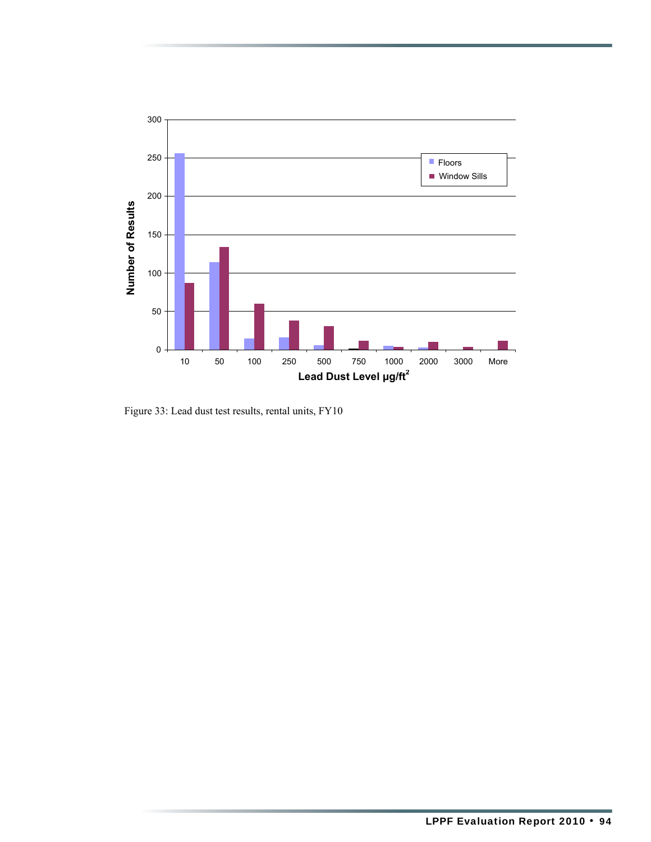

Figure 33: Lead dust test results, rental units, FY10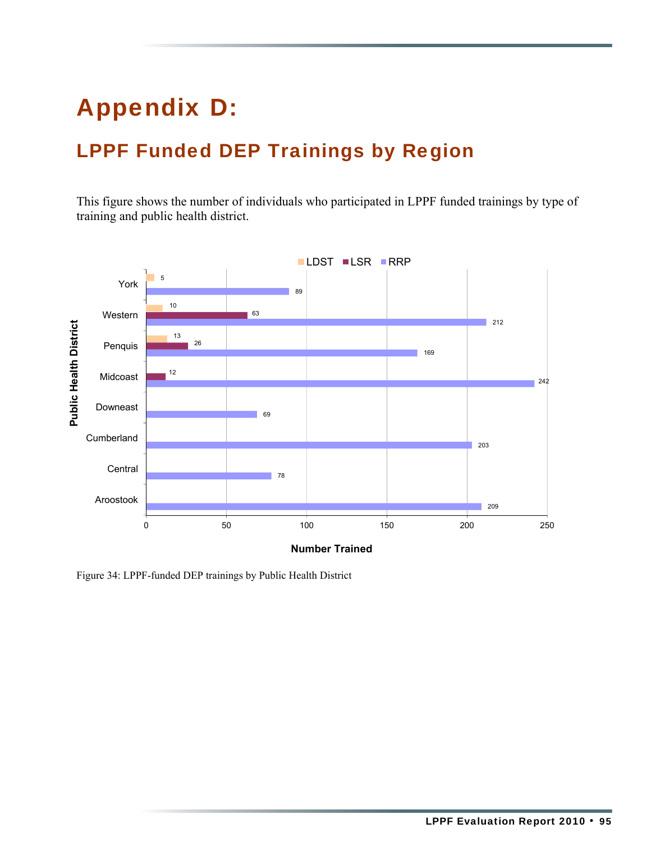## Appendix D:

### LPPF Funded DEP Trainings by Region

This figure shows the number of individuals who participated in LPPF funded trainings by type of training and public health district.



Figure 34: LPPF-funded DEP trainings by Public Health District